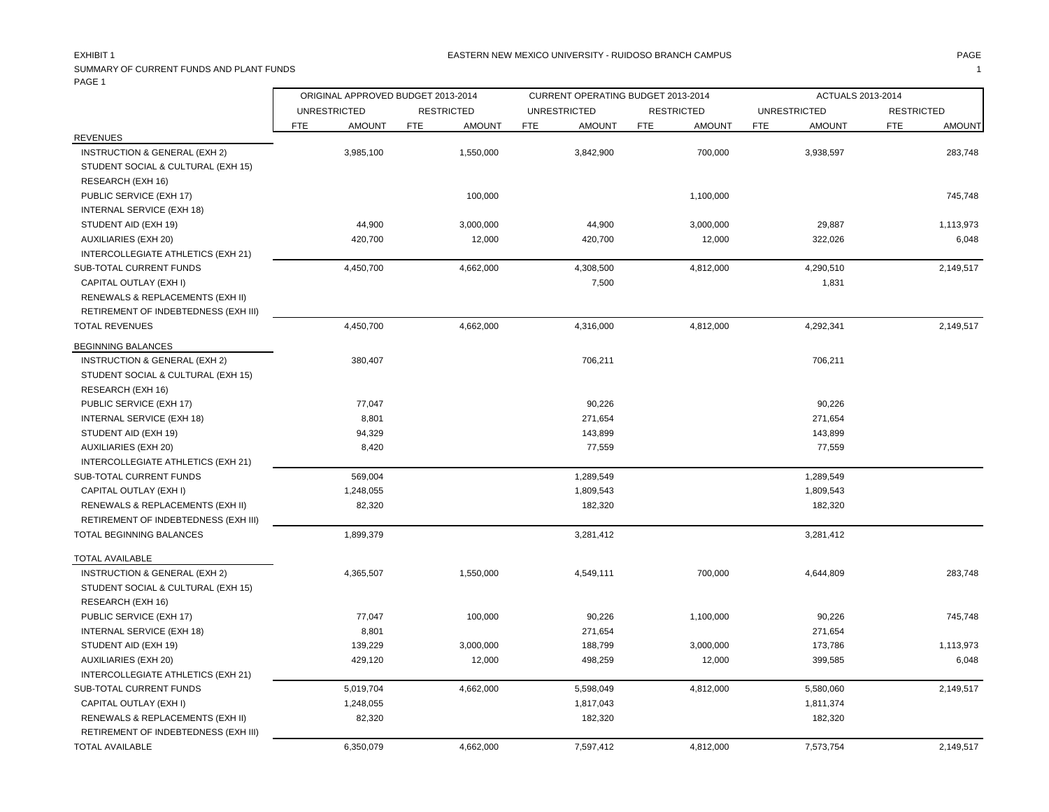### EASTERN NEW MEXICO UNIVERSITY - RUIDOSO BRANCH CAMPUS AND THE MAGE PAGE AND PAGE AND PAGE AND PAGE AND THE MAGE

SUMMARY OF CURRENT FUNDS AND PLANT FUNDS **1** PAGE 1 Ē

|                                      | ORIGINAL APPROVED BUDGET 2013-2014 | CURRENT OPERATING BUDGET 2013-2014 |                      |            |                   | ACTUALS 2013-2014           |                             |
|--------------------------------------|------------------------------------|------------------------------------|----------------------|------------|-------------------|-----------------------------|-----------------------------|
|                                      | <b>UNRESTRICTED</b>                | <b>RESTRICTED</b>                  | <b>UNRESTRICTED</b>  |            | <b>RESTRICTED</b> | <b>UNRESTRICTED</b>         | <b>RESTRICTED</b>           |
|                                      | <b>FTE</b><br><b>AMOUNT</b>        | <b>FTE</b><br><b>AMOUNT</b>        | FTE<br><b>AMOUNT</b> | <b>FTE</b> | <b>AMOUNT</b>     | <b>FTE</b><br><b>AMOUNT</b> | <b>FTE</b><br><b>AMOUNT</b> |
| <b>REVENUES</b>                      |                                    |                                    |                      |            |                   |                             |                             |
| INSTRUCTION & GENERAL (EXH 2)        | 3,985,100                          | 1,550,000                          | 3,842,900            |            | 700,000           | 3,938,597                   | 283,748                     |
| STUDENT SOCIAL & CULTURAL (EXH 15)   |                                    |                                    |                      |            |                   |                             |                             |
| RESEARCH (EXH 16)                    |                                    |                                    |                      |            |                   |                             |                             |
| PUBLIC SERVICE (EXH 17)              |                                    | 100,000                            |                      |            | 1,100,000         |                             | 745,748                     |
| <b>INTERNAL SERVICE (EXH 18)</b>     |                                    |                                    |                      |            |                   |                             |                             |
| STUDENT AID (EXH 19)                 | 44,900                             | 3,000,000                          | 44,900               |            | 3,000,000         | 29,887                      | 1,113,973                   |
| <b>AUXILIARIES (EXH 20)</b>          | 420,700                            | 12,000                             | 420,700              |            | 12,000            | 322,026                     | 6,048                       |
| INTERCOLLEGIATE ATHLETICS (EXH 21)   |                                    |                                    |                      |            |                   |                             |                             |
| SUB-TOTAL CURRENT FUNDS              | 4,450,700                          | 4,662,000                          | 4,308,500            |            | 4,812,000         | 4,290,510                   | 2,149,517                   |
| CAPITAL OUTLAY (EXH I)               |                                    |                                    |                      | 7,500      |                   | 1,831                       |                             |
| RENEWALS & REPLACEMENTS (EXH II)     |                                    |                                    |                      |            |                   |                             |                             |
| RETIREMENT OF INDEBTEDNESS (EXH III) |                                    |                                    |                      |            |                   |                             |                             |
| <b>TOTAL REVENUES</b>                | 4,450,700                          | 4,662,000                          | 4,316,000            |            | 4,812,000         | 4,292,341                   | 2,149,517                   |
| <b>BEGINNING BALANCES</b>            |                                    |                                    |                      |            |                   |                             |                             |
| INSTRUCTION & GENERAL (EXH 2)        | 380,407                            |                                    | 706,211              |            |                   | 706,211                     |                             |
| STUDENT SOCIAL & CULTURAL (EXH 15)   |                                    |                                    |                      |            |                   |                             |                             |
| RESEARCH (EXH 16)                    |                                    |                                    |                      |            |                   |                             |                             |
| PUBLIC SERVICE (EXH 17)              | 77,047                             |                                    | 90,226               |            |                   | 90,226                      |                             |
| INTERNAL SERVICE (EXH 18)            | 8,801                              |                                    | 271,654              |            |                   | 271,654                     |                             |
| STUDENT AID (EXH 19)                 | 94,329                             |                                    | 143,899              |            |                   | 143,899                     |                             |
| <b>AUXILIARIES (EXH 20)</b>          | 8,420                              |                                    | 77,559               |            |                   | 77,559                      |                             |
| INTERCOLLEGIATE ATHLETICS (EXH 21)   |                                    |                                    |                      |            |                   |                             |                             |
| SUB-TOTAL CURRENT FUNDS              | 569,004                            |                                    | 1,289,549            |            |                   | 1,289,549                   |                             |
| CAPITAL OUTLAY (EXH I)               | 1,248,055                          |                                    | 1,809,543            |            |                   | 1,809,543                   |                             |
| RENEWALS & REPLACEMENTS (EXH II)     | 82,320                             |                                    | 182,320              |            |                   | 182,320                     |                             |
| RETIREMENT OF INDEBTEDNESS (EXH III) |                                    |                                    |                      |            |                   |                             |                             |
| TOTAL BEGINNING BALANCES             | 1,899,379                          |                                    | 3,281,412            |            |                   | 3,281,412                   |                             |
| TOTAL AVAILABLE                      |                                    |                                    |                      |            |                   |                             |                             |
| INSTRUCTION & GENERAL (EXH 2)        | 4,365,507                          | 1,550,000                          | 4,549,111            |            | 700,000           | 4,644,809                   | 283,748                     |
| STUDENT SOCIAL & CULTURAL (EXH 15)   |                                    |                                    |                      |            |                   |                             |                             |
| RESEARCH (EXH 16)                    |                                    |                                    |                      |            |                   |                             |                             |
| PUBLIC SERVICE (EXH 17)              | 77,047                             | 100,000                            | 90,226               |            | 1,100,000         | 90,226                      | 745,748                     |
| INTERNAL SERVICE (EXH 18)            | 8,801                              |                                    | 271,654              |            |                   | 271,654                     |                             |
| STUDENT AID (EXH 19)                 | 139,229                            | 3,000,000                          | 188,799              |            | 3,000,000         | 173,786                     | 1,113,973                   |
| <b>AUXILIARIES (EXH 20)</b>          | 429,120                            | 12,000                             | 498,259              |            | 12,000            | 399,585                     | 6,048                       |
| INTERCOLLEGIATE ATHLETICS (EXH 21)   |                                    |                                    |                      |            |                   |                             |                             |
| SUB-TOTAL CURRENT FUNDS              | 5,019,704                          | 4,662,000                          | 5,598,049            |            | 4,812,000         | 5,580,060                   | 2,149,517                   |
| CAPITAL OUTLAY (EXH I)               | 1,248,055                          |                                    | 1,817,043            |            |                   | 1,811,374                   |                             |
| RENEWALS & REPLACEMENTS (EXH II)     | 82,320                             |                                    | 182,320              |            |                   | 182,320                     |                             |
| RETIREMENT OF INDEBTEDNESS (EXH III) |                                    |                                    |                      |            |                   |                             |                             |
| <b>TOTAL AVAILABLE</b>               | 6,350,079                          | 4,662,000                          | 7,597,412            |            | 4,812,000         | 7,573,754                   | 2,149,517                   |
|                                      |                                    |                                    |                      |            |                   |                             |                             |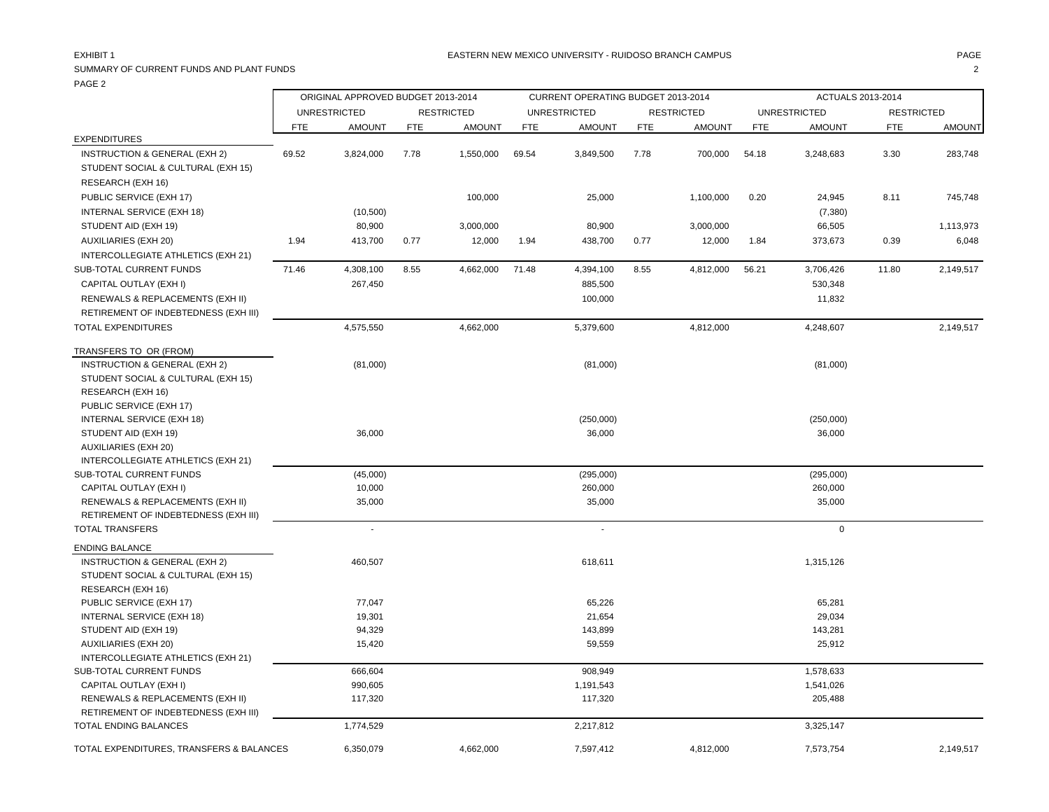# SUMMARY OF CURRENT FUNDS AND PLANT FUNDS 2

| .                                                                        |       | ORIGINAL APPROVED BUDGET 2013-2014 |            |                   |       | CURRENT OPERATING BUDGET 2013-2014 |            |                   |            | ACTUALS 2013-2014      |                   |               |
|--------------------------------------------------------------------------|-------|------------------------------------|------------|-------------------|-------|------------------------------------|------------|-------------------|------------|------------------------|-------------------|---------------|
|                                                                          |       | <b>UNRESTRICTED</b>                |            | <b>RESTRICTED</b> |       | <b>UNRESTRICTED</b>                |            | <b>RESTRICTED</b> |            | <b>UNRESTRICTED</b>    | <b>RESTRICTED</b> |               |
|                                                                          | FTE   | <b>AMOUNT</b>                      | <b>FTE</b> | <b>AMOUNT</b>     | FTE   | <b>AMOUNT</b>                      | <b>FTE</b> | <b>AMOUNT</b>     | <b>FTE</b> | <b>AMOUNT</b>          | <b>FTE</b>        | <b>AMOUNT</b> |
| <b>EXPENDITURES</b>                                                      |       |                                    |            |                   |       |                                    |            |                   |            |                        |                   |               |
| <b>INSTRUCTION &amp; GENERAL (EXH 2)</b>                                 | 69.52 | 3,824,000                          | 7.78       | 1,550,000         | 69.54 | 3,849,500                          | 7.78       | 700,000           | 54.18      | 3,248,683              | 3.30              | 283,748       |
| STUDENT SOCIAL & CULTURAL (EXH 15)                                       |       |                                    |            |                   |       |                                    |            |                   |            |                        |                   |               |
| RESEARCH (EXH 16)                                                        |       |                                    |            |                   |       |                                    |            |                   |            |                        |                   |               |
| PUBLIC SERVICE (EXH 17)                                                  |       |                                    |            | 100,000           |       | 25,000                             |            | 1,100,000         | 0.20       | 24,945                 | 8.11              | 745,748       |
| INTERNAL SERVICE (EXH 18)                                                |       | (10, 500)                          |            |                   |       |                                    |            |                   |            | (7, 380)               |                   |               |
| STUDENT AID (EXH 19)                                                     |       | 80,900                             |            | 3,000,000         |       | 80,900                             |            | 3,000,000         |            | 66,505                 |                   | 1,113,973     |
| <b>AUXILIARIES (EXH 20)</b>                                              | 1.94  | 413,700                            | 0.77       | 12,000            | 1.94  | 438,700                            | 0.77       | 12,000            | 1.84       | 373,673                | 0.39              | 6,048         |
| INTERCOLLEGIATE ATHLETICS (EXH 21)                                       |       |                                    |            |                   |       |                                    |            |                   |            |                        |                   |               |
| SUB-TOTAL CURRENT FUNDS                                                  | 71.46 | 4,308,100                          | 8.55       | 4,662,000         | 71.48 | 4,394,100                          | 8.55       | 4,812,000         | 56.21      | 3,706,426              | 11.80             | 2,149,517     |
| CAPITAL OUTLAY (EXH I)                                                   |       | 267,450                            |            |                   |       | 885,500                            |            |                   |            | 530,348                |                   |               |
| RENEWALS & REPLACEMENTS (EXH II)                                         |       |                                    |            |                   |       | 100,000                            |            |                   |            | 11,832                 |                   |               |
| RETIREMENT OF INDEBTEDNESS (EXH III)                                     |       |                                    |            |                   |       |                                    |            |                   |            |                        |                   |               |
| <b>TOTAL EXPENDITURES</b>                                                |       | 4,575,550                          |            | 4,662,000         |       | 5,379,600                          |            | 4,812,000         |            | 4,248,607              |                   | 2,149,517     |
| TRANSFERS TO OR (FROM)                                                   |       |                                    |            |                   |       |                                    |            |                   |            |                        |                   |               |
| INSTRUCTION & GENERAL (EXH 2)                                            |       | (81,000)                           |            |                   |       | (81,000)                           |            |                   |            | (81,000)               |                   |               |
| STUDENT SOCIAL & CULTURAL (EXH 15)                                       |       |                                    |            |                   |       |                                    |            |                   |            |                        |                   |               |
| RESEARCH (EXH 16)                                                        |       |                                    |            |                   |       |                                    |            |                   |            |                        |                   |               |
| PUBLIC SERVICE (EXH 17)                                                  |       |                                    |            |                   |       |                                    |            |                   |            |                        |                   |               |
| INTERNAL SERVICE (EXH 18)                                                |       |                                    |            |                   |       | (250,000)                          |            |                   |            | (250,000)              |                   |               |
| STUDENT AID (EXH 19)                                                     |       | 36,000                             |            |                   |       | 36,000                             |            |                   |            | 36,000                 |                   |               |
| <b>AUXILIARIES (EXH 20)</b>                                              |       |                                    |            |                   |       |                                    |            |                   |            |                        |                   |               |
| INTERCOLLEGIATE ATHLETICS (EXH 21)                                       |       |                                    |            |                   |       |                                    |            |                   |            |                        |                   |               |
| SUB-TOTAL CURRENT FUNDS                                                  |       | (45,000)                           |            |                   |       | (295,000)                          |            |                   |            | (295,000)              |                   |               |
| CAPITAL OUTLAY (EXH I)                                                   |       | 10,000                             |            |                   |       | 260,000                            |            |                   |            | 260,000                |                   |               |
| RENEWALS & REPLACEMENTS (EXH II)                                         |       | 35,000                             |            |                   |       | 35,000                             |            |                   |            | 35,000                 |                   |               |
| RETIREMENT OF INDEBTEDNESS (EXH III)                                     |       |                                    |            |                   |       |                                    |            |                   |            |                        |                   |               |
| TOTAL TRANSFERS                                                          |       | $\mathcal{L}^{\mathcal{A}}$        |            |                   |       | $\sim$                             |            |                   |            | $\mathbf 0$            |                   |               |
| <b>ENDING BALANCE</b>                                                    |       |                                    |            |                   |       |                                    |            |                   |            |                        |                   |               |
| INSTRUCTION & GENERAL (EXH 2)                                            |       | 460,507                            |            |                   |       | 618,611                            |            |                   |            | 1,315,126              |                   |               |
| STUDENT SOCIAL & CULTURAL (EXH 15)                                       |       |                                    |            |                   |       |                                    |            |                   |            |                        |                   |               |
| RESEARCH (EXH 16)                                                        |       |                                    |            |                   |       |                                    |            |                   |            |                        |                   |               |
| PUBLIC SERVICE (EXH 17)                                                  |       | 77,047                             |            |                   |       | 65,226                             |            |                   |            | 65,281                 |                   |               |
| <b>INTERNAL SERVICE (EXH 18)</b>                                         |       | 19,301                             |            |                   |       | 21,654                             |            |                   |            | 29,034                 |                   |               |
| STUDENT AID (EXH 19)                                                     |       | 94,329                             |            |                   |       | 143,899                            |            |                   |            | 143,281                |                   |               |
| <b>AUXILIARIES (EXH 20)</b>                                              |       | 15,420                             |            |                   |       | 59,559                             |            |                   |            | 25,912                 |                   |               |
| INTERCOLLEGIATE ATHLETICS (EXH 21)                                       |       |                                    |            |                   |       |                                    |            |                   |            |                        |                   |               |
| <b>SUB-TOTAL CURRENT FUNDS</b><br>CAPITAL OUTLAY (EXH I)                 |       | 666,604<br>990,605                 |            |                   |       | 908,949<br>1,191,543               |            |                   |            | 1,578,633<br>1,541,026 |                   |               |
|                                                                          |       |                                    |            |                   |       |                                    |            |                   |            |                        |                   |               |
| RENEWALS & REPLACEMENTS (EXH II)<br>RETIREMENT OF INDEBTEDNESS (EXH III) |       | 117,320                            |            |                   |       | 117,320                            |            |                   |            | 205,488                |                   |               |
| TOTAL ENDING BALANCES                                                    |       | 1,774,529                          |            |                   |       | 2,217,812                          |            |                   |            | 3,325,147              |                   |               |
| TOTAL EXPENDITURES, TRANSFERS & BALANCES                                 |       | 6,350,079                          |            | 4,662,000         |       | 7,597,412                          |            | 4,812,000         |            | 7,573,754              |                   | 2,149,517     |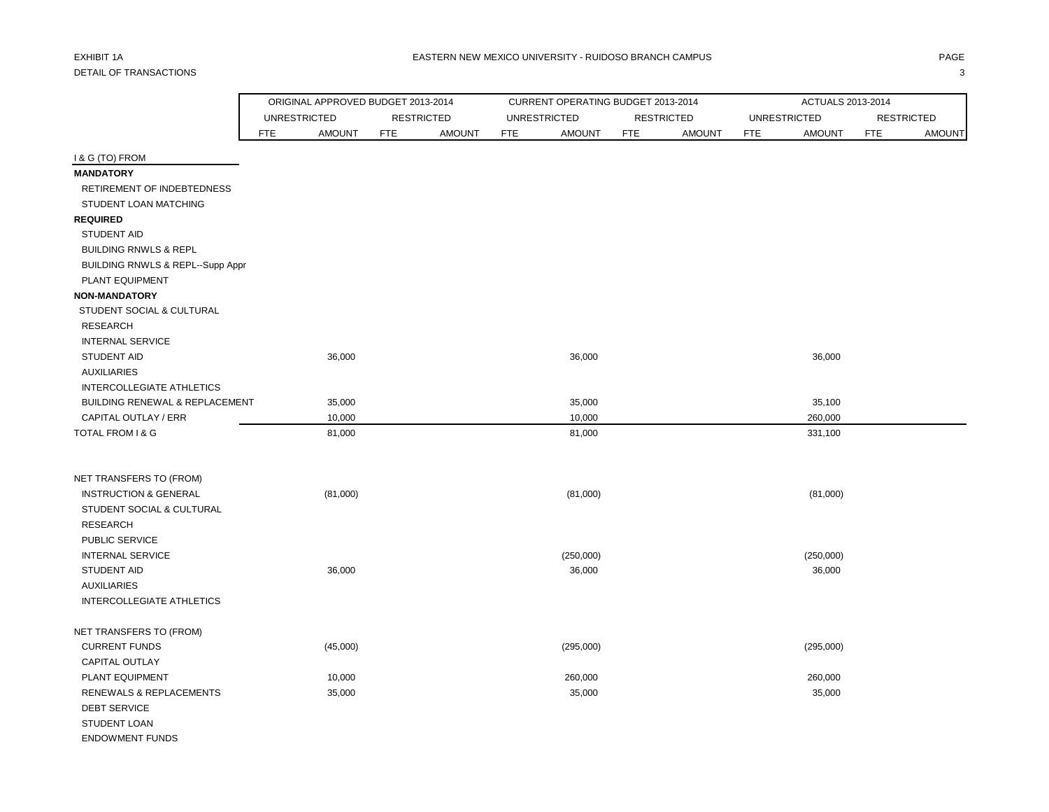|                                           | ORIGINAL APPROVED BUDGET 2013-2014 |                   |               |            | CURRENT OPERATING BUDGET 2013-2014 |            |                   |                     | ACTUALS 2013-2014 |                   |               |
|-------------------------------------------|------------------------------------|-------------------|---------------|------------|------------------------------------|------------|-------------------|---------------------|-------------------|-------------------|---------------|
|                                           | <b>UNRESTRICTED</b>                | <b>RESTRICTED</b> |               |            | <b>UNRESTRICTED</b>                |            | <b>RESTRICTED</b> | <b>UNRESTRICTED</b> |                   | <b>RESTRICTED</b> |               |
|                                           | <b>FTE</b><br><b>AMOUNT</b>        | <b>FTE</b>        | <b>AMOUNT</b> | <b>FTE</b> | <b>AMOUNT</b>                      | <b>FTE</b> | <b>AMOUNT</b>     | <b>FTE</b>          | <b>AMOUNT</b>     | <b>FTE</b>        | <b>AMOUNT</b> |
| I & G (TO) FROM                           |                                    |                   |               |            |                                    |            |                   |                     |                   |                   |               |
| <b>MANDATORY</b>                          |                                    |                   |               |            |                                    |            |                   |                     |                   |                   |               |
| RETIREMENT OF INDEBTEDNESS                |                                    |                   |               |            |                                    |            |                   |                     |                   |                   |               |
| STUDENT LOAN MATCHING                     |                                    |                   |               |            |                                    |            |                   |                     |                   |                   |               |
| <b>REQUIRED</b>                           |                                    |                   |               |            |                                    |            |                   |                     |                   |                   |               |
| <b>STUDENT AID</b>                        |                                    |                   |               |            |                                    |            |                   |                     |                   |                   |               |
| <b>BUILDING RNWLS &amp; REPL</b>          |                                    |                   |               |            |                                    |            |                   |                     |                   |                   |               |
| BUILDING RNWLS & REPL--Supp Appr          |                                    |                   |               |            |                                    |            |                   |                     |                   |                   |               |
| PLANT EQUIPMENT                           |                                    |                   |               |            |                                    |            |                   |                     |                   |                   |               |
| <b>NON-MANDATORY</b>                      |                                    |                   |               |            |                                    |            |                   |                     |                   |                   |               |
| STUDENT SOCIAL & CULTURAL                 |                                    |                   |               |            |                                    |            |                   |                     |                   |                   |               |
| <b>RESEARCH</b>                           |                                    |                   |               |            |                                    |            |                   |                     |                   |                   |               |
| <b>INTERNAL SERVICE</b>                   |                                    |                   |               |            |                                    |            |                   |                     |                   |                   |               |
| <b>STUDENT AID</b>                        | 36,000                             |                   |               |            | 36,000                             |            |                   |                     | 36,000            |                   |               |
| <b>AUXILIARIES</b>                        |                                    |                   |               |            |                                    |            |                   |                     |                   |                   |               |
| INTERCOLLEGIATE ATHLETICS                 |                                    |                   |               |            |                                    |            |                   |                     |                   |                   |               |
| <b>BUILDING RENEWAL &amp; REPLACEMENT</b> | 35,000                             |                   |               |            | 35,000                             |            |                   |                     | 35,100            |                   |               |
| CAPITAL OUTLAY / ERR                      | 10,000                             |                   |               |            | 10,000                             |            |                   |                     | 260,000           |                   |               |
| TOTAL FROM I & G                          | 81,000                             |                   |               |            | 81,000                             |            |                   |                     | 331,100           |                   |               |
| NET TRANSFERS TO (FROM)                   |                                    |                   |               |            |                                    |            |                   |                     |                   |                   |               |
| <b>INSTRUCTION &amp; GENERAL</b>          | (81,000)                           |                   |               |            | (81,000)                           |            |                   |                     | (81,000)          |                   |               |
| STUDENT SOCIAL & CULTURAL                 |                                    |                   |               |            |                                    |            |                   |                     |                   |                   |               |
| <b>RESEARCH</b>                           |                                    |                   |               |            |                                    |            |                   |                     |                   |                   |               |
| PUBLIC SERVICE                            |                                    |                   |               |            |                                    |            |                   |                     |                   |                   |               |
| <b>INTERNAL SERVICE</b>                   |                                    |                   |               |            | (250,000)                          |            |                   |                     | (250,000)         |                   |               |
| STUDENT AID                               | 36,000                             |                   |               |            | 36,000                             |            |                   |                     | 36,000            |                   |               |
| <b>AUXILIARIES</b>                        |                                    |                   |               |            |                                    |            |                   |                     |                   |                   |               |
| INTERCOLLEGIATE ATHLETICS                 |                                    |                   |               |            |                                    |            |                   |                     |                   |                   |               |
| NET TRANSFERS TO (FROM)                   |                                    |                   |               |            |                                    |            |                   |                     |                   |                   |               |
| <b>CURRENT FUNDS</b>                      | (45,000)                           |                   |               |            | (295,000)                          |            |                   |                     | (295,000)         |                   |               |
| <b>CAPITAL OUTLAY</b>                     |                                    |                   |               |            |                                    |            |                   |                     |                   |                   |               |
| PLANT EQUIPMENT                           | 10,000                             |                   |               |            | 260,000                            |            |                   |                     | 260,000           |                   |               |
| RENEWALS & REPLACEMENTS                   | 35,000                             |                   |               |            | 35,000                             |            |                   |                     | 35,000            |                   |               |
| <b>DEBT SERVICE</b>                       |                                    |                   |               |            |                                    |            |                   |                     |                   |                   |               |
| STUDENT LOAN                              |                                    |                   |               |            |                                    |            |                   |                     |                   |                   |               |
| <b>ENDOWMENT FUNDS</b>                    |                                    |                   |               |            |                                    |            |                   |                     |                   |                   |               |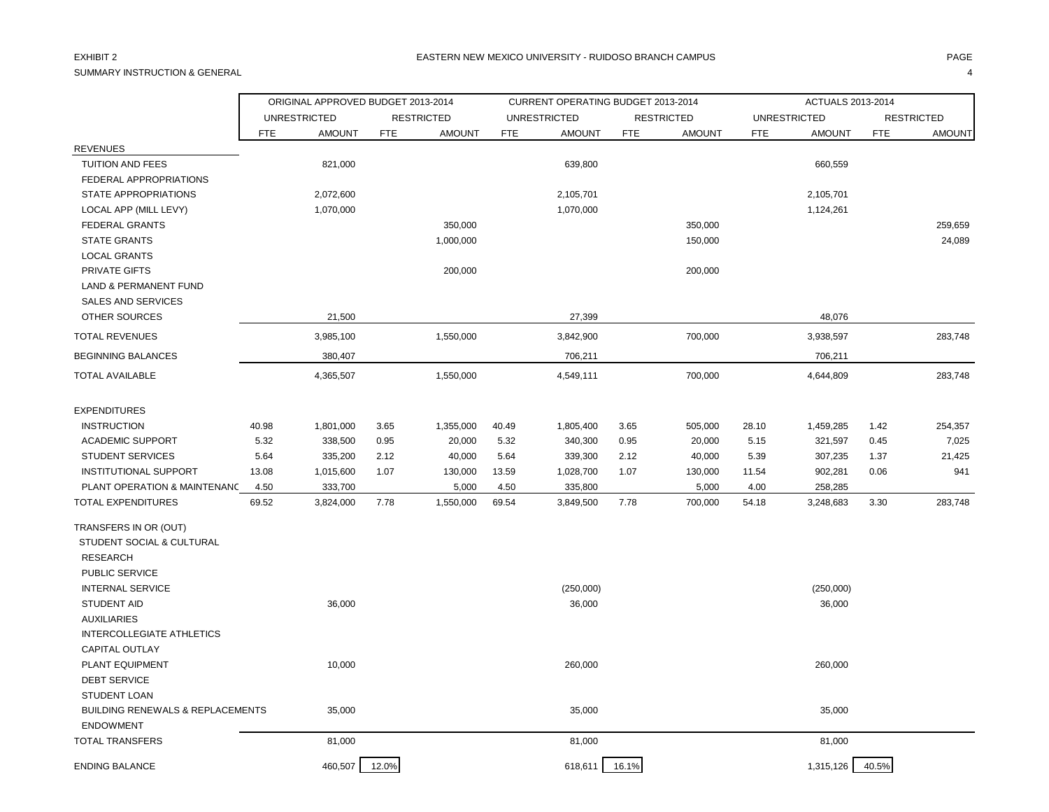SUMMARY INSTRUCTION & GENERAL 4

|                                             | ORIGINAL APPROVED BUDGET 2013-2014 |                     |            |                   |            | CURRENT OPERATING BUDGET 2013-2014 |            |                   |            | ACTUALS 2013-2014   |            |                   |
|---------------------------------------------|------------------------------------|---------------------|------------|-------------------|------------|------------------------------------|------------|-------------------|------------|---------------------|------------|-------------------|
|                                             |                                    | <b>UNRESTRICTED</b> |            | <b>RESTRICTED</b> |            | <b>UNRESTRICTED</b>                |            | <b>RESTRICTED</b> |            | <b>UNRESTRICTED</b> |            | <b>RESTRICTED</b> |
|                                             | <b>FTE</b>                         | <b>AMOUNT</b>       | <b>FTE</b> | <b>AMOUNT</b>     | <b>FTE</b> | <b>AMOUNT</b>                      | <b>FTE</b> | <b>AMOUNT</b>     | <b>FTE</b> | <b>AMOUNT</b>       | <b>FTE</b> | AMOUNT            |
| <b>REVENUES</b>                             |                                    |                     |            |                   |            |                                    |            |                   |            |                     |            |                   |
| <b>TUITION AND FEES</b>                     |                                    | 821,000             |            |                   |            | 639,800                            |            |                   |            | 660,559             |            |                   |
| FEDERAL APPROPRIATIONS                      |                                    |                     |            |                   |            |                                    |            |                   |            |                     |            |                   |
| STATE APPROPRIATIONS                        |                                    | 2,072,600           |            |                   |            | 2,105,701                          |            |                   |            | 2,105,701           |            |                   |
| LOCAL APP (MILL LEVY)                       |                                    | 1,070,000           |            |                   |            | 1,070,000                          |            |                   |            | 1,124,261           |            |                   |
| FEDERAL GRANTS                              |                                    |                     |            | 350,000           |            |                                    |            | 350,000           |            |                     |            | 259,659           |
| <b>STATE GRANTS</b>                         |                                    |                     |            | 1,000,000         |            |                                    |            | 150,000           |            |                     |            | 24,089            |
| <b>LOCAL GRANTS</b>                         |                                    |                     |            |                   |            |                                    |            |                   |            |                     |            |                   |
| PRIVATE GIFTS                               |                                    |                     |            | 200,000           |            |                                    |            | 200,000           |            |                     |            |                   |
| <b>LAND &amp; PERMANENT FUND</b>            |                                    |                     |            |                   |            |                                    |            |                   |            |                     |            |                   |
| <b>SALES AND SERVICES</b>                   |                                    |                     |            |                   |            |                                    |            |                   |            |                     |            |                   |
| <b>OTHER SOURCES</b>                        |                                    | 21,500              |            |                   |            | 27,399                             |            |                   |            | 48,076              |            |                   |
| <b>TOTAL REVENUES</b>                       |                                    | 3,985,100           |            | 1,550,000         |            | 3,842,900                          |            | 700,000           |            | 3,938,597           |            | 283,748           |
| <b>BEGINNING BALANCES</b>                   |                                    | 380,407             |            |                   |            | 706,211                            |            |                   |            | 706,211             |            |                   |
| TOTAL AVAILABLE                             |                                    | 4,365,507           |            | 1,550,000         |            | 4,549,111                          |            | 700,000           |            | 4,644,809           |            | 283,748           |
| <b>EXPENDITURES</b>                         |                                    |                     |            |                   |            |                                    |            |                   |            |                     |            |                   |
| <b>INSTRUCTION</b>                          | 40.98                              | 1,801,000           | 3.65       | 1,355,000         | 40.49      | 1,805,400                          | 3.65       | 505,000           | 28.10      | 1,459,285           | 1.42       | 254,357           |
| <b>ACADEMIC SUPPORT</b>                     | 5.32                               | 338,500             | 0.95       | 20,000            | 5.32       | 340,300                            | 0.95       | 20,000            | 5.15       | 321,597             | 0.45       | 7,025             |
| <b>STUDENT SERVICES</b>                     | 5.64                               | 335,200             | 2.12       | 40,000            | 5.64       | 339,300                            | 2.12       | 40,000            | 5.39       | 307,235             | 1.37       | 21,425            |
| <b>INSTITUTIONAL SUPPORT</b>                | 13.08                              | 1,015,600           | 1.07       | 130,000           | 13.59      | 1,028,700                          | 1.07       | 130,000           | 11.54      | 902,281             | 0.06       | 941               |
| PLANT OPERATION & MAINTENANC                | 4.50                               | 333,700             |            | 5,000             | 4.50       | 335,800                            |            | 5,000             | 4.00       | 258,285             |            |                   |
| <b>TOTAL EXPENDITURES</b>                   | 69.52                              | 3,824,000           | 7.78       | 1,550,000         | 69.54      | 3,849,500                          | 7.78       | 700,000           | 54.18      | 3,248,683           | 3.30       | 283,748           |
| TRANSFERS IN OR (OUT)                       |                                    |                     |            |                   |            |                                    |            |                   |            |                     |            |                   |
| STUDENT SOCIAL & CULTURAL                   |                                    |                     |            |                   |            |                                    |            |                   |            |                     |            |                   |
| <b>RESEARCH</b>                             |                                    |                     |            |                   |            |                                    |            |                   |            |                     |            |                   |
| PUBLIC SERVICE                              |                                    |                     |            |                   |            |                                    |            |                   |            |                     |            |                   |
| <b>INTERNAL SERVICE</b>                     |                                    |                     |            |                   |            | (250,000)                          |            |                   |            | (250,000)           |            |                   |
| <b>STUDENT AID</b>                          |                                    | 36,000              |            |                   |            | 36,000                             |            |                   |            | 36,000              |            |                   |
| <b>AUXILIARIES</b>                          |                                    |                     |            |                   |            |                                    |            |                   |            |                     |            |                   |
| INTERCOLLEGIATE ATHLETICS                   |                                    |                     |            |                   |            |                                    |            |                   |            |                     |            |                   |
| <b>CAPITAL OUTLAY</b>                       |                                    |                     |            |                   |            |                                    |            |                   |            |                     |            |                   |
| PLANT EQUIPMENT                             |                                    | 10,000              |            |                   |            | 260,000                            |            |                   |            | 260,000             |            |                   |
| <b>DEBT SERVICE</b>                         |                                    |                     |            |                   |            |                                    |            |                   |            |                     |            |                   |
| <b>STUDENT LOAN</b>                         |                                    |                     |            |                   |            |                                    |            |                   |            |                     |            |                   |
| <b>BUILDING RENEWALS &amp; REPLACEMENTS</b> |                                    | 35,000              |            |                   |            | 35,000                             |            |                   |            | 35,000              |            |                   |
| <b>ENDOWMENT</b>                            |                                    |                     |            |                   |            |                                    |            |                   |            |                     |            |                   |
| <b>TOTAL TRANSFERS</b>                      |                                    | 81,000              |            |                   |            | 81,000                             |            |                   |            | 81,000              |            |                   |
| <b>ENDING BALANCE</b>                       |                                    | 460,507             | 12.0%      |                   |            | 618,611                            | 16.1%      |                   |            | 1,315,126           | 40.5%      |                   |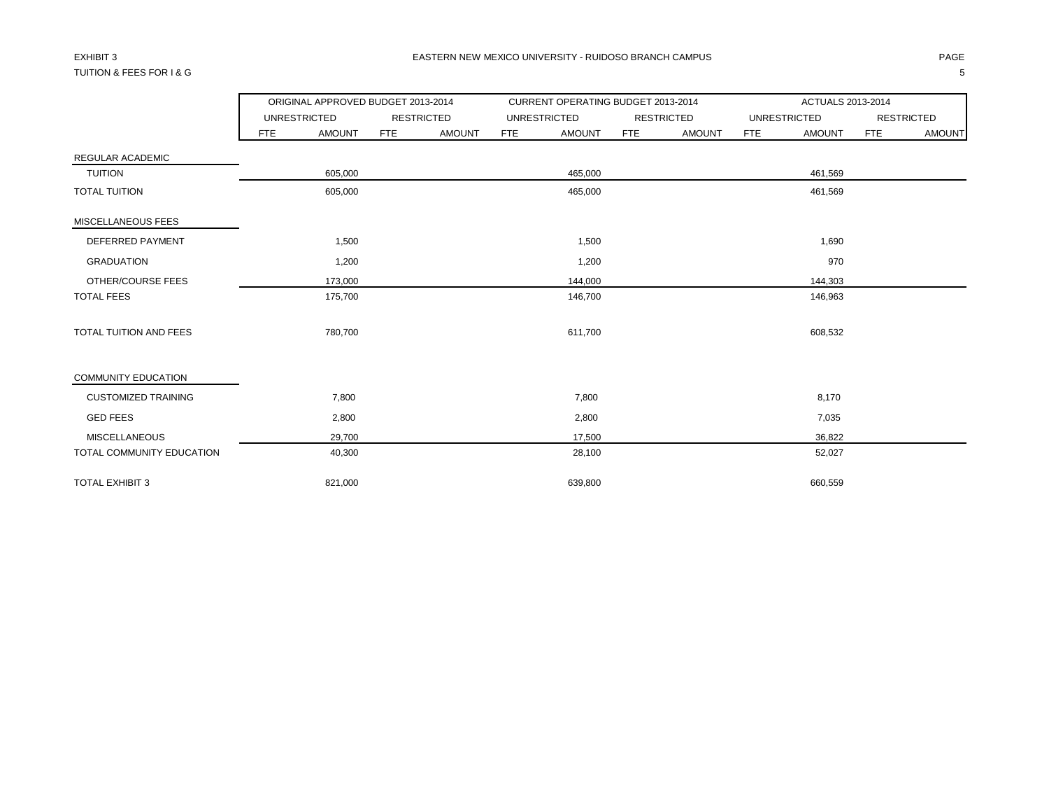# TUITION & FEES FOR I & G 5

|                               |                     | ORIGINAL APPROVED BUDGET 2013-2014 |            |                   |            | CURRENT OPERATING BUDGET 2013-2014 |            |                   |            | ACTUALS 2013-2014   |            |                   |
|-------------------------------|---------------------|------------------------------------|------------|-------------------|------------|------------------------------------|------------|-------------------|------------|---------------------|------------|-------------------|
|                               | <b>UNRESTRICTED</b> |                                    |            | <b>RESTRICTED</b> |            | <b>UNRESTRICTED</b>                |            | <b>RESTRICTED</b> |            | <b>UNRESTRICTED</b> |            | <b>RESTRICTED</b> |
|                               | FTE                 | <b>AMOUNT</b>                      | <b>FTE</b> | <b>AMOUNT</b>     | <b>FTE</b> | <b>AMOUNT</b>                      | <b>FTE</b> | <b>AMOUNT</b>     | <b>FTE</b> | <b>AMOUNT</b>       | <b>FTE</b> | <b>AMOUNT</b>     |
| <b>REGULAR ACADEMIC</b>       |                     |                                    |            |                   |            |                                    |            |                   |            |                     |            |                   |
| <b>TUITION</b>                |                     | 605,000                            |            |                   |            | 465,000                            |            |                   |            | 461,569             |            |                   |
| <b>TOTAL TUITION</b>          |                     | 605,000                            |            |                   |            | 465,000                            |            |                   |            | 461,569             |            |                   |
| MISCELLANEOUS FEES            |                     |                                    |            |                   |            |                                    |            |                   |            |                     |            |                   |
| DEFERRED PAYMENT              |                     | 1,500                              |            |                   |            | 1,500                              |            |                   |            | 1,690               |            |                   |
| <b>GRADUATION</b>             |                     | 1,200                              |            |                   |            | 1,200                              |            |                   |            | 970                 |            |                   |
| OTHER/COURSE FEES             |                     | 173,000                            |            |                   |            | 144,000                            |            |                   |            | 144,303             |            |                   |
| <b>TOTAL FEES</b>             |                     | 175,700                            |            |                   |            | 146,700                            |            |                   |            | 146,963             |            |                   |
| <b>TOTAL TUITION AND FEES</b> |                     | 780,700                            |            |                   |            | 611,700                            |            |                   |            | 608,532             |            |                   |
| <b>COMMUNITY EDUCATION</b>    |                     |                                    |            |                   |            |                                    |            |                   |            |                     |            |                   |
| <b>CUSTOMIZED TRAINING</b>    |                     | 7,800                              |            |                   |            | 7,800                              |            |                   |            | 8,170               |            |                   |
| <b>GED FEES</b>               |                     | 2,800                              |            |                   |            | 2,800                              |            |                   |            | 7,035               |            |                   |
| <b>MISCELLANEOUS</b>          |                     | 29,700                             |            |                   |            | 17,500                             |            |                   |            | 36,822              |            |                   |
| TOTAL COMMUNITY EDUCATION     |                     | 40,300                             |            |                   |            | 28,100                             |            |                   |            | 52,027              |            |                   |
| <b>TOTAL EXHIBIT 3</b>        |                     | 821.000                            |            |                   |            | 639.800                            |            |                   |            | 660.559             |            |                   |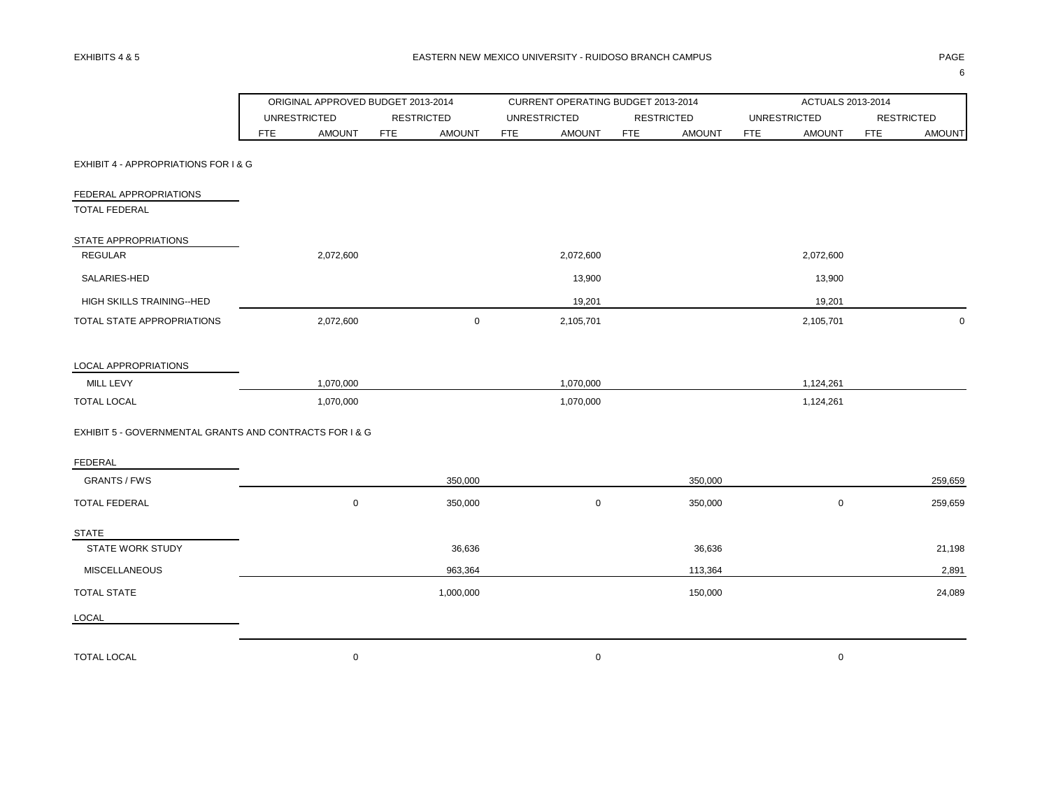|                                                         |            | ORIGINAL APPROVED BUDGET 2013-2014 |            |                   |            | CURRENT OPERATING BUDGET 2013-2014 |            |                   |            | ACTUALS 2013-2014   |            |                   |
|---------------------------------------------------------|------------|------------------------------------|------------|-------------------|------------|------------------------------------|------------|-------------------|------------|---------------------|------------|-------------------|
|                                                         |            | <b>UNRESTRICTED</b>                |            | <b>RESTRICTED</b> |            | <b>UNRESTRICTED</b>                |            | <b>RESTRICTED</b> |            | <b>UNRESTRICTED</b> |            | <b>RESTRICTED</b> |
|                                                         | <b>FTE</b> | <b>AMOUNT</b>                      | <b>FTE</b> | <b>AMOUNT</b>     | <b>FTE</b> | <b>AMOUNT</b>                      | <b>FTE</b> | <b>AMOUNT</b>     | <b>FTE</b> | <b>AMOUNT</b>       | <b>FTE</b> | <b>AMOUNT</b>     |
| EXHIBIT 4 - APPROPRIATIONS FOR I & G                    |            |                                    |            |                   |            |                                    |            |                   |            |                     |            |                   |
| FEDERAL APPROPRIATIONS                                  |            |                                    |            |                   |            |                                    |            |                   |            |                     |            |                   |
| <b>TOTAL FEDERAL</b>                                    |            |                                    |            |                   |            |                                    |            |                   |            |                     |            |                   |
| STATE APPROPRIATIONS                                    |            |                                    |            |                   |            |                                    |            |                   |            |                     |            |                   |
| <b>REGULAR</b>                                          |            | 2,072,600                          |            |                   |            | 2,072,600                          |            |                   |            | 2,072,600           |            |                   |
| SALARIES-HED                                            |            |                                    |            |                   |            | 13,900                             |            |                   |            | 13,900              |            |                   |
| HIGH SKILLS TRAINING--HED                               |            |                                    |            |                   |            | 19,201                             |            |                   |            | 19,201              |            |                   |
| TOTAL STATE APPROPRIATIONS                              |            | 2,072,600                          |            | $\mathbf 0$       |            | 2,105,701                          |            |                   |            | 2,105,701           |            | $\Omega$          |
| LOCAL APPROPRIATIONS                                    |            |                                    |            |                   |            |                                    |            |                   |            |                     |            |                   |
| MILL LEVY                                               |            | 1,070,000                          |            |                   |            | 1,070,000                          |            |                   |            | 1,124,261           |            |                   |
| <b>TOTAL LOCAL</b>                                      |            | 1,070,000                          |            |                   |            | 1,070,000                          |            |                   |            | 1,124,261           |            |                   |
| EXHIBIT 5 - GOVERNMENTAL GRANTS AND CONTRACTS FOR I & G |            |                                    |            |                   |            |                                    |            |                   |            |                     |            |                   |
| <b>FEDERAL</b>                                          |            |                                    |            |                   |            |                                    |            |                   |            |                     |            |                   |
| <b>GRANTS / FWS</b>                                     |            |                                    |            | 350,000           |            |                                    |            | 350,000           |            |                     |            | 259,659           |
| <b>TOTAL FEDERAL</b>                                    |            | $\mathsf 0$                        |            | 350,000           |            | $\mathbf 0$                        |            | 350,000           |            | $\mathbf 0$         |            | 259,659           |
| <b>STATE</b>                                            |            |                                    |            |                   |            |                                    |            |                   |            |                     |            |                   |
| <b>STATE WORK STUDY</b>                                 |            |                                    |            | 36,636            |            |                                    |            | 36,636            |            |                     |            | 21,198            |
| <b>MISCELLANEOUS</b>                                    |            |                                    |            | 963,364           |            |                                    |            | 113,364           |            |                     |            | 2,891             |
| <b>TOTAL STATE</b>                                      |            |                                    |            | 1,000,000         |            |                                    |            | 150,000           |            |                     |            | 24,089            |
| LOCAL                                                   |            |                                    |            |                   |            |                                    |            |                   |            |                     |            |                   |
| <b>TOTAL LOCAL</b>                                      |            | $\mathbf 0$                        |            |                   |            | $\mathbf 0$                        |            |                   |            | $\mathbf 0$         |            |                   |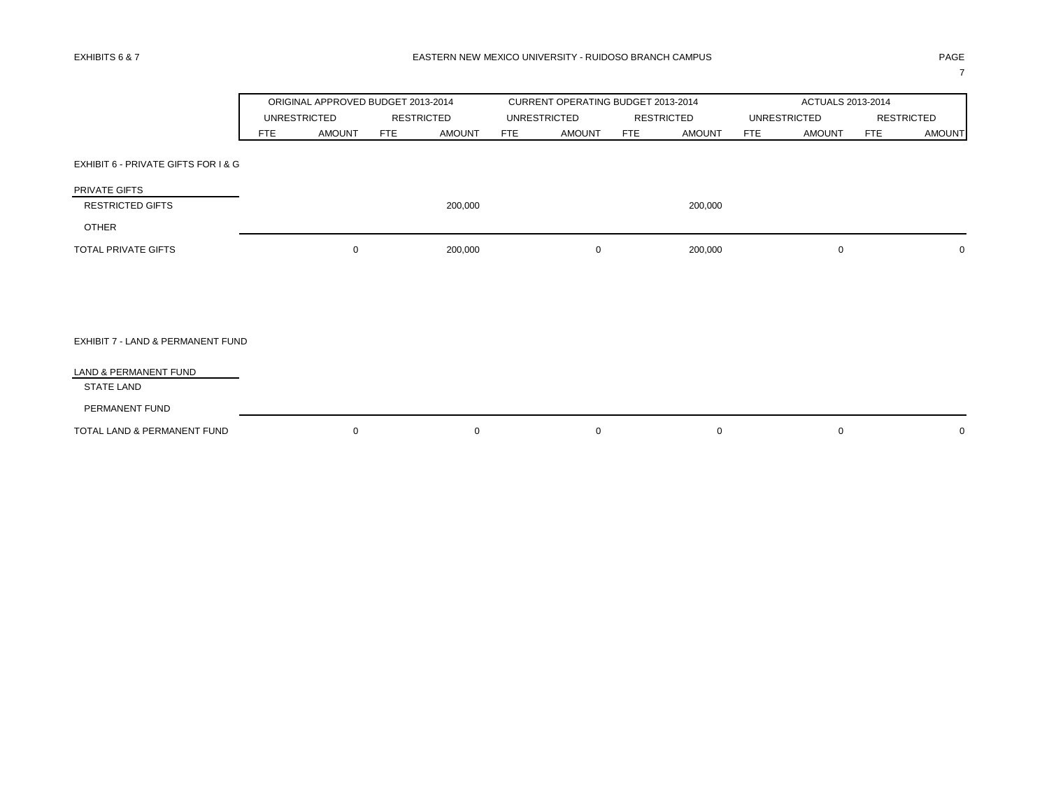7

|                                     |            |                     | ORIGINAL APPROVED BUDGET 2013-2014 |            | CURRENT OPERATING BUDGET 2013-2014 |            |                   | ACTUALS 2013-2014           |            |                   |
|-------------------------------------|------------|---------------------|------------------------------------|------------|------------------------------------|------------|-------------------|-----------------------------|------------|-------------------|
|                                     |            | <b>UNRESTRICTED</b> | <b>RESTRICTED</b>                  |            | <b>UNRESTRICTED</b>                |            | <b>RESTRICTED</b> | <b>UNRESTRICTED</b>         |            | <b>RESTRICTED</b> |
|                                     | <b>FTE</b> | <b>AMOUNT</b>       | <b>AMOUNT</b><br><b>FTE</b>        | <b>FTE</b> | <b>AMOUNT</b>                      | <b>FTE</b> | <b>AMOUNT</b>     | <b>AMOUNT</b><br><b>FTE</b> | <b>FTE</b> | <b>AMOUNT</b>     |
| EXHIBIT 6 - PRIVATE GIFTS FOR I & G |            |                     |                                    |            |                                    |            |                   |                             |            |                   |
| PRIVATE GIFTS                       |            |                     |                                    |            |                                    |            |                   |                             |            |                   |
| <b>RESTRICTED GIFTS</b>             |            |                     | 200,000                            |            |                                    |            | 200,000           |                             |            |                   |
| <b>OTHER</b>                        |            |                     |                                    |            |                                    |            |                   |                             |            |                   |
| <b>TOTAL PRIVATE GIFTS</b>          |            | $\mathbf 0$         | 200,000                            |            | 0                                  |            | 200,000           | 0                           |            | $\mathbf 0$       |
|                                     |            |                     |                                    |            |                                    |            |                   |                             |            |                   |
|                                     |            |                     |                                    |            |                                    |            |                   |                             |            |                   |
| EXHIBIT 7 - LAND & PERMANENT FUND   |            |                     |                                    |            |                                    |            |                   |                             |            |                   |
| LAND & PERMANENT FUND               |            |                     |                                    |            |                                    |            |                   |                             |            |                   |
| <b>STATE LAND</b>                   |            |                     |                                    |            |                                    |            |                   |                             |            |                   |
| PERMANENT FUND                      |            |                     |                                    |            |                                    |            |                   |                             |            |                   |
| TOTAL LAND & PERMANENT FUND         |            | $\mathbf 0$         | $\mathbf 0$                        |            | $\mathbf 0$                        |            | $\mathbf 0$       | 0                           |            | $\mathbf 0$       |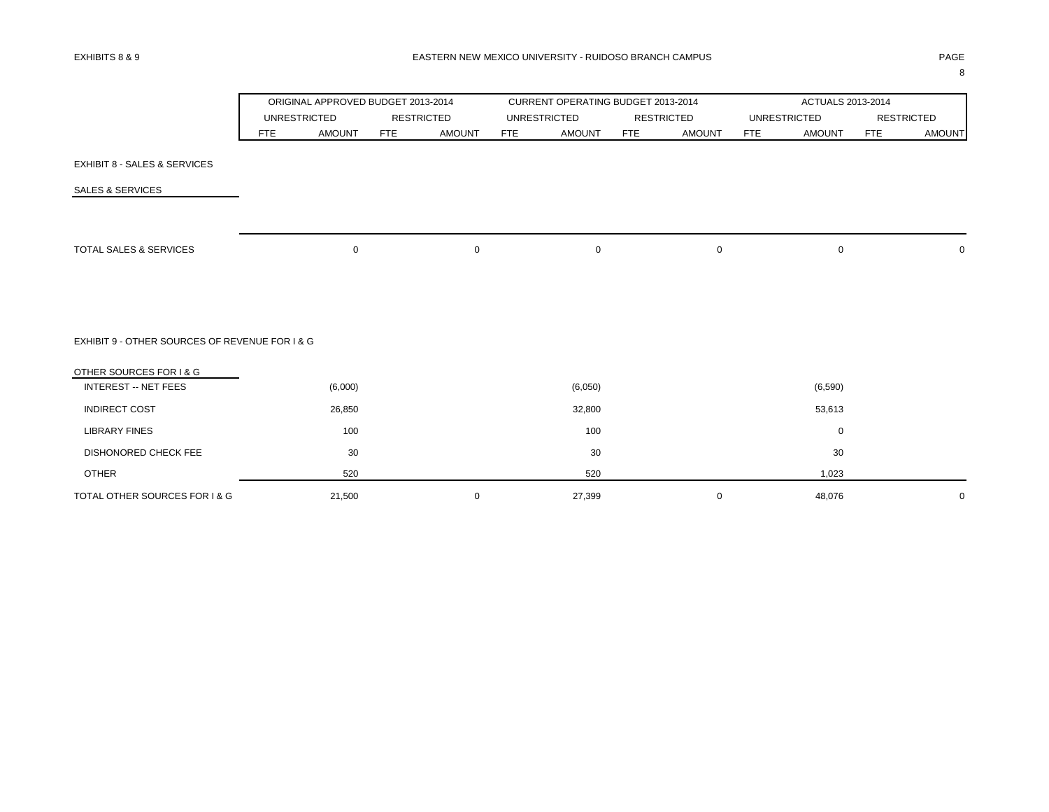|                                                |     | ORIGINAL APPROVED BUDGET 2013-2014 |     |                   |            | CURRENT OPERATING BUDGET 2013-2014 |            |                   |            | ACTUALS 2013-2014   |            |                   |
|------------------------------------------------|-----|------------------------------------|-----|-------------------|------------|------------------------------------|------------|-------------------|------------|---------------------|------------|-------------------|
|                                                |     | <b>UNRESTRICTED</b>                |     | <b>RESTRICTED</b> |            | <b>UNRESTRICTED</b>                |            | <b>RESTRICTED</b> |            | <b>UNRESTRICTED</b> |            | <b>RESTRICTED</b> |
|                                                | FTE | <b>AMOUNT</b>                      | FTE | <b>AMOUNT</b>     | <b>FTE</b> | <b>AMOUNT</b>                      | <b>FTE</b> | <b>AMOUNT</b>     | <b>FTE</b> | <b>AMOUNT</b>       | <b>FTE</b> | <b>AMOUNT</b>     |
| <b>EXHIBIT 8 - SALES &amp; SERVICES</b>        |     |                                    |     |                   |            |                                    |            |                   |            |                     |            |                   |
| SALES & SERVICES                               |     |                                    |     |                   |            |                                    |            |                   |            |                     |            |                   |
|                                                |     |                                    |     |                   |            |                                    |            |                   |            |                     |            |                   |
| TOTAL SALES & SERVICES                         |     | 0                                  |     | $\mathbf 0$       |            | $\mathbf 0$                        |            | $\mathbf 0$       |            | $\mathbf 0$         |            | $\mathbf 0$       |
|                                                |     |                                    |     |                   |            |                                    |            |                   |            |                     |            |                   |
| EXHIBIT 9 - OTHER SOURCES OF REVENUE FOR I & G |     |                                    |     |                   |            |                                    |            |                   |            |                     |            |                   |
| OTHER SOURCES FOR I & G                        |     |                                    |     |                   |            |                                    |            |                   |            |                     |            |                   |
| <b>INTEREST -- NET FEES</b>                    |     | (6,000)                            |     |                   |            | (6,050)                            |            |                   |            | (6, 590)            |            |                   |
| <b>INDIRECT COST</b>                           |     | 26,850                             |     |                   |            | 32,800                             |            |                   |            | 53,613              |            |                   |
| <b>LIBRARY FINES</b>                           |     | 100                                |     |                   |            | 100                                |            |                   |            | $\mathbf 0$         |            |                   |
| DISHONORED CHECK FEE                           |     | 30                                 |     |                   |            | 30                                 |            |                   |            | 30                  |            |                   |
| <b>OTHER</b>                                   |     | 520                                |     |                   |            | 520                                |            |                   |            | 1,023               |            |                   |
| TOTAL OTHER SOURCES FOR I & G                  |     | 21,500                             |     | $\mathbf 0$       |            | 27,399                             |            | $\mathbf 0$       |            | 48,076              |            | $\mathbf 0$       |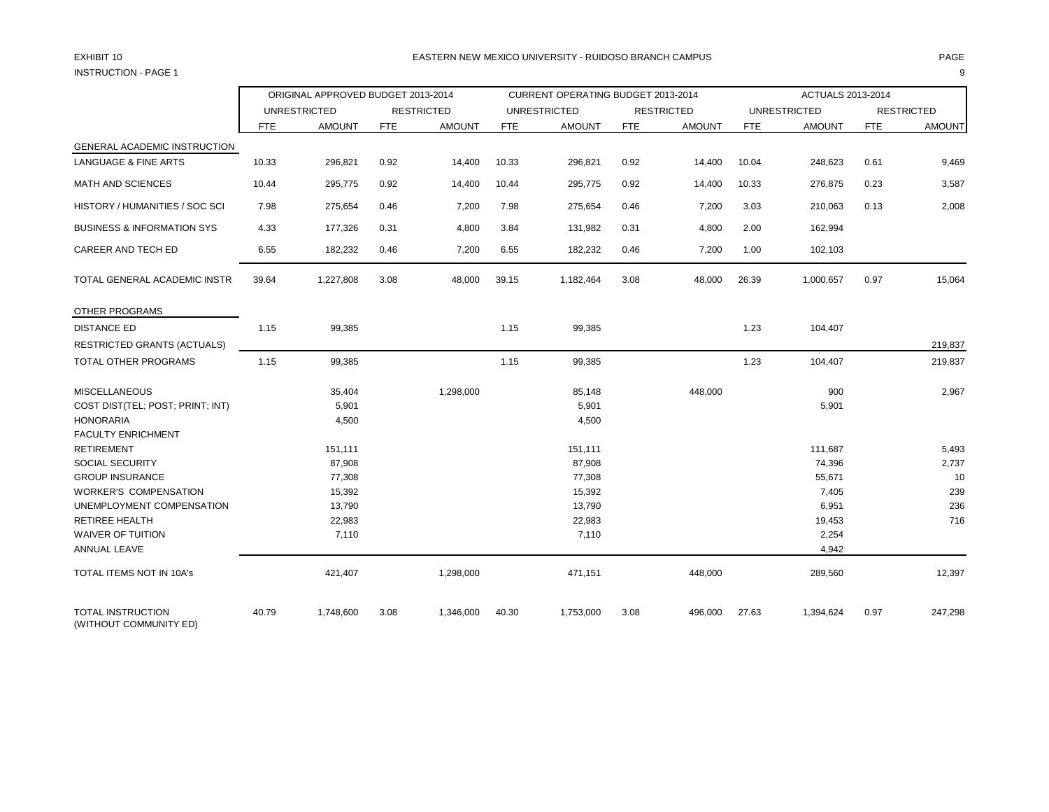# INSTRUCTION - PAGE 1 9

## EXHIBIT 10 PAGE PAGE IN PAGE IN THE SEASTERN NEW MEXICO UNIVERSITY - RUIDOSO BRANCH CAMPUS AND THE SEASTERN ON THE PAGE

|                                                    | ORIGINAL APPROVED BUDGET 2013-2014 |                     |            |                   |            | CURRENT OPERATING BUDGET 2013-2014 |            |               |            | ACTUALS 2013-2014   |            |                   |
|----------------------------------------------------|------------------------------------|---------------------|------------|-------------------|------------|------------------------------------|------------|---------------|------------|---------------------|------------|-------------------|
|                                                    |                                    | <b>UNRESTRICTED</b> |            | <b>RESTRICTED</b> |            | <b>UNRESTRICTED</b>                |            | RESTRICTED    |            | <b>UNRESTRICTED</b> |            | <b>RESTRICTED</b> |
|                                                    | <b>FTE</b>                         | <b>AMOUNT</b>       | <b>FTE</b> | <b>AMOUNT</b>     | <b>FTE</b> | <b>AMOUNT</b>                      | <b>FTE</b> | <b>AMOUNT</b> | <b>FTE</b> | <b>AMOUNT</b>       | <b>FTE</b> | <b>AMOUNT</b>     |
| <b>GENERAL ACADEMIC INSTRUCTION</b>                |                                    |                     |            |                   |            |                                    |            |               |            |                     |            |                   |
| LANGUAGE & FINE ARTS                               | 10.33                              | 296,821             | 0.92       | 14,400            | 10.33      | 296,821                            | 0.92       | 14,400        | 10.04      | 248,623             | 0.61       | 9,469             |
| <b>MATH AND SCIENCES</b>                           | 10.44                              | 295,775             | 0.92       | 14,400            | 10.44      | 295,775                            | 0.92       | 14,400        | 10.33      | 276,875             | 0.23       | 3,587             |
| HISTORY / HUMANITIES / SOC SCI                     | 7.98                               | 275,654             | 0.46       | 7,200             | 7.98       | 275,654                            | 0.46       | 7,200         | 3.03       | 210,063             | 0.13       | 2,008             |
| <b>BUSINESS &amp; INFORMATION SYS</b>              | 4.33                               | 177,326             | 0.31       | 4,800             | 3.84       | 131,982                            | 0.31       | 4,800         | 2.00       | 162,994             |            |                   |
| CAREER AND TECH ED                                 | 6.55                               | 182,232             | 0.46       | 7,200             | 6.55       | 182,232                            | 0.46       | 7,200         | 1.00       | 102,103             |            |                   |
| TOTAL GENERAL ACADEMIC INSTR                       | 39.64                              | 1,227,808           | 3.08       | 48,000            | 39.15      | 1,182,464                          | 3.08       | 48,000        | 26.39      | 1,000,657           | 0.97       | 15,064            |
| OTHER PROGRAMS                                     |                                    |                     |            |                   |            |                                    |            |               |            |                     |            |                   |
| <b>DISTANCE ED</b>                                 | 1.15                               | 99,385              |            |                   | 1.15       | 99,385                             |            |               | 1.23       | 104,407             |            |                   |
| <b>RESTRICTED GRANTS (ACTUALS)</b>                 |                                    |                     |            |                   |            |                                    |            |               |            |                     |            | 219,837           |
| TOTAL OTHER PROGRAMS                               | 1.15                               | 99,385              |            |                   | 1.15       | 99,385                             |            |               | 1.23       | 104,407             |            | 219,837           |
| <b>MISCELLANEOUS</b>                               |                                    | 35,404              |            | 1,298,000         |            | 85,148                             |            | 448,000       |            | 900                 |            | 2,967             |
| COST DIST(TEL; POST; PRINT; INT)                   |                                    | 5,901               |            |                   |            | 5,901                              |            |               |            | 5,901               |            |                   |
| <b>HONORARIA</b>                                   |                                    | 4,500               |            |                   |            | 4,500                              |            |               |            |                     |            |                   |
| <b>FACULTY ENRICHMENT</b>                          |                                    |                     |            |                   |            |                                    |            |               |            |                     |            |                   |
| <b>RETIREMENT</b>                                  |                                    | 151,111             |            |                   |            | 151,111                            |            |               |            | 111,687             |            | 5,493             |
| SOCIAL SECURITY<br><b>GROUP INSURANCE</b>          |                                    | 87,908<br>77,308    |            |                   |            | 87,908<br>77,308                   |            |               |            | 74,396<br>55,671    |            | 2,737<br>10       |
| <b>WORKER'S COMPENSATION</b>                       |                                    | 15,392              |            |                   |            | 15,392                             |            |               |            | 7,405               |            | 239               |
| UNEMPLOYMENT COMPENSATION                          |                                    | 13,790              |            |                   |            | 13,790                             |            |               |            | 6,951               |            | 236               |
| <b>RETIREE HEALTH</b>                              |                                    | 22,983              |            |                   |            | 22,983                             |            |               |            | 19,453              |            | 716               |
| WAIVER OF TUITION                                  |                                    | 7,110               |            |                   |            | 7,110                              |            |               |            | 2,254               |            |                   |
| ANNUAL LEAVE                                       |                                    |                     |            |                   |            |                                    |            |               |            | 4,942               |            |                   |
| TOTAL ITEMS NOT IN 10A's                           |                                    | 421,407             |            | 1,298,000         |            | 471,151                            |            | 448,000       |            | 289,560             |            | 12,397            |
| <b>TOTAL INSTRUCTION</b><br>(WITHOUT COMMUNITY ED) | 40.79                              | 1,748,600           | 3.08       | 1,346,000         | 40.30      | 1,753,000                          | 3.08       | 496,000       | 27.63      | 1,394,624           | 0.97       | 247,298           |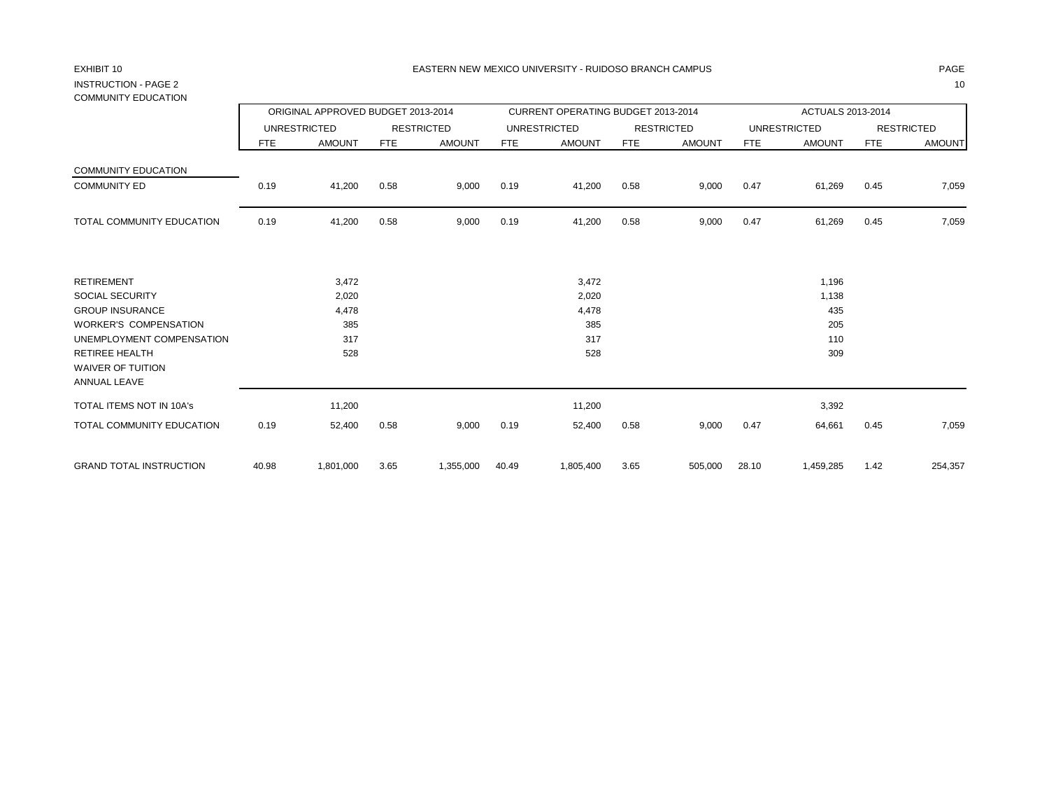# INSTRUCTION - PAGE 2 10 COMMUNITY EDUCATION

|                                                    |       | ORIGINAL APPROVED BUDGET 2013-2014 |            |                   |       | CURRENT OPERATING BUDGET 2013-2014 |            |                   |       | ACTUALS 2013-2014   |            |                   |
|----------------------------------------------------|-------|------------------------------------|------------|-------------------|-------|------------------------------------|------------|-------------------|-------|---------------------|------------|-------------------|
|                                                    |       | <b>UNRESTRICTED</b>                |            | <b>RESTRICTED</b> |       | <b>UNRESTRICTED</b>                |            | <b>RESTRICTED</b> |       | <b>UNRESTRICTED</b> |            | <b>RESTRICTED</b> |
|                                                    | FTE   | <b>AMOUNT</b>                      | <b>FTE</b> | <b>AMOUNT</b>     | FTE   | <b>AMOUNT</b>                      | <b>FTE</b> | <b>AMOUNT</b>     | FTE   | <b>AMOUNT</b>       | <b>FTE</b> | <b>AMOUNT</b>     |
| <b>COMMUNITY EDUCATION</b>                         |       |                                    |            |                   |       |                                    |            |                   |       |                     |            |                   |
| <b>COMMUNITY ED</b>                                | 0.19  | 41,200                             | 0.58       | 9,000             | 0.19  | 41,200                             | 0.58       | 9,000             | 0.47  | 61,269              | 0.45       | 7,059             |
| TOTAL COMMUNITY EDUCATION                          | 0.19  | 41,200                             | 0.58       | 9,000             | 0.19  | 41,200                             | 0.58       | 9,000             | 0.47  | 61,269              | 0.45       | 7,059             |
| <b>RETIREMENT</b>                                  |       | 3,472                              |            |                   |       | 3,472                              |            |                   |       | 1,196               |            |                   |
| <b>SOCIAL SECURITY</b>                             |       | 2,020                              |            |                   |       | 2,020                              |            |                   |       | 1,138               |            |                   |
| <b>GROUP INSURANCE</b>                             |       | 4,478                              |            |                   |       | 4,478                              |            |                   |       | 435                 |            |                   |
| <b>WORKER'S COMPENSATION</b>                       |       | 385                                |            |                   |       | 385                                |            |                   |       | 205                 |            |                   |
| UNEMPLOYMENT COMPENSATION<br><b>RETIREE HEALTH</b> |       | 317<br>528                         |            |                   |       | 317<br>528                         |            |                   |       | 110<br>309          |            |                   |
| WAIVER OF TUITION<br>ANNUAL LEAVE                  |       |                                    |            |                   |       |                                    |            |                   |       |                     |            |                   |
| <b>TOTAL ITEMS NOT IN 10A's</b>                    |       | 11,200                             |            |                   |       | 11,200                             |            |                   |       | 3,392               |            |                   |
| TOTAL COMMUNITY EDUCATION                          | 0.19  | 52,400                             | 0.58       | 9,000             | 0.19  | 52,400                             | 0.58       | 9,000             | 0.47  | 64,661              | 0.45       | 7,059             |
| <b>GRAND TOTAL INSTRUCTION</b>                     | 40.98 | 1,801,000                          | 3.65       | 1,355,000         | 40.49 | 1,805,400                          | 3.65       | 505,000           | 28.10 | 1,459,285           | 1.42       | 254,357           |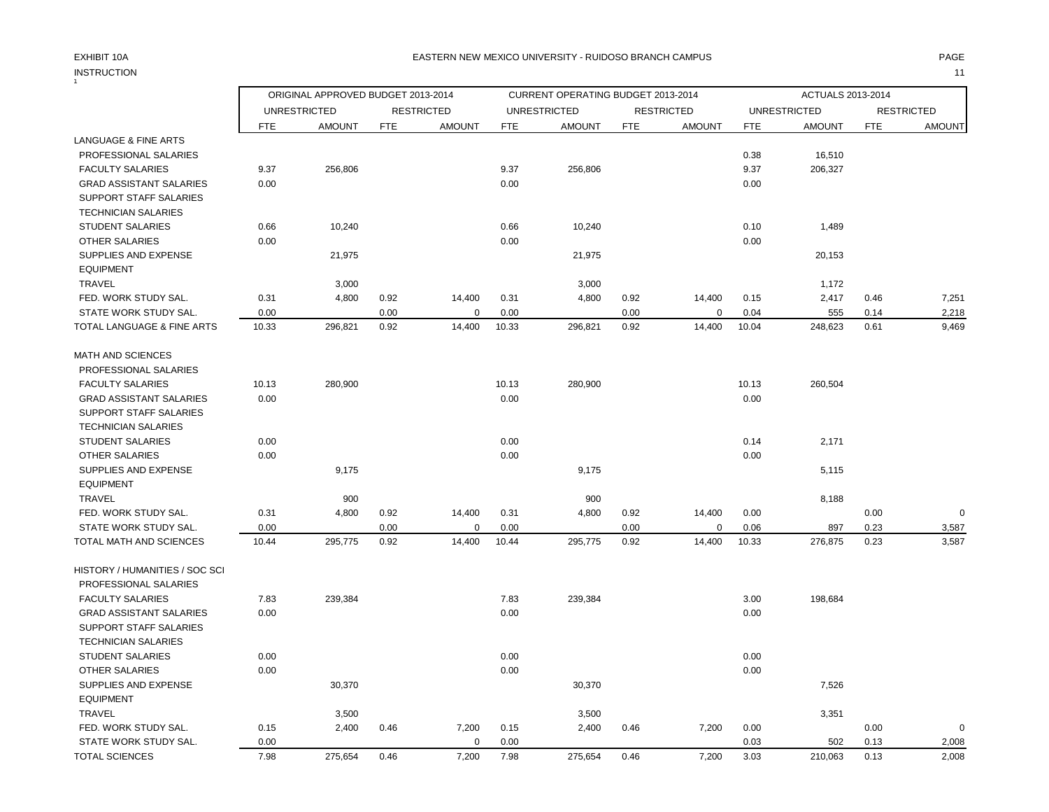# INSTRUCTION 11 INSTRUCTION

### EXHIBIT 10A PAGE EASTERN NEW MEXICO UNIVERSITY - RUIDOSO BRANCH CAMPUS

|                                 |            | ORIGINAL APPROVED BUDGET 2013-2014 |            |                   |            | CURRENT OPERATING BUDGET 2013-2014 |            |                   |            | ACTUALS 2013-2014   |            |                   |
|---------------------------------|------------|------------------------------------|------------|-------------------|------------|------------------------------------|------------|-------------------|------------|---------------------|------------|-------------------|
|                                 |            | <b>UNRESTRICTED</b>                |            | <b>RESTRICTED</b> |            | <b>UNRESTRICTED</b>                |            | <b>RESTRICTED</b> |            | <b>UNRESTRICTED</b> |            | <b>RESTRICTED</b> |
|                                 | <b>FTE</b> | <b>AMOUNT</b>                      | <b>FTE</b> | <b>AMOUNT</b>     | <b>FTE</b> | <b>AMOUNT</b>                      | <b>FTE</b> | <b>AMOUNT</b>     | <b>FTE</b> | <b>AMOUNT</b>       | <b>FTE</b> | <b>AMOUNT</b>     |
| <b>LANGUAGE &amp; FINE ARTS</b> |            |                                    |            |                   |            |                                    |            |                   |            |                     |            |                   |
| PROFESSIONAL SALARIES           |            |                                    |            |                   |            |                                    |            |                   | 0.38       | 16,510              |            |                   |
| <b>FACULTY SALARIES</b>         | 9.37       | 256,806                            |            |                   | 9.37       | 256,806                            |            |                   | 9.37       | 206,327             |            |                   |
| <b>GRAD ASSISTANT SALARIES</b>  | 0.00       |                                    |            |                   | 0.00       |                                    |            |                   | 0.00       |                     |            |                   |
| SUPPORT STAFF SALARIES          |            |                                    |            |                   |            |                                    |            |                   |            |                     |            |                   |
| <b>TECHNICIAN SALARIES</b>      |            |                                    |            |                   |            |                                    |            |                   |            |                     |            |                   |
| <b>STUDENT SALARIES</b>         | 0.66       | 10,240                             |            |                   | 0.66       | 10,240                             |            |                   | 0.10       | 1,489               |            |                   |
| <b>OTHER SALARIES</b>           | 0.00       |                                    |            |                   | 0.00       |                                    |            |                   | 0.00       |                     |            |                   |
| SUPPLIES AND EXPENSE            |            | 21,975                             |            |                   |            | 21,975                             |            |                   |            | 20,153              |            |                   |
| <b>EQUIPMENT</b>                |            |                                    |            |                   |            |                                    |            |                   |            |                     |            |                   |
| TRAVEL                          |            | 3,000                              |            |                   |            | 3,000                              |            |                   |            | 1,172               |            |                   |
| FED. WORK STUDY SAL.            | 0.31       | 4,800                              | 0.92       | 14,400            | 0.31       | 4,800                              | 0.92       | 14,400            | 0.15       | 2,417               | 0.46       | 7,251             |
| STATE WORK STUDY SAL.           | 0.00       |                                    | 0.00       | $\mathbf 0$       | 0.00       |                                    | 0.00       | $\mathbf 0$       | 0.04       | 555                 | 0.14       | 2,218             |
| TOTAL LANGUAGE & FINE ARTS      | 10.33      | 296,821                            | 0.92       | 14,400            | 10.33      | 296,821                            | 0.92       | 14,400            | 10.04      | 248,623             | 0.61       | 9,469             |
|                                 |            |                                    |            |                   |            |                                    |            |                   |            |                     |            |                   |
| <b>MATH AND SCIENCES</b>        |            |                                    |            |                   |            |                                    |            |                   |            |                     |            |                   |
| PROFESSIONAL SALARIES           |            |                                    |            |                   |            |                                    |            |                   |            |                     |            |                   |
| <b>FACULTY SALARIES</b>         | 10.13      | 280,900                            |            |                   | 10.13      | 280,900                            |            |                   | 10.13      | 260,504             |            |                   |
| <b>GRAD ASSISTANT SALARIES</b>  | 0.00       |                                    |            |                   | 0.00       |                                    |            |                   | 0.00       |                     |            |                   |
| SUPPORT STAFF SALARIES          |            |                                    |            |                   |            |                                    |            |                   |            |                     |            |                   |
| <b>TECHNICIAN SALARIES</b>      |            |                                    |            |                   |            |                                    |            |                   |            |                     |            |                   |
| <b>STUDENT SALARIES</b>         | 0.00       |                                    |            |                   | 0.00       |                                    |            |                   | 0.14       | 2,171               |            |                   |
| <b>OTHER SALARIES</b>           | 0.00       |                                    |            |                   | 0.00       |                                    |            |                   | 0.00       |                     |            |                   |
| SUPPLIES AND EXPENSE            |            | 9,175                              |            |                   |            | 9,175                              |            |                   |            | 5,115               |            |                   |
| <b>EQUIPMENT</b>                |            |                                    |            |                   |            |                                    |            |                   |            |                     |            |                   |
| <b>TRAVEL</b>                   |            | 900                                |            |                   |            | 900                                |            |                   |            | 8,188               |            |                   |
| FED. WORK STUDY SAL.            | 0.31       | 4,800                              | 0.92       | 14,400            | 0.31       | 4,800                              | 0.92       | 14,400            | 0.00       |                     | 0.00       | $\mathbf 0$       |
| STATE WORK STUDY SAL.           | 0.00       |                                    | 0.00       | $\mathbf 0$       | 0.00       |                                    | 0.00       | $\mathbf 0$       | 0.06       | 897                 | 0.23       | 3,587             |
| TOTAL MATH AND SCIENCES         | 10.44      | 295,775                            | 0.92       | 14,400            | 10.44      | 295,775                            | 0.92       | 14,400            | 10.33      | 276,875             | 0.23       | 3,587             |
| HISTORY / HUMANITIES / SOC SCI  |            |                                    |            |                   |            |                                    |            |                   |            |                     |            |                   |
| PROFESSIONAL SALARIES           |            |                                    |            |                   |            |                                    |            |                   |            |                     |            |                   |
| <b>FACULTY SALARIES</b>         | 7.83       | 239,384                            |            |                   | 7.83       | 239,384                            |            |                   | 3.00       | 198,684             |            |                   |
| <b>GRAD ASSISTANT SALARIES</b>  | 0.00       |                                    |            |                   | 0.00       |                                    |            |                   | 0.00       |                     |            |                   |
| SUPPORT STAFF SALARIES          |            |                                    |            |                   |            |                                    |            |                   |            |                     |            |                   |
| <b>TECHNICIAN SALARIES</b>      |            |                                    |            |                   |            |                                    |            |                   |            |                     |            |                   |
| <b>STUDENT SALARIES</b>         | 0.00       |                                    |            |                   | 0.00       |                                    |            |                   | 0.00       |                     |            |                   |
| <b>OTHER SALARIES</b>           | 0.00       |                                    |            |                   | 0.00       |                                    |            |                   | 0.00       |                     |            |                   |
| SUPPLIES AND EXPENSE            |            | 30,370                             |            |                   |            | 30,370                             |            |                   |            | 7,526               |            |                   |
| <b>EQUIPMENT</b>                |            |                                    |            |                   |            |                                    |            |                   |            |                     |            |                   |
| <b>TRAVEL</b>                   |            | 3,500                              |            |                   |            | 3,500                              |            |                   |            | 3,351               |            |                   |
| FED. WORK STUDY SAL.            | 0.15       | 2,400                              | 0.46       | 7,200             | 0.15       | 2,400                              | 0.46       | 7,200             | 0.00       |                     | 0.00       | $\mathbf 0$       |
| STATE WORK STUDY SAL.           | 0.00       |                                    |            | $\Omega$          | 0.00       |                                    |            |                   | 0.03       | 502                 | 0.13       | 2,008             |
| <b>TOTAL SCIENCES</b>           | 7.98       | 275,654                            | 0.46       | 7,200             | 7.98       | 275,654                            | 0.46       | 7,200             | 3.03       | 210,063             | 0.13       | 2,008             |
|                                 |            |                                    |            |                   |            |                                    |            |                   |            |                     |            |                   |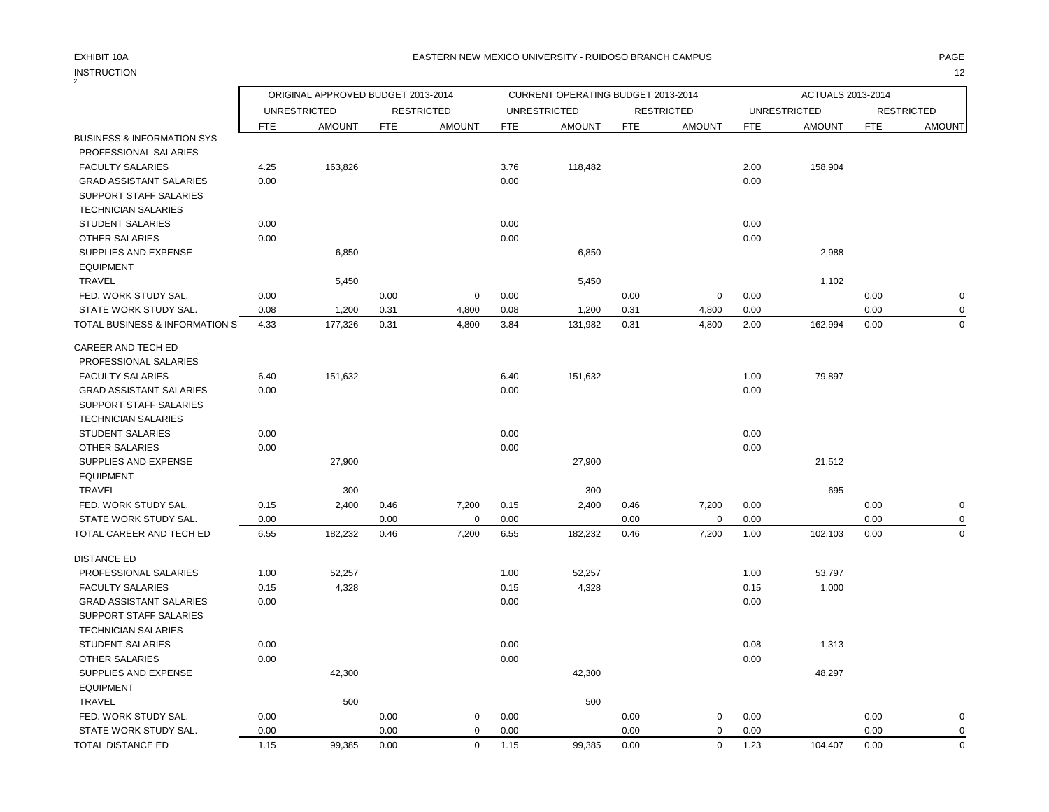## EXHIBIT 10A PAGE EASTERN NEW MEXICO UNIVERSITY - RUIDOSO BRANCH CAMPUS

|                                       | ORIGINAL APPROVED BUDGET 2013-2014<br>CURRENT OPERATING BUDGET 2013-2014 |                     |            |                   |            |                     |            | ACTUALS 2013-2014 |            |                     |            |                   |
|---------------------------------------|--------------------------------------------------------------------------|---------------------|------------|-------------------|------------|---------------------|------------|-------------------|------------|---------------------|------------|-------------------|
|                                       |                                                                          | <b>UNRESTRICTED</b> |            | <b>RESTRICTED</b> |            | <b>UNRESTRICTED</b> |            | <b>RESTRICTED</b> |            | <b>UNRESTRICTED</b> |            | <b>RESTRICTED</b> |
|                                       | <b>FTE</b>                                                               | <b>AMOUNT</b>       | <b>FTE</b> | <b>AMOUNT</b>     | <b>FTE</b> | <b>AMOUNT</b>       | <b>FTE</b> | <b>AMOUNT</b>     | <b>FTE</b> | <b>AMOUNT</b>       | <b>FTE</b> | <b>AMOUNT</b>     |
| <b>BUSINESS &amp; INFORMATION SYS</b> |                                                                          |                     |            |                   |            |                     |            |                   |            |                     |            |                   |
| PROFESSIONAL SALARIES                 |                                                                          |                     |            |                   |            |                     |            |                   |            |                     |            |                   |
| <b>FACULTY SALARIES</b>               | 4.25                                                                     | 163,826             |            |                   | 3.76       | 118,482             |            |                   | 2.00       | 158,904             |            |                   |
| <b>GRAD ASSISTANT SALARIES</b>        | 0.00                                                                     |                     |            |                   | 0.00       |                     |            |                   | 0.00       |                     |            |                   |
| SUPPORT STAFF SALARIES                |                                                                          |                     |            |                   |            |                     |            |                   |            |                     |            |                   |
| <b>TECHNICIAN SALARIES</b>            |                                                                          |                     |            |                   |            |                     |            |                   |            |                     |            |                   |
| <b>STUDENT SALARIES</b>               | 0.00                                                                     |                     |            |                   | 0.00       |                     |            |                   | 0.00       |                     |            |                   |
| OTHER SALARIES                        | 0.00                                                                     |                     |            |                   | 0.00       |                     |            |                   | 0.00       |                     |            |                   |
| SUPPLIES AND EXPENSE                  |                                                                          | 6,850               |            |                   |            | 6,850               |            |                   |            | 2,988               |            |                   |
| <b>EQUIPMENT</b>                      |                                                                          |                     |            |                   |            |                     |            |                   |            |                     |            |                   |
| TRAVEL                                |                                                                          | 5,450               |            |                   |            | 5,450               |            |                   |            | 1,102               |            |                   |
| FED. WORK STUDY SAL.                  | 0.00                                                                     |                     | 0.00       | $\mathbf 0$       | 0.00       |                     | 0.00       | $\pmb{0}$         | 0.00       |                     | 0.00       | $\mathbf 0$       |
| STATE WORK STUDY SAL.                 | 0.08                                                                     | 1,200               | 0.31       | 4,800             | 0.08       | 1,200               | 0.31       | 4,800             | 0.00       |                     | 0.00       | $\mathbf 0$       |
| TOTAL BUSINESS & INFORMATION S'       | 4.33                                                                     | 177,326             | 0.31       | 4,800             | 3.84       | 131,982             | 0.31       | 4,800             | 2.00       | 162,994             | 0.00       | $\overline{0}$    |
| CAREER AND TECH ED                    |                                                                          |                     |            |                   |            |                     |            |                   |            |                     |            |                   |
| PROFESSIONAL SALARIES                 |                                                                          |                     |            |                   |            |                     |            |                   |            |                     |            |                   |
| <b>FACULTY SALARIES</b>               | 6.40                                                                     | 151,632             |            |                   | 6.40       | 151,632             |            |                   | 1.00       | 79,897              |            |                   |
| <b>GRAD ASSISTANT SALARIES</b>        | 0.00                                                                     |                     |            |                   | 0.00       |                     |            |                   | 0.00       |                     |            |                   |
| SUPPORT STAFF SALARIES                |                                                                          |                     |            |                   |            |                     |            |                   |            |                     |            |                   |
| <b>TECHNICIAN SALARIES</b>            |                                                                          |                     |            |                   |            |                     |            |                   |            |                     |            |                   |
| <b>STUDENT SALARIES</b>               | 0.00                                                                     |                     |            |                   | 0.00       |                     |            |                   | 0.00       |                     |            |                   |
| <b>OTHER SALARIES</b>                 | 0.00                                                                     |                     |            |                   | 0.00       |                     |            |                   | 0.00       |                     |            |                   |
| SUPPLIES AND EXPENSE                  |                                                                          | 27,900              |            |                   |            | 27,900              |            |                   |            | 21,512              |            |                   |
| <b>EQUIPMENT</b>                      |                                                                          |                     |            |                   |            |                     |            |                   |            |                     |            |                   |
| TRAVEL                                |                                                                          | 300                 |            |                   |            | 300                 |            |                   |            | 695                 |            |                   |
| FED. WORK STUDY SAL.                  | 0.15                                                                     | 2,400               | 0.46       | 7,200             | 0.15       | 2,400               | 0.46       | 7,200             | 0.00       |                     | 0.00       | $\mathbf 0$       |
| STATE WORK STUDY SAL.                 | 0.00                                                                     |                     | 0.00       | $\mathbf 0$       | 0.00       |                     | 0.00       | $\pmb{0}$         | 0.00       |                     | 0.00       | $\mathbf 0$       |
| TOTAL CAREER AND TECH ED              | 6.55                                                                     | 182,232             | 0.46       | 7,200             | 6.55       | 182,232             | 0.46       | 7,200             | 1.00       | 102,103             | 0.00       | 0                 |
| <b>DISTANCE ED</b>                    |                                                                          |                     |            |                   |            |                     |            |                   |            |                     |            |                   |
| PROFESSIONAL SALARIES                 | 1.00                                                                     | 52,257              |            |                   | 1.00       | 52,257              |            |                   | 1.00       | 53,797              |            |                   |
| <b>FACULTY SALARIES</b>               | 0.15                                                                     | 4,328               |            |                   | 0.15       | 4,328               |            |                   | 0.15       | 1,000               |            |                   |
| <b>GRAD ASSISTANT SALARIES</b>        | 0.00                                                                     |                     |            |                   | 0.00       |                     |            |                   | 0.00       |                     |            |                   |
| SUPPORT STAFF SALARIES                |                                                                          |                     |            |                   |            |                     |            |                   |            |                     |            |                   |
| <b>TECHNICIAN SALARIES</b>            |                                                                          |                     |            |                   |            |                     |            |                   |            |                     |            |                   |
| <b>STUDENT SALARIES</b>               | 0.00                                                                     |                     |            |                   | 0.00       |                     |            |                   | 0.08       | 1,313               |            |                   |
| <b>OTHER SALARIES</b>                 | 0.00                                                                     |                     |            |                   | 0.00       |                     |            |                   | 0.00       |                     |            |                   |
| SUPPLIES AND EXPENSE                  |                                                                          | 42,300              |            |                   |            | 42,300              |            |                   |            | 48,297              |            |                   |
| <b>EQUIPMENT</b>                      |                                                                          |                     |            |                   |            |                     |            |                   |            |                     |            |                   |
| <b>TRAVEL</b>                         |                                                                          | 500                 |            |                   |            | 500                 |            |                   |            |                     |            |                   |
| FED. WORK STUDY SAL.                  | 0.00                                                                     |                     | 0.00       | $\mathbf 0$       | 0.00       |                     | 0.00       | 0                 | 0.00       |                     | 0.00       | 0                 |
| STATE WORK STUDY SAL.                 | 0.00                                                                     |                     | 0.00       | $\mathbf 0$       | 0.00       |                     | 0.00       | $\mathbf 0$       | 0.00       |                     | 0.00       | $\mathbf 0$       |
| TOTAL DISTANCE ED                     | 1.15                                                                     | 99,385              | 0.00       | $\Omega$          | 1.15       | 99,385              | 0.00       | $\mathbf 0$       | 1.23       | 104,407             | 0.00       | $\mathbf 0$       |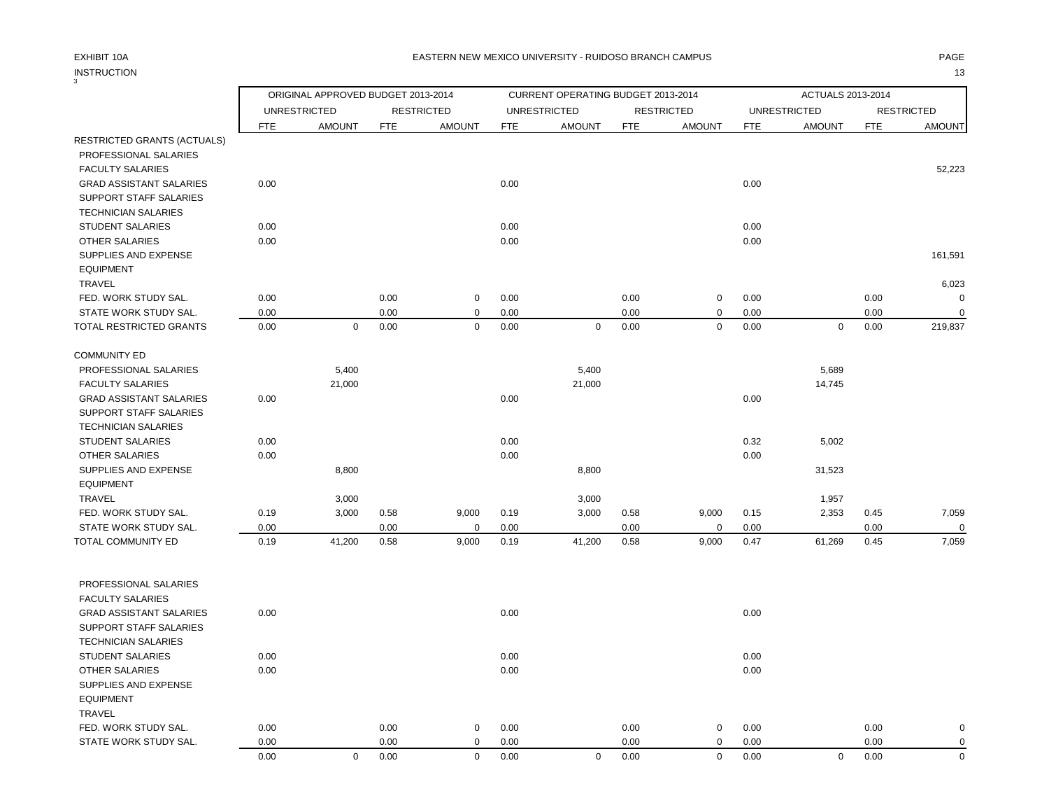# INSTRUCTION 13 INSTRUCTION<br>3

|                                       |            | ORIGINAL APPROVED BUDGET 2013-2014 |            |                   |            | CURRENT OPERATING BUDGET 2013-2014 |            |                   |            | ACTUALS 2013-2014   |            |                   |
|---------------------------------------|------------|------------------------------------|------------|-------------------|------------|------------------------------------|------------|-------------------|------------|---------------------|------------|-------------------|
|                                       |            | <b>UNRESTRICTED</b>                |            | <b>RESTRICTED</b> |            | <b>UNRESTRICTED</b>                |            | <b>RESTRICTED</b> |            | <b>UNRESTRICTED</b> |            | <b>RESTRICTED</b> |
| RESTRICTED GRANTS (ACTUALS)           | <b>FTE</b> | <b>AMOUNT</b>                      | <b>FTE</b> | <b>AMOUNT</b>     | <b>FTE</b> | <b>AMOUNT</b>                      | <b>FTE</b> | <b>AMOUNT</b>     | <b>FTE</b> | <b>AMOUNT</b>       | <b>FTE</b> | <b>AMOUNT</b>     |
| PROFESSIONAL SALARIES                 |            |                                    |            |                   |            |                                    |            |                   |            |                     |            |                   |
| <b>FACULTY SALARIES</b>               |            |                                    |            |                   |            |                                    |            |                   |            |                     |            | 52,223            |
| <b>GRAD ASSISTANT SALARIES</b>        | 0.00       |                                    |            |                   | 0.00       |                                    |            |                   | 0.00       |                     |            |                   |
| SUPPORT STAFF SALARIES                |            |                                    |            |                   |            |                                    |            |                   |            |                     |            |                   |
| <b>TECHNICIAN SALARIES</b>            |            |                                    |            |                   |            |                                    |            |                   |            |                     |            |                   |
| <b>STUDENT SALARIES</b>               | 0.00       |                                    |            |                   | 0.00       |                                    |            |                   | 0.00       |                     |            |                   |
| <b>OTHER SALARIES</b>                 | 0.00       |                                    |            |                   | 0.00       |                                    |            |                   | 0.00       |                     |            |                   |
| SUPPLIES AND EXPENSE                  |            |                                    |            |                   |            |                                    |            |                   |            |                     |            | 161,591           |
| <b>EQUIPMENT</b>                      |            |                                    |            |                   |            |                                    |            |                   |            |                     |            |                   |
| <b>TRAVEL</b>                         |            |                                    |            |                   |            |                                    |            |                   |            |                     |            | 6,023             |
| FED. WORK STUDY SAL.                  | 0.00       |                                    | 0.00       | $\mathbf 0$       | 0.00       |                                    | 0.00       | $\mathbf 0$       | 0.00       |                     | 0.00       | $\mathbf 0$       |
| STATE WORK STUDY SAL.                 | 0.00       |                                    | 0.00       | $\mathbf 0$       | 0.00       |                                    | 0.00       | $\mathbf 0$       | 0.00       |                     | 0.00       | $\Omega$          |
| TOTAL RESTRICTED GRANTS               | 0.00       | $\mathbf 0$                        | 0.00       | $\mathbf 0$       | 0.00       | $\mathbf 0$                        | 0.00       | $\mathbf 0$       | 0.00       | $\mathbf 0$         | 0.00       | 219,837           |
| <b>COMMUNITY ED</b>                   |            |                                    |            |                   |            |                                    |            |                   |            |                     |            |                   |
| PROFESSIONAL SALARIES                 |            | 5,400                              |            |                   |            | 5,400                              |            |                   |            | 5,689               |            |                   |
| <b>FACULTY SALARIES</b>               |            | 21,000                             |            |                   |            | 21,000                             |            |                   |            | 14,745              |            |                   |
| <b>GRAD ASSISTANT SALARIES</b>        | 0.00       |                                    |            |                   | 0.00       |                                    |            |                   | 0.00       |                     |            |                   |
| <b>SUPPORT STAFF SALARIES</b>         |            |                                    |            |                   |            |                                    |            |                   |            |                     |            |                   |
| <b>TECHNICIAN SALARIES</b>            |            |                                    |            |                   |            |                                    |            |                   |            |                     |            |                   |
| <b>STUDENT SALARIES</b>               | 0.00       |                                    |            |                   | 0.00       |                                    |            |                   | 0.32       | 5,002               |            |                   |
| OTHER SALARIES                        | 0.00       |                                    |            |                   | 0.00       |                                    |            |                   | 0.00       |                     |            |                   |
| SUPPLIES AND EXPENSE                  |            | 8,800                              |            |                   |            | 8,800                              |            |                   |            | 31,523              |            |                   |
| <b>EQUIPMENT</b>                      |            |                                    |            |                   |            |                                    |            |                   |            |                     |            |                   |
| <b>TRAVEL</b><br>FED. WORK STUDY SAL. | 0.19       | 3,000<br>3,000                     | 0.58       | 9,000             | 0.19       | 3,000<br>3,000                     | 0.58       | 9,000             | 0.15       | 1,957<br>2,353      | 0.45       | 7,059             |
| STATE WORK STUDY SAL.                 | 0.00       |                                    | 0.00       | $\mathbf 0$       | 0.00       |                                    | 0.00       | $\mathbf 0$       | 0.00       |                     | 0.00       | $\Omega$          |
| <b>TOTAL COMMUNITY ED</b>             | 0.19       | 41,200                             | 0.58       | 9,000             | 0.19       | 41,200                             | 0.58       | 9,000             | 0.47       | 61,269              | 0.45       | 7,059             |
|                                       |            |                                    |            |                   |            |                                    |            |                   |            |                     |            |                   |
| PROFESSIONAL SALARIES                 |            |                                    |            |                   |            |                                    |            |                   |            |                     |            |                   |
| <b>FACULTY SALARIES</b>               |            |                                    |            |                   |            |                                    |            |                   |            |                     |            |                   |
| <b>GRAD ASSISTANT SALARIES</b>        | 0.00       |                                    |            |                   | 0.00       |                                    |            |                   | 0.00       |                     |            |                   |
| SUPPORT STAFF SALARIES                |            |                                    |            |                   |            |                                    |            |                   |            |                     |            |                   |
| <b>TECHNICIAN SALARIES</b>            |            |                                    |            |                   |            |                                    |            |                   |            |                     |            |                   |
| <b>STUDENT SALARIES</b>               | 0.00       |                                    |            |                   | 0.00       |                                    |            |                   | 0.00       |                     |            |                   |
| OTHER SALARIES                        | 0.00       |                                    |            |                   | 0.00       |                                    |            |                   | 0.00       |                     |            |                   |
| SUPPLIES AND EXPENSE                  |            |                                    |            |                   |            |                                    |            |                   |            |                     |            |                   |
| <b>EQUIPMENT</b>                      |            |                                    |            |                   |            |                                    |            |                   |            |                     |            |                   |
| <b>TRAVEL</b>                         |            |                                    |            |                   |            |                                    |            |                   |            |                     |            |                   |
| FED. WORK STUDY SAL.                  | 0.00       |                                    | 0.00       | 0                 | 0.00       |                                    | 0.00       | 0                 | 0.00       |                     | 0.00       | 0                 |
| STATE WORK STUDY SAL.                 | 0.00       |                                    | 0.00       | $\mathbf 0$       | 0.00       |                                    | 0.00       | $\mathbf 0$       | 0.00       |                     | 0.00       | $\Omega$          |
|                                       | 0.00       | $\Omega$                           | 0.00       | $\mathbf 0$       | 0.00       | $\mathbf 0$                        | 0.00       | $\mathbf 0$       | 0.00       | $\mathbf 0$         | 0.00       | $\overline{0}$    |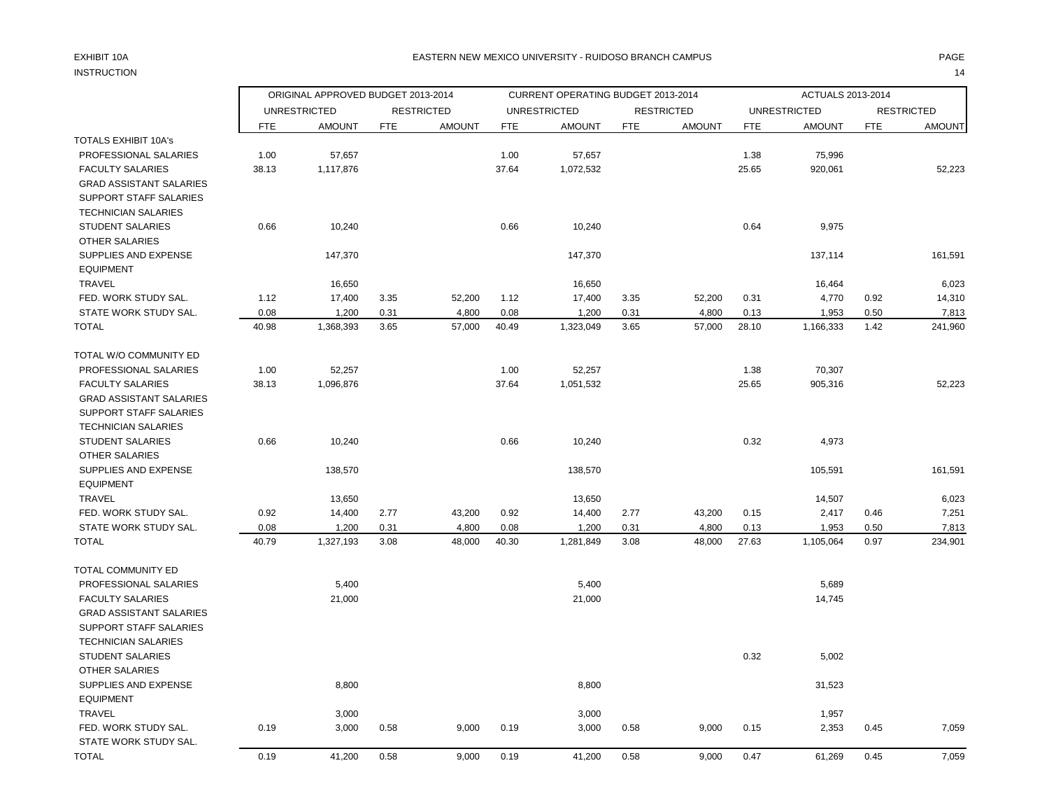# INSTRUCTION 14

## EXHIBIT 10A PAGE EASTERN NEW MEXICO UNIVERSITY - RUIDOSO BRANCH CAMPUS

|                                                           |              | ORIGINAL APPROVED BUDGET 2013-2014 |              |                   |              | CURRENT OPERATING BUDGET 2013-2014 |              |                   |              | ACTUALS 2013-2014   |              |                   |
|-----------------------------------------------------------|--------------|------------------------------------|--------------|-------------------|--------------|------------------------------------|--------------|-------------------|--------------|---------------------|--------------|-------------------|
|                                                           |              | <b>UNRESTRICTED</b>                |              | <b>RESTRICTED</b> |              | <b>UNRESTRICTED</b>                |              | <b>RESTRICTED</b> |              | <b>UNRESTRICTED</b> |              | <b>RESTRICTED</b> |
|                                                           | <b>FTE</b>   | <b>AMOUNT</b>                      | <b>FTE</b>   | <b>AMOUNT</b>     | <b>FTE</b>   | <b>AMOUNT</b>                      | <b>FTE</b>   | <b>AMOUNT</b>     | <b>FTE</b>   | <b>AMOUNT</b>       | <b>FTE</b>   | <b>AMOUNT</b>     |
| <b>TOTALS EXHIBIT 10A's</b>                               |              |                                    |              |                   |              |                                    |              |                   |              |                     |              |                   |
| PROFESSIONAL SALARIES                                     | 1.00         | 57,657                             |              |                   | 1.00         | 57,657                             |              |                   | 1.38         | 75,996              |              |                   |
| <b>FACULTY SALARIES</b><br><b>GRAD ASSISTANT SALARIES</b> | 38.13        | 1,117,876                          |              |                   | 37.64        | 1,072,532                          |              |                   | 25.65        | 920,061             |              | 52,223            |
| SUPPORT STAFF SALARIES                                    |              |                                    |              |                   |              |                                    |              |                   |              |                     |              |                   |
| <b>TECHNICIAN SALARIES</b>                                |              |                                    |              |                   |              |                                    |              |                   |              |                     |              |                   |
| <b>STUDENT SALARIES</b>                                   | 0.66         | 10,240                             |              |                   | 0.66         | 10,240                             |              |                   | 0.64         | 9,975               |              |                   |
| <b>OTHER SALARIES</b>                                     |              |                                    |              |                   |              |                                    |              |                   |              |                     |              |                   |
| SUPPLIES AND EXPENSE                                      |              | 147,370                            |              |                   |              | 147,370                            |              |                   |              | 137,114             |              | 161,591           |
| <b>EQUIPMENT</b>                                          |              |                                    |              |                   |              |                                    |              |                   |              |                     |              |                   |
| TRAVEL                                                    |              | 16,650                             |              |                   |              | 16,650                             |              |                   |              | 16,464              |              | 6,023             |
| FED. WORK STUDY SAL.<br>STATE WORK STUDY SAL.             | 1.12<br>0.08 | 17,400<br>1,200                    | 3.35<br>0.31 | 52,200<br>4,800   | 1.12<br>0.08 | 17,400<br>1,200                    | 3.35<br>0.31 | 52,200<br>4,800   | 0.31<br>0.13 | 4,770<br>1,953      | 0.92<br>0.50 | 14,310<br>7,813   |
| TOTAL                                                     | 40.98        | 1,368,393                          | 3.65         | 57,000            | 40.49        | 1,323,049                          | 3.65         | 57,000            | 28.10        | 1,166,333           | 1.42         | 241,960           |
|                                                           |              |                                    |              |                   |              |                                    |              |                   |              |                     |              |                   |
| TOTAL W/O COMMUNITY ED                                    |              |                                    |              |                   |              |                                    |              |                   |              |                     |              |                   |
| PROFESSIONAL SALARIES                                     | 1.00         | 52,257                             |              |                   | 1.00         | 52,257                             |              |                   | 1.38         | 70,307              |              |                   |
| <b>FACULTY SALARIES</b>                                   | 38.13        | 1,096,876                          |              |                   | 37.64        | 1,051,532                          |              |                   | 25.65        | 905,316             |              | 52,223            |
| <b>GRAD ASSISTANT SALARIES</b><br>SUPPORT STAFF SALARIES  |              |                                    |              |                   |              |                                    |              |                   |              |                     |              |                   |
| <b>TECHNICIAN SALARIES</b>                                |              |                                    |              |                   |              |                                    |              |                   |              |                     |              |                   |
| <b>STUDENT SALARIES</b>                                   | 0.66         | 10,240                             |              |                   | 0.66         | 10,240                             |              |                   | 0.32         | 4,973               |              |                   |
| <b>OTHER SALARIES</b>                                     |              |                                    |              |                   |              |                                    |              |                   |              |                     |              |                   |
| SUPPLIES AND EXPENSE                                      |              | 138,570                            |              |                   |              | 138,570                            |              |                   |              | 105,591             |              | 161,591           |
| <b>EQUIPMENT</b>                                          |              |                                    |              |                   |              |                                    |              |                   |              |                     |              |                   |
| TRAVEL                                                    |              | 13,650                             |              |                   |              | 13,650                             |              |                   |              | 14,507              |              | 6,023             |
| FED. WORK STUDY SAL.                                      | 0.92         | 14,400                             | 2.77         | 43,200            | 0.92         | 14,400                             | 2.77         | 43,200            | 0.15         | 2,417               | 0.46         | 7,251             |
| STATE WORK STUDY SAL.                                     | 0.08         | 1,200                              | 0.31         | 4,800             | 0.08         | 1,200                              | 0.31         | 4,800             | 0.13         | 1,953               | 0.50         | 7,813             |
| <b>TOTAL</b>                                              | 40.79        | 1,327,193                          | 3.08         | 48,000            | 40.30        | 1,281,849                          | 3.08         | 48,000            | 27.63        | 1,105,064           | 0.97         | 234,901           |
| TOTAL COMMUNITY ED                                        |              |                                    |              |                   |              |                                    |              |                   |              |                     |              |                   |
| PROFESSIONAL SALARIES                                     |              | 5,400                              |              |                   |              | 5,400                              |              |                   |              | 5,689               |              |                   |
| <b>FACULTY SALARIES</b>                                   |              | 21,000                             |              |                   |              | 21,000                             |              |                   |              | 14,745              |              |                   |
| <b>GRAD ASSISTANT SALARIES</b>                            |              |                                    |              |                   |              |                                    |              |                   |              |                     |              |                   |
| SUPPORT STAFF SALARIES                                    |              |                                    |              |                   |              |                                    |              |                   |              |                     |              |                   |
| <b>TECHNICIAN SALARIES</b>                                |              |                                    |              |                   |              |                                    |              |                   |              |                     |              |                   |
| <b>STUDENT SALARIES</b>                                   |              |                                    |              |                   |              |                                    |              |                   | 0.32         | 5,002               |              |                   |
| <b>OTHER SALARIES</b><br>SUPPLIES AND EXPENSE             |              |                                    |              |                   |              |                                    |              |                   |              |                     |              |                   |
| <b>EQUIPMENT</b>                                          |              | 8,800                              |              |                   |              | 8,800                              |              |                   |              | 31,523              |              |                   |
| <b>TRAVEL</b>                                             |              | 3,000                              |              |                   |              | 3,000                              |              |                   |              | 1,957               |              |                   |
| FED. WORK STUDY SAL.                                      | 0.19         | 3,000                              | 0.58         | 9,000             | 0.19         | 3,000                              | 0.58         | 9,000             | 0.15         | 2,353               | 0.45         | 7,059             |
| STATE WORK STUDY SAL.                                     |              |                                    |              |                   |              |                                    |              |                   |              |                     |              |                   |
| <b>TOTAL</b>                                              | 0.19         | 41,200                             | 0.58         | 9,000             | 0.19         | 41,200                             | 0.58         | 9,000             | 0.47         | 61,269              | 0.45         | 7,059             |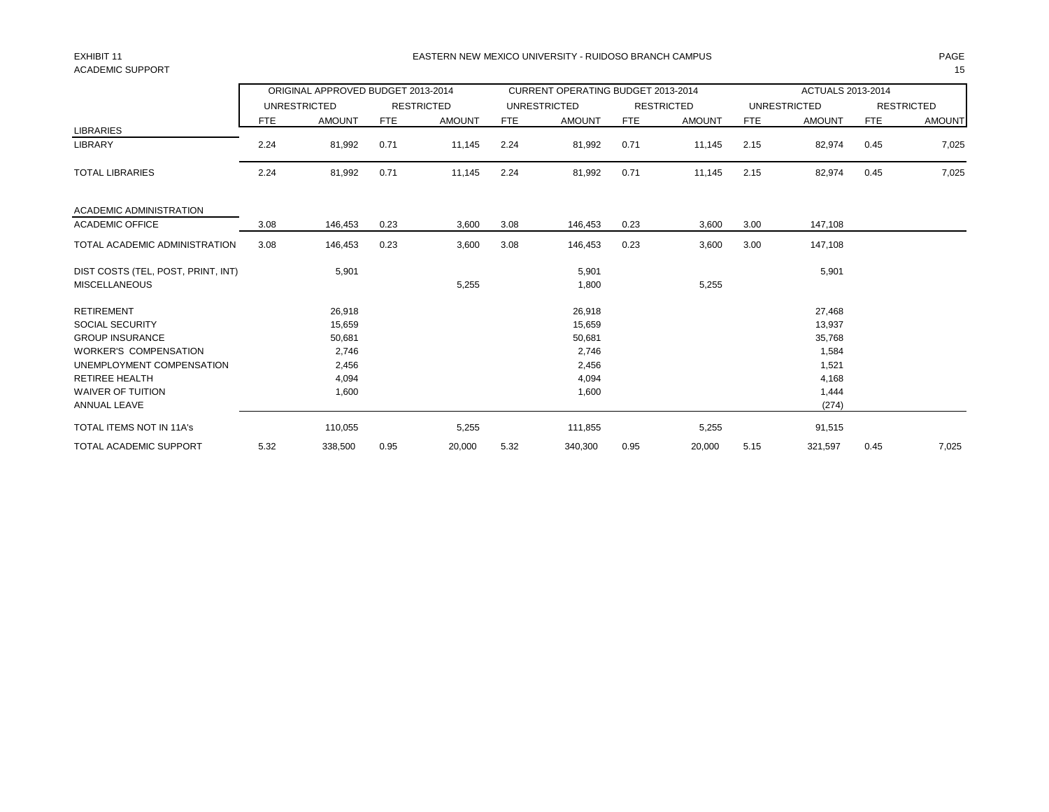# ACADEMIC SUPPORT THE RESERVED OF STRAIGHT AND STRAIGHT AND STRAIGHT AND STRAIGHT AND STRAIGHT AND STRAIGHT AND STRAIGHT AND STRAIGHT AND STRAIGHT AND STRAIGHT AND STRAIGHT AND STRAIGHT AND STRAIGHT AND STRAIGHT AND STRAIGH

## EXHIBIT 11 PAGE EASTERN NEW MEXICO UNIVERSITY - RUIDOSO BRANCH CAMPUS

|                                    |      | ORIGINAL APPROVED BUDGET 2013-2014 |      |                   |            | <b>CURRENT OPERATING BUDGET 2013-2014</b> |      |                   |            | ACTUALS 2013-2014   |      |                   |
|------------------------------------|------|------------------------------------|------|-------------------|------------|-------------------------------------------|------|-------------------|------------|---------------------|------|-------------------|
|                                    |      | <b>UNRESTRICTED</b>                |      | <b>RESTRICTED</b> |            | <b>UNRESTRICTED</b>                       |      | <b>RESTRICTED</b> |            | <b>UNRESTRICTED</b> |      | <b>RESTRICTED</b> |
|                                    | FTE  | <b>AMOUNT</b>                      | FTE  | <b>AMOUNT</b>     | <b>FTE</b> | <b>AMOUNT</b>                             | FTE  | <b>AMOUNT</b>     | <b>FTE</b> | <b>AMOUNT</b>       | FTE  | <b>AMOUNT</b>     |
| <b>LIBRARIES</b>                   |      |                                    |      |                   |            |                                           |      |                   |            |                     |      |                   |
| <b>LIBRARY</b>                     | 2.24 | 81,992                             | 0.71 | 11,145            | 2.24       | 81,992                                    | 0.71 | 11,145            | 2.15       | 82,974              | 0.45 | 7,025             |
| <b>TOTAL LIBRARIES</b>             | 2.24 | 81,992                             | 0.71 | 11,145            | 2.24       | 81,992                                    | 0.71 | 11,145            | 2.15       | 82,974              | 0.45 | 7,025             |
| <b>ACADEMIC ADMINISTRATION</b>     |      |                                    |      |                   |            |                                           |      |                   |            |                     |      |                   |
| <b>ACADEMIC OFFICE</b>             | 3.08 | 146,453                            | 0.23 | 3,600             | 3.08       | 146,453                                   | 0.23 | 3,600             | 3.00       | 147,108             |      |                   |
| TOTAL ACADEMIC ADMINISTRATION      | 3.08 | 146,453                            | 0.23 | 3,600             | 3.08       | 146,453                                   | 0.23 | 3,600             | 3.00       | 147,108             |      |                   |
| DIST COSTS (TEL, POST, PRINT, INT) |      | 5,901                              |      |                   |            | 5,901                                     |      |                   |            | 5,901               |      |                   |
| <b>MISCELLANEOUS</b>               |      |                                    |      | 5,255             |            | 1,800                                     |      | 5,255             |            |                     |      |                   |
| <b>RETIREMENT</b>                  |      | 26,918                             |      |                   |            | 26,918                                    |      |                   |            | 27,468              |      |                   |
| <b>SOCIAL SECURITY</b>             |      | 15,659                             |      |                   |            | 15,659                                    |      |                   |            | 13,937              |      |                   |
| <b>GROUP INSURANCE</b>             |      | 50,681                             |      |                   |            | 50,681                                    |      |                   |            | 35,768              |      |                   |
| <b>WORKER'S COMPENSATION</b>       |      | 2,746                              |      |                   |            | 2,746                                     |      |                   |            | 1,584               |      |                   |
| UNEMPLOYMENT COMPENSATION          |      | 2,456                              |      |                   |            | 2,456                                     |      |                   |            | 1,521               |      |                   |
| <b>RETIREE HEALTH</b>              |      | 4,094                              |      |                   |            | 4,094                                     |      |                   |            | 4,168               |      |                   |
| <b>WAIVER OF TUITION</b>           |      | 1,600                              |      |                   |            | 1,600                                     |      |                   |            | 1,444               |      |                   |
| ANNUAL LEAVE                       |      |                                    |      |                   |            |                                           |      |                   |            | (274)               |      |                   |
| <b>TOTAL ITEMS NOT IN 11A's</b>    |      | 110,055                            |      | 5,255             |            | 111,855                                   |      | 5,255             |            | 91,515              |      |                   |
| <b>TOTAL ACADEMIC SUPPORT</b>      | 5.32 | 338,500                            | 0.95 | 20,000            | 5.32       | 340,300                                   | 0.95 | 20,000            | 5.15       | 321,597             | 0.45 | 7,025             |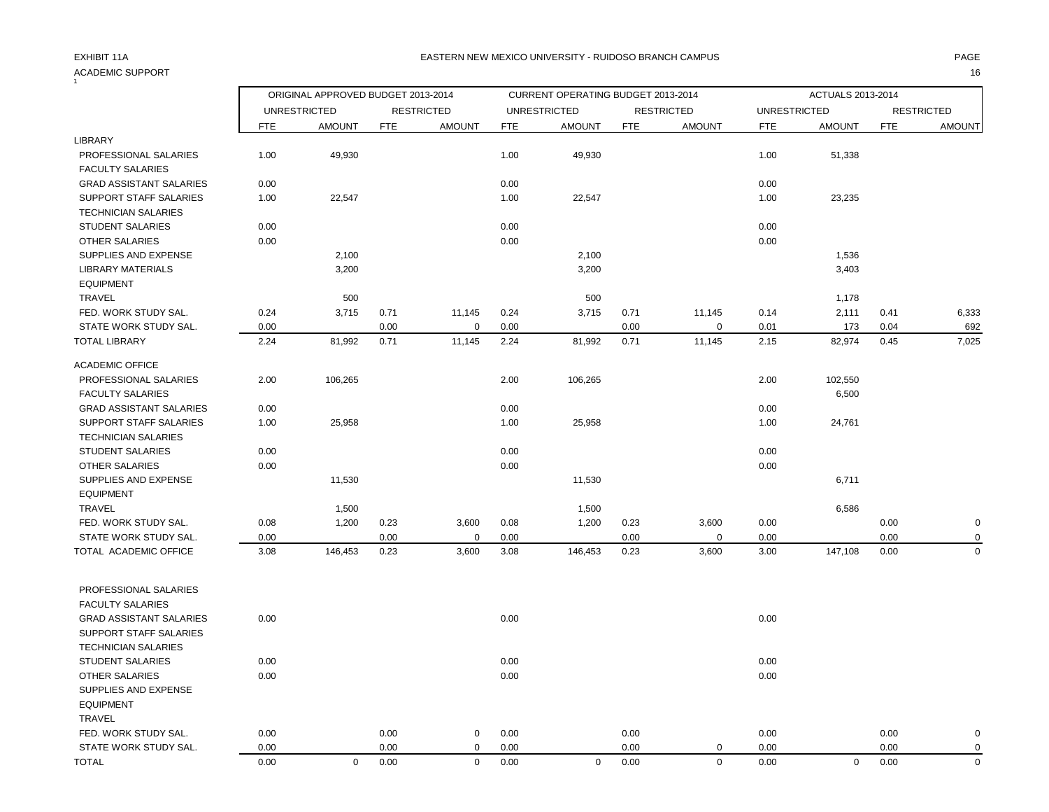### ACADEMIC SUPPORT 16  $\frac{1}{1}$

|                                |            | ORIGINAL APPROVED BUDGET 2013-2014 |            |                   |            | CURRENT OPERATING BUDGET 2013-2014 |            |                   |                     | ACTUALS 2013-2014 |            |                   |
|--------------------------------|------------|------------------------------------|------------|-------------------|------------|------------------------------------|------------|-------------------|---------------------|-------------------|------------|-------------------|
|                                |            | <b>UNRESTRICTED</b>                |            | <b>RESTRICTED</b> |            | <b>UNRESTRICTED</b>                |            | <b>RESTRICTED</b> | <b>UNRESTRICTED</b> |                   |            | <b>RESTRICTED</b> |
|                                | <b>FTE</b> | <b>AMOUNT</b>                      | <b>FTE</b> | <b>AMOUNT</b>     | <b>FTE</b> | <b>AMOUNT</b>                      | <b>FTE</b> | <b>AMOUNT</b>     | <b>FTE</b>          | <b>AMOUNT</b>     | <b>FTE</b> | <b>AMOUNT</b>     |
| LIBRARY                        |            |                                    |            |                   |            |                                    |            |                   |                     |                   |            |                   |
| PROFESSIONAL SALARIES          | 1.00       | 49,930                             |            |                   | 1.00       | 49,930                             |            |                   | 1.00                | 51,338            |            |                   |
| <b>FACULTY SALARIES</b>        |            |                                    |            |                   |            |                                    |            |                   |                     |                   |            |                   |
| <b>GRAD ASSISTANT SALARIES</b> | 0.00       |                                    |            |                   | 0.00       |                                    |            |                   | 0.00                |                   |            |                   |
| SUPPORT STAFF SALARIES         | 1.00       | 22,547                             |            |                   | 1.00       | 22,547                             |            |                   | 1.00                | 23,235            |            |                   |
| <b>TECHNICIAN SALARIES</b>     |            |                                    |            |                   |            |                                    |            |                   |                     |                   |            |                   |
| <b>STUDENT SALARIES</b>        | 0.00       |                                    |            |                   | 0.00       |                                    |            |                   | 0.00                |                   |            |                   |
| <b>OTHER SALARIES</b>          | 0.00       |                                    |            |                   | 0.00       |                                    |            |                   | 0.00                |                   |            |                   |
| SUPPLIES AND EXPENSE           |            | 2,100                              |            |                   |            | 2,100                              |            |                   |                     | 1,536             |            |                   |
| <b>LIBRARY MATERIALS</b>       |            | 3,200                              |            |                   |            | 3,200                              |            |                   |                     | 3,403             |            |                   |
| <b>EQUIPMENT</b>               |            |                                    |            |                   |            |                                    |            |                   |                     |                   |            |                   |
| TRAVEL                         |            | 500                                |            |                   |            | 500                                |            |                   |                     | 1,178             |            |                   |
| FED. WORK STUDY SAL.           | 0.24       | 3,715                              | 0.71       | 11,145            | 0.24       | 3,715                              | 0.71       | 11,145            | 0.14                | 2,111             | 0.41       | 6,333             |
| STATE WORK STUDY SAL.          | 0.00       |                                    | 0.00       | $\mathbf 0$       | 0.00       |                                    | 0.00       | 0                 | 0.01                | 173               | 0.04       | 692               |
| <b>TOTAL LIBRARY</b>           | 2.24       | 81,992                             | 0.71       | 11,145            | 2.24       | 81,992                             | 0.71       | 11,145            | 2.15                | 82,974            | 0.45       | 7,025             |
| <b>ACADEMIC OFFICE</b>         |            |                                    |            |                   |            |                                    |            |                   |                     |                   |            |                   |
| PROFESSIONAL SALARIES          | 2.00       | 106,265                            |            |                   | 2.00       | 106,265                            |            |                   | 2.00                | 102,550           |            |                   |
| <b>FACULTY SALARIES</b>        |            |                                    |            |                   |            |                                    |            |                   |                     | 6,500             |            |                   |
| <b>GRAD ASSISTANT SALARIES</b> | 0.00       |                                    |            |                   | 0.00       |                                    |            |                   | 0.00                |                   |            |                   |
| SUPPORT STAFF SALARIES         | 1.00       | 25,958                             |            |                   | 1.00       | 25,958                             |            |                   | 1.00                | 24,761            |            |                   |
| <b>TECHNICIAN SALARIES</b>     |            |                                    |            |                   |            |                                    |            |                   |                     |                   |            |                   |
| <b>STUDENT SALARIES</b>        | 0.00       |                                    |            |                   | 0.00       |                                    |            |                   | 0.00                |                   |            |                   |
| <b>OTHER SALARIES</b>          | 0.00       |                                    |            |                   | 0.00       |                                    |            |                   | 0.00                |                   |            |                   |
| SUPPLIES AND EXPENSE           |            | 11,530                             |            |                   |            | 11,530                             |            |                   |                     | 6,711             |            |                   |
| <b>EQUIPMENT</b>               |            |                                    |            |                   |            |                                    |            |                   |                     |                   |            |                   |
| TRAVEL                         |            | 1,500                              |            |                   |            | 1,500                              |            |                   |                     | 6,586             |            |                   |
| FED. WORK STUDY SAL.           | 0.08       | 1,200                              | 0.23       | 3,600             | 0.08       | 1,200                              | 0.23       | 3,600             | 0.00                |                   | 0.00       | $\mathbf 0$       |
| STATE WORK STUDY SAL.          | 0.00       |                                    | 0.00       | $\mathbf 0$       | 0.00       |                                    | 0.00       | $\mathbf 0$       | 0.00                |                   | 0.00       | $\mathbf 0$       |
| TOTAL ACADEMIC OFFICE          | 3.08       | 146,453                            | 0.23       | 3,600             | 3.08       | 146,453                            | 0.23       | 3,600             | 3.00                | 147,108           | 0.00       | $\mathbf 0$       |
| PROFESSIONAL SALARIES          |            |                                    |            |                   |            |                                    |            |                   |                     |                   |            |                   |
| <b>FACULTY SALARIES</b>        |            |                                    |            |                   |            |                                    |            |                   |                     |                   |            |                   |
| <b>GRAD ASSISTANT SALARIES</b> | 0.00       |                                    |            |                   | 0.00       |                                    |            |                   | 0.00                |                   |            |                   |
| <b>SUPPORT STAFF SALARIES</b>  |            |                                    |            |                   |            |                                    |            |                   |                     |                   |            |                   |
| <b>TECHNICIAN SALARIES</b>     |            |                                    |            |                   |            |                                    |            |                   |                     |                   |            |                   |
| STUDENT SALARIES               | 0.00       |                                    |            |                   | 0.00       |                                    |            |                   | 0.00                |                   |            |                   |
| <b>OTHER SALARIES</b>          | 0.00       |                                    |            |                   | 0.00       |                                    |            |                   | 0.00                |                   |            |                   |
| SUPPLIES AND EXPENSE           |            |                                    |            |                   |            |                                    |            |                   |                     |                   |            |                   |
| <b>EQUIPMENT</b>               |            |                                    |            |                   |            |                                    |            |                   |                     |                   |            |                   |
| <b>TRAVEL</b>                  |            |                                    |            |                   |            |                                    |            |                   |                     |                   |            |                   |
| FED. WORK STUDY SAL.           | 0.00       |                                    | 0.00       | 0                 | 0.00       |                                    | 0.00       |                   | 0.00                |                   | 0.00       | 0                 |
| STATE WORK STUDY SAL.          | 0.00       |                                    | 0.00       | $\mathbf 0$       | 0.00       |                                    | 0.00       | $\mathbf 0$       | 0.00                |                   | 0.00       | $\mathbf 0$       |
| <b>TOTAL</b>                   | 0.00       | $\mathbf 0$                        | 0.00       | $\mathbf 0$       | 0.00       | $\mathbf 0$                        | 0.00       | $\Omega$          | 0.00                | $\mathbf 0$       | 0.00       | $\mathbf 0$       |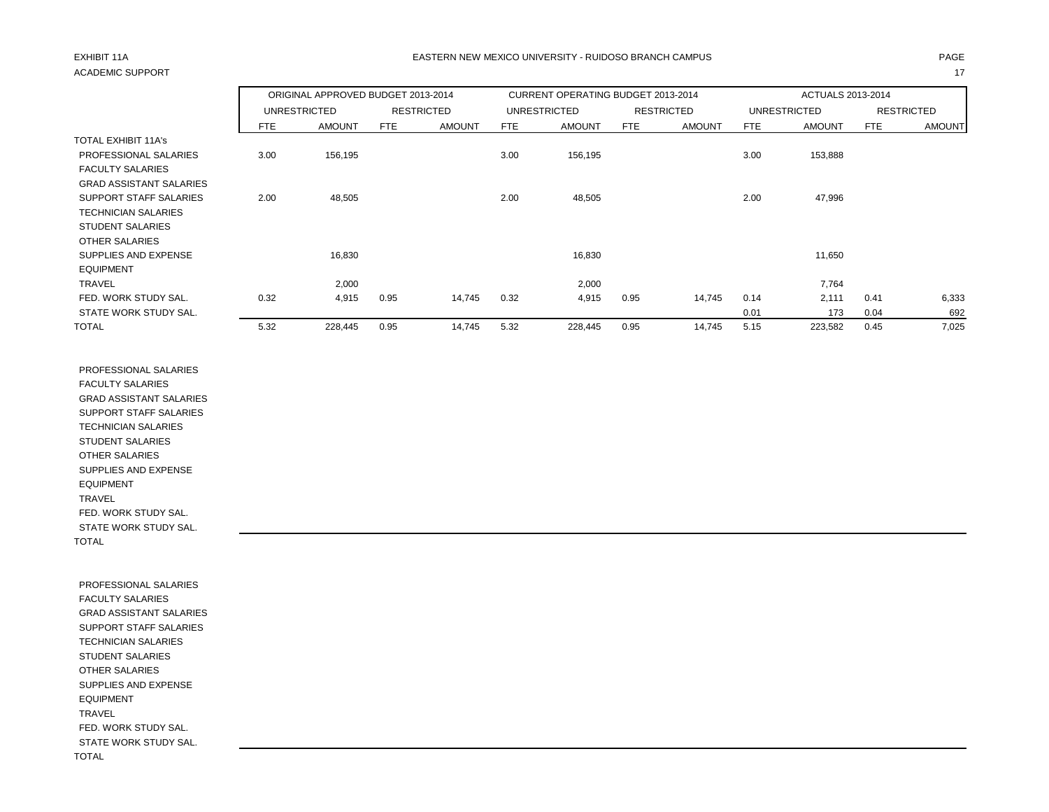# ACADEMIC SUPPORT And the contract of the contract of the contract of the contract of the contract of the contract of the contract of the contract of the contract of the contract of the contract of the contract of the contr

# EXHIBIT 11A PAGE EASTERN NEW MEXICO UNIVERSITY - RUIDOSO BRANCH CAMPUS

|                                |            | ORIGINAL APPROVED BUDGET 2013-2014 |      |                   |            | CURRENT OPERATING BUDGET 2013-2014 |            |                   |      | ACTUALS 2013-2014   |            |                   |
|--------------------------------|------------|------------------------------------|------|-------------------|------------|------------------------------------|------------|-------------------|------|---------------------|------------|-------------------|
|                                |            | <b>UNRESTRICTED</b>                |      | <b>RESTRICTED</b> |            | <b>UNRESTRICTED</b>                |            | <b>RESTRICTED</b> |      | <b>UNRESTRICTED</b> |            | <b>RESTRICTED</b> |
|                                | <b>FTE</b> | <b>AMOUNT</b>                      | FTE  | <b>AMOUNT</b>     | <b>FTE</b> | <b>AMOUNT</b>                      | <b>FTE</b> | <b>AMOUNT</b>     | FTE  | <b>AMOUNT</b>       | <b>FTE</b> | <b>AMOUNT</b>     |
| TOTAL EXHIBIT 11A's            |            |                                    |      |                   |            |                                    |            |                   |      |                     |            |                   |
| PROFESSIONAL SALARIES          | 3.00       | 156,195                            |      |                   | 3.00       | 156,195                            |            |                   | 3.00 | 153,888             |            |                   |
| <b>FACULTY SALARIES</b>        |            |                                    |      |                   |            |                                    |            |                   |      |                     |            |                   |
| <b>GRAD ASSISTANT SALARIES</b> |            |                                    |      |                   |            |                                    |            |                   |      |                     |            |                   |
| SUPPORT STAFF SALARIES         | 2.00       | 48,505                             |      |                   | 2.00       | 48,505                             |            |                   | 2.00 | 47,996              |            |                   |
| <b>TECHNICIAN SALARIES</b>     |            |                                    |      |                   |            |                                    |            |                   |      |                     |            |                   |
| <b>STUDENT SALARIES</b>        |            |                                    |      |                   |            |                                    |            |                   |      |                     |            |                   |
| OTHER SALARIES                 |            |                                    |      |                   |            |                                    |            |                   |      |                     |            |                   |
| SUPPLIES AND EXPENSE           |            | 16,830                             |      |                   |            | 16,830                             |            |                   |      | 11,650              |            |                   |
| <b>EQUIPMENT</b>               |            |                                    |      |                   |            |                                    |            |                   |      |                     |            |                   |
| <b>TRAVEL</b>                  |            | 2,000                              |      |                   |            | 2,000                              |            |                   |      | 7,764               |            |                   |
| FED. WORK STUDY SAL.           | 0.32       | 4,915                              | 0.95 | 14,745            | 0.32       | 4,915                              | 0.95       | 14,745            | 0.14 | 2.111               | 0.41       | 6,333             |
| STATE WORK STUDY SAL.          |            |                                    |      |                   |            |                                    |            |                   | 0.01 | 173                 | 0.04       | 692               |
| <b>TOTAL</b>                   | 5.32       | 228,445                            | 0.95 | 14,745            | 5.32       | 228,445                            | 0.95       | 14,745            | 5.15 | 223,582             | 0.45       | 7,025             |

 PROFESSIONAL SALARIES FACULTY SALARIES GRAD ASSISTANT SALARIES SUPPORT STAFF SALARIES TECHNICIAN SALARIES STUDENT SALARIES OTHER SALARIES SUPPLIES AND EXPENSE EQUIPMENT TRAVEL FED. WORK STUDY SAL. STATE WORK STUDY SAL. TOTAL

 PROFESSIONAL SALARIES FACULTY SALARIES GRAD ASSISTANT SALARIES SUPPORT STAFF SALARIES TECHNICIAN SALARIES STUDENT SALARIES OTHER SALARIES SUPPLIES AND EXPENSE EQUIPMENT TRAVEL FED. WORK STUDY SAL. STATE WORK STUDY SAL. TOTAL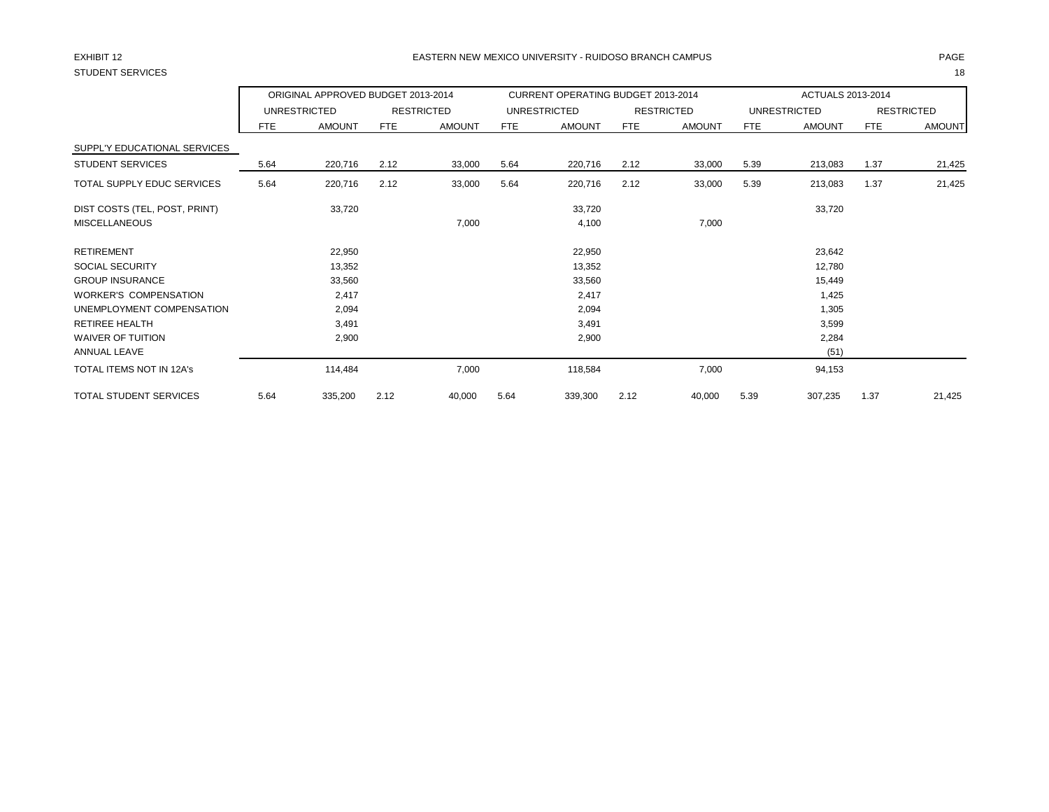# STUDENT SERVICES 18

## EXHIBIT 12 PAGE EASTERN NEW MEXICO UNIVERSITY - RUIDOSO BRANCH CAMPUS

|                               |      | ORIGINAL APPROVED BUDGET 2013-2014 |            |                   |      | CURRENT OPERATING BUDGET 2013-2014 |            |                   |            | ACTUALS 2013-2014   |            |                   |
|-------------------------------|------|------------------------------------|------------|-------------------|------|------------------------------------|------------|-------------------|------------|---------------------|------------|-------------------|
|                               |      | <b>UNRESTRICTED</b>                |            | <b>RESTRICTED</b> |      | <b>UNRESTRICTED</b>                |            | <b>RESTRICTED</b> |            | <b>UNRESTRICTED</b> |            | <b>RESTRICTED</b> |
|                               | FTE  | <b>AMOUNT</b>                      | <b>FTE</b> | <b>AMOUNT</b>     | FTE  | <b>AMOUNT</b>                      | <b>FTE</b> | <b>AMOUNT</b>     | <b>FTE</b> | <b>AMOUNT</b>       | <b>FTE</b> | <b>AMOUNT</b>     |
| SUPPL'Y EDUCATIONAL SERVICES  |      |                                    |            |                   |      |                                    |            |                   |            |                     |            |                   |
| <b>STUDENT SERVICES</b>       | 5.64 | 220,716                            | 2.12       | 33,000            | 5.64 | 220,716                            | 2.12       | 33,000            | 5.39       | 213,083             | 1.37       | 21,425            |
| TOTAL SUPPLY EDUC SERVICES    | 5.64 | 220,716                            | 2.12       | 33,000            | 5.64 | 220,716                            | 2.12       | 33,000            | 5.39       | 213,083             | 1.37       | 21,425            |
| DIST COSTS (TEL, POST, PRINT) |      | 33,720                             |            |                   |      | 33,720                             |            |                   |            | 33,720              |            |                   |
| <b>MISCELLANEOUS</b>          |      |                                    |            | 7,000             |      | 4,100                              |            | 7,000             |            |                     |            |                   |
| <b>RETIREMENT</b>             |      | 22,950                             |            |                   |      | 22,950                             |            |                   |            | 23,642              |            |                   |
| <b>SOCIAL SECURITY</b>        |      | 13,352                             |            |                   |      | 13,352                             |            |                   |            | 12,780              |            |                   |
| <b>GROUP INSURANCE</b>        |      | 33,560                             |            |                   |      | 33,560                             |            |                   |            | 15,449              |            |                   |
| <b>WORKER'S COMPENSATION</b>  |      | 2,417                              |            |                   |      | 2,417                              |            |                   |            | 1,425               |            |                   |
| UNEMPLOYMENT COMPENSATION     |      | 2,094                              |            |                   |      | 2,094                              |            |                   |            | 1,305               |            |                   |
| <b>RETIREE HEALTH</b>         |      | 3,491                              |            |                   |      | 3,491                              |            |                   |            | 3,599               |            |                   |
| <b>WAIVER OF TUITION</b>      |      | 2,900                              |            |                   |      | 2,900                              |            |                   |            | 2,284               |            |                   |
| <b>ANNUAL LEAVE</b>           |      |                                    |            |                   |      |                                    |            |                   |            | (51)                |            |                   |
| TOTAL ITEMS NOT IN 12A's      |      | 114,484                            |            | 7,000             |      | 118,584                            |            | 7,000             |            | 94,153              |            |                   |
| TOTAL STUDENT SERVICES        | 5.64 | 335,200                            | 2.12       | 40,000            | 5.64 | 339,300                            | 2.12       | 40,000            | 5.39       | 307,235             | 1.37       | 21,425            |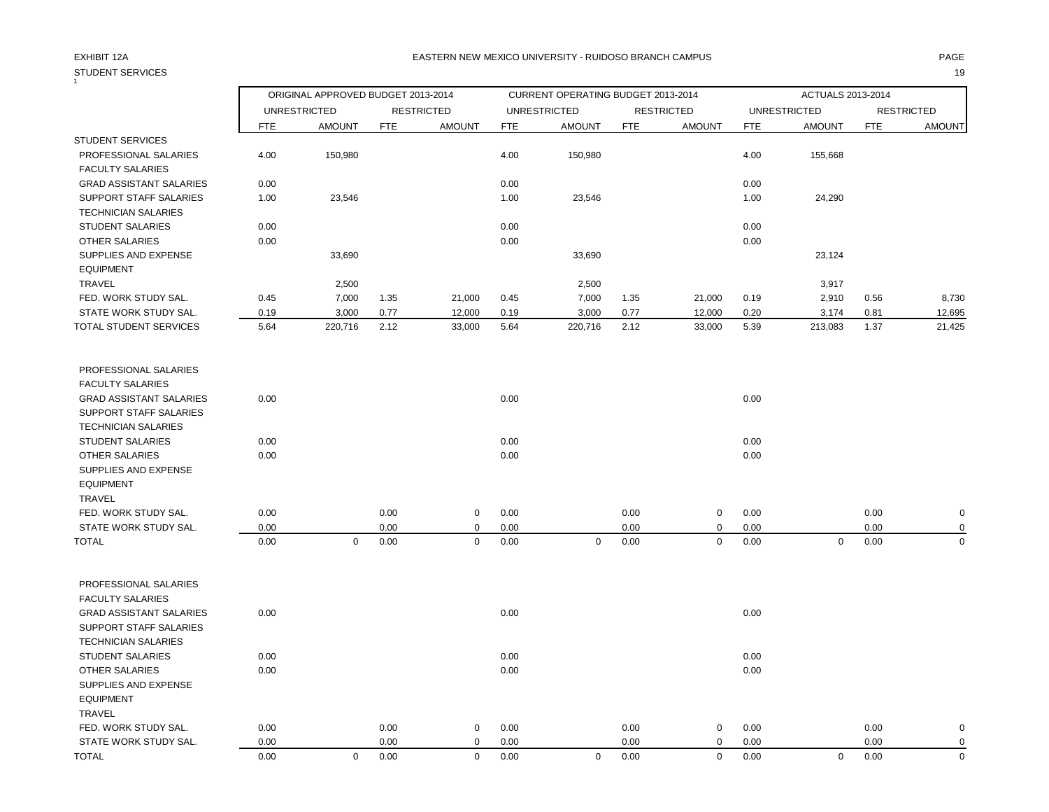# STUDENT SERVICES 19

## EXHIBIT 12A PAGE EASTERN NEW MEXICO UNIVERSITY - RUIDOSO BRANCH CAMPUS

|                                |            | ORIGINAL APPROVED BUDGET 2013-2014 |            |                   |            | CURRENT OPERATING BUDGET 2013-2014 |            |                   |            | ACTUALS 2013-2014   |            |                   |
|--------------------------------|------------|------------------------------------|------------|-------------------|------------|------------------------------------|------------|-------------------|------------|---------------------|------------|-------------------|
|                                |            | <b>UNRESTRICTED</b>                |            | <b>RESTRICTED</b> |            | <b>UNRESTRICTED</b>                |            | <b>RESTRICTED</b> |            | <b>UNRESTRICTED</b> |            | <b>RESTRICTED</b> |
|                                | <b>FTE</b> | <b>AMOUNT</b>                      | <b>FTE</b> | <b>AMOUNT</b>     | <b>FTE</b> | <b>AMOUNT</b>                      | <b>FTE</b> | <b>AMOUNT</b>     | <b>FTE</b> | <b>AMOUNT</b>       | <b>FTE</b> | <b>AMOUNT</b>     |
| <b>STUDENT SERVICES</b>        |            |                                    |            |                   |            |                                    |            |                   |            |                     |            |                   |
| PROFESSIONAL SALARIES          | 4.00       | 150,980                            |            |                   | 4.00       | 150,980                            |            |                   | 4.00       | 155,668             |            |                   |
| <b>FACULTY SALARIES</b>        |            |                                    |            |                   |            |                                    |            |                   |            |                     |            |                   |
| <b>GRAD ASSISTANT SALARIES</b> | 0.00       |                                    |            |                   | 0.00       |                                    |            |                   | 0.00       |                     |            |                   |
| SUPPORT STAFF SALARIES         | 1.00       | 23,546                             |            |                   | 1.00       | 23,546                             |            |                   | 1.00       | 24,290              |            |                   |
| <b>TECHNICIAN SALARIES</b>     |            |                                    |            |                   |            |                                    |            |                   |            |                     |            |                   |
| <b>STUDENT SALARIES</b>        | 0.00       |                                    |            |                   | 0.00       |                                    |            |                   | 0.00       |                     |            |                   |
| OTHER SALARIES                 | 0.00       |                                    |            |                   | 0.00       |                                    |            |                   | 0.00       |                     |            |                   |
| SUPPLIES AND EXPENSE           |            | 33,690                             |            |                   |            | 33,690                             |            |                   |            | 23,124              |            |                   |
| <b>EQUIPMENT</b>               |            |                                    |            |                   |            |                                    |            |                   |            |                     |            |                   |
| TRAVEL                         |            | 2,500                              |            |                   |            | 2,500                              |            |                   |            | 3,917               |            |                   |
| FED. WORK STUDY SAL.           | 0.45       | 7,000                              | 1.35       | 21,000            | 0.45       | 7,000                              | 1.35       | 21,000            | 0.19       | 2,910               | 0.56       | 8,730             |
| STATE WORK STUDY SAL.          | 0.19       | 3,000                              | 0.77       | 12,000            | 0.19       | 3,000                              | 0.77       | 12,000            | 0.20       | 3,174               | 0.81       | 12,695            |
| TOTAL STUDENT SERVICES         | 5.64       | 220,716                            | 2.12       | 33,000            | 5.64       | 220,716                            | 2.12       | 33,000            | 5.39       | 213,083             | 1.37       | 21,425            |
| PROFESSIONAL SALARIES          |            |                                    |            |                   |            |                                    |            |                   |            |                     |            |                   |
| <b>FACULTY SALARIES</b>        |            |                                    |            |                   |            |                                    |            |                   |            |                     |            |                   |
| <b>GRAD ASSISTANT SALARIES</b> | 0.00       |                                    |            |                   | 0.00       |                                    |            |                   | 0.00       |                     |            |                   |
| SUPPORT STAFF SALARIES         |            |                                    |            |                   |            |                                    |            |                   |            |                     |            |                   |
| <b>TECHNICIAN SALARIES</b>     |            |                                    |            |                   |            |                                    |            |                   |            |                     |            |                   |
| <b>STUDENT SALARIES</b>        | 0.00       |                                    |            |                   | 0.00       |                                    |            |                   | 0.00       |                     |            |                   |
| <b>OTHER SALARIES</b>          | 0.00       |                                    |            |                   | 0.00       |                                    |            |                   | 0.00       |                     |            |                   |
| SUPPLIES AND EXPENSE           |            |                                    |            |                   |            |                                    |            |                   |            |                     |            |                   |
| <b>EQUIPMENT</b>               |            |                                    |            |                   |            |                                    |            |                   |            |                     |            |                   |
| <b>TRAVEL</b>                  |            |                                    |            |                   |            |                                    |            |                   |            |                     |            |                   |
| FED. WORK STUDY SAL.           | 0.00       |                                    | 0.00       | 0                 | 0.00       |                                    | 0.00       | 0                 | 0.00       |                     | 0.00       | 0                 |
| STATE WORK STUDY SAL.          | 0.00       |                                    | 0.00       | 0                 | 0.00       |                                    | 0.00       | $\mathsf 0$       | 0.00       |                     | 0.00       | $\mathbf 0$       |
| <b>TOTAL</b>                   | 0.00       | $\mathbf 0$                        | 0.00       | $\mathbf 0$       | 0.00       | $\mathbf 0$                        | 0.00       | $\mathbf 0$       | 0.00       | $\mathsf 0$         | 0.00       | $\mathbf 0$       |
| PROFESSIONAL SALARIES          |            |                                    |            |                   |            |                                    |            |                   |            |                     |            |                   |
| <b>FACULTY SALARIES</b>        |            |                                    |            |                   |            |                                    |            |                   |            |                     |            |                   |
| <b>GRAD ASSISTANT SALARIES</b> | 0.00       |                                    |            |                   | 0.00       |                                    |            |                   | 0.00       |                     |            |                   |
| SUPPORT STAFF SALARIES         |            |                                    |            |                   |            |                                    |            |                   |            |                     |            |                   |
| <b>TECHNICIAN SALARIES</b>     |            |                                    |            |                   |            |                                    |            |                   |            |                     |            |                   |
| <b>STUDENT SALARIES</b>        | 0.00       |                                    |            |                   | 0.00       |                                    |            |                   | 0.00       |                     |            |                   |
| <b>OTHER SALARIES</b>          | 0.00       |                                    |            |                   | 0.00       |                                    |            |                   | 0.00       |                     |            |                   |
| SUPPLIES AND EXPENSE           |            |                                    |            |                   |            |                                    |            |                   |            |                     |            |                   |
| <b>EQUIPMENT</b>               |            |                                    |            |                   |            |                                    |            |                   |            |                     |            |                   |
| <b>TRAVEL</b>                  |            |                                    |            |                   |            |                                    |            |                   |            |                     |            |                   |
| FED. WORK STUDY SAL.           | 0.00       |                                    | 0.00       | $\mathbf 0$       | 0.00       |                                    | 0.00       | 0                 | 0.00       |                     | 0.00       | 0                 |
| STATE WORK STUDY SAL.          | 0.00       |                                    | 0.00       | $\mathbf 0$       | 0.00       |                                    | 0.00       | 0                 | 0.00       |                     | 0.00       | $\mathbf 0$       |

TOTAL 0.00 0 0.00 0 0.00 0 0.00 0 0.00 0 0.00 0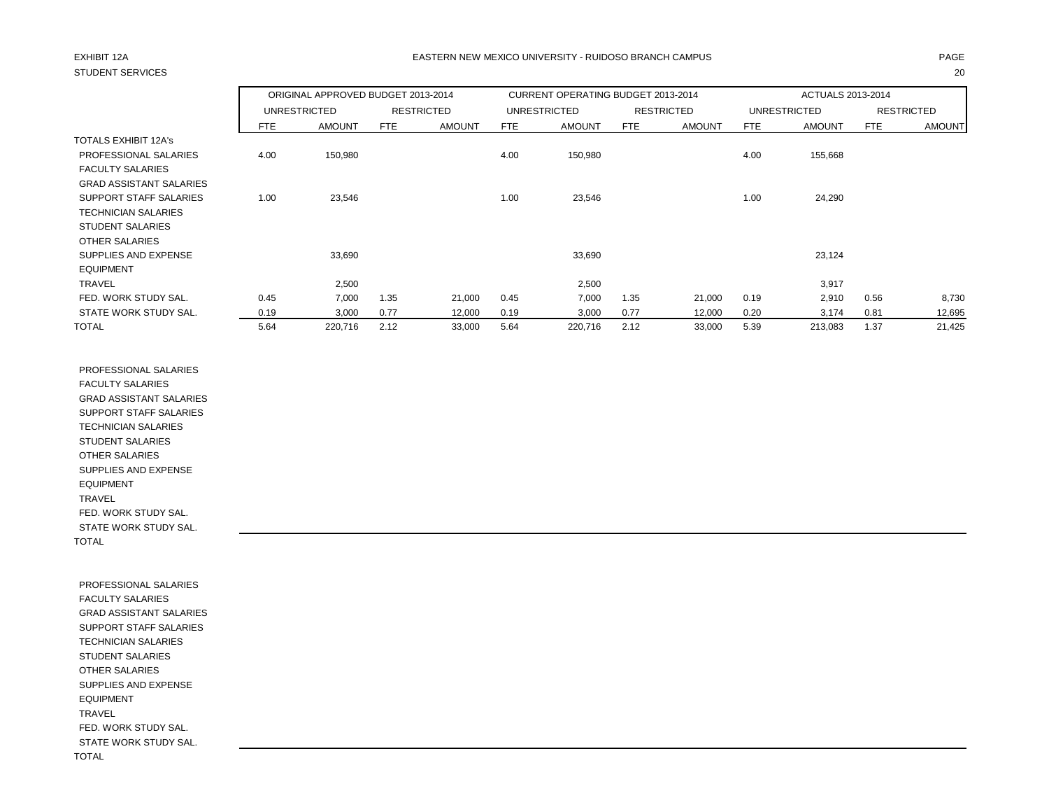# STUDENT SERVICES 20

# EXHIBIT 12A PAGE EASTERN NEW MEXICO UNIVERSITY - RUIDOSO BRANCH CAMPUS

|                                |            | ORIGINAL APPROVED BUDGET 2013-2014 |            |                   |            | CURRENT OPERATING BUDGET 2013-2014 |      |                   |            | ACTUALS 2013-2014 |            |                   |
|--------------------------------|------------|------------------------------------|------------|-------------------|------------|------------------------------------|------|-------------------|------------|-------------------|------------|-------------------|
|                                |            | <b>UNRESTRICTED</b>                |            | <b>RESTRICTED</b> |            | <b>UNRESTRICTED</b>                |      | <b>RESTRICTED</b> |            | UNRESTRICTED      |            | <b>RESTRICTED</b> |
|                                | <b>FTE</b> | <b>AMOUNT</b>                      | <b>FTE</b> | <b>AMOUNT</b>     | <b>FTE</b> | <b>AMOUNT</b>                      | FTE  | <b>AMOUNT</b>     | <b>FTE</b> | <b>AMOUNT</b>     | <b>FTE</b> | <b>AMOUNT</b>     |
| <b>TOTALS EXHIBIT 12A's</b>    |            |                                    |            |                   |            |                                    |      |                   |            |                   |            |                   |
| PROFESSIONAL SALARIES          | 4.00       | 150,980                            |            |                   | 4.00       | 150,980                            |      |                   | 4.00       | 155,668           |            |                   |
| <b>FACULTY SALARIES</b>        |            |                                    |            |                   |            |                                    |      |                   |            |                   |            |                   |
| <b>GRAD ASSISTANT SALARIES</b> |            |                                    |            |                   |            |                                    |      |                   |            |                   |            |                   |
| SUPPORT STAFF SALARIES         | 1.00       | 23,546                             |            |                   | 1.00       | 23,546                             |      |                   | 1.00       | 24,290            |            |                   |
| <b>TECHNICIAN SALARIES</b>     |            |                                    |            |                   |            |                                    |      |                   |            |                   |            |                   |
| <b>STUDENT SALARIES</b>        |            |                                    |            |                   |            |                                    |      |                   |            |                   |            |                   |
| OTHER SALARIES                 |            |                                    |            |                   |            |                                    |      |                   |            |                   |            |                   |
| SUPPLIES AND EXPENSE           |            | 33,690                             |            |                   |            | 33,690                             |      |                   |            | 23,124            |            |                   |
| <b>EQUIPMENT</b>               |            |                                    |            |                   |            |                                    |      |                   |            |                   |            |                   |
| <b>TRAVEL</b>                  |            | 2,500                              |            |                   |            | 2,500                              |      |                   |            | 3,917             |            |                   |
| FED. WORK STUDY SAL.           | 0.45       | 7,000                              | 1.35       | 21,000            | 0.45       | 7,000                              | 1.35 | 21,000            | 0.19       | 2,910             | 0.56       | 8,730             |
| STATE WORK STUDY SAL.          | 0.19       | 3,000                              | 0.77       | 12,000            | 0.19       | 3,000                              | 0.77 | 12,000            | 0.20       | 3,174             | 0.81       | 12,695            |
| <b>TOTAL</b>                   | 5.64       | 220,716                            | 2.12       | 33,000            | 5.64       | 220,716                            | 2.12 | 33,000            | 5.39       | 213,083           | 1.37       | 21,425            |

 PROFESSIONAL SALARIES FACULTY SALARIES GRAD ASSISTANT SALARIES SUPPORT STAFF SALARIES TECHNICIAN SALARIES STUDENT SALARIES OTHER SALARIES SUPPLIES AND EXPENSE EQUIPMENT TRAVEL FED. WORK STUDY SAL. STATE WORK STUDY SAL. TOTAL

 PROFESSIONAL SALARIES FACULTY SALARIES GRAD ASSISTANT SALARIES SUPPORT STAFF SALARIES TECHNICIAN SALARIES STUDENT SALARIES OTHER SALARIES SUPPLIES AND EXPENSE EQUIPMENT TRAVEL FED. WORK STUDY SAL. STATE WORK STUDY SAL. TOTAL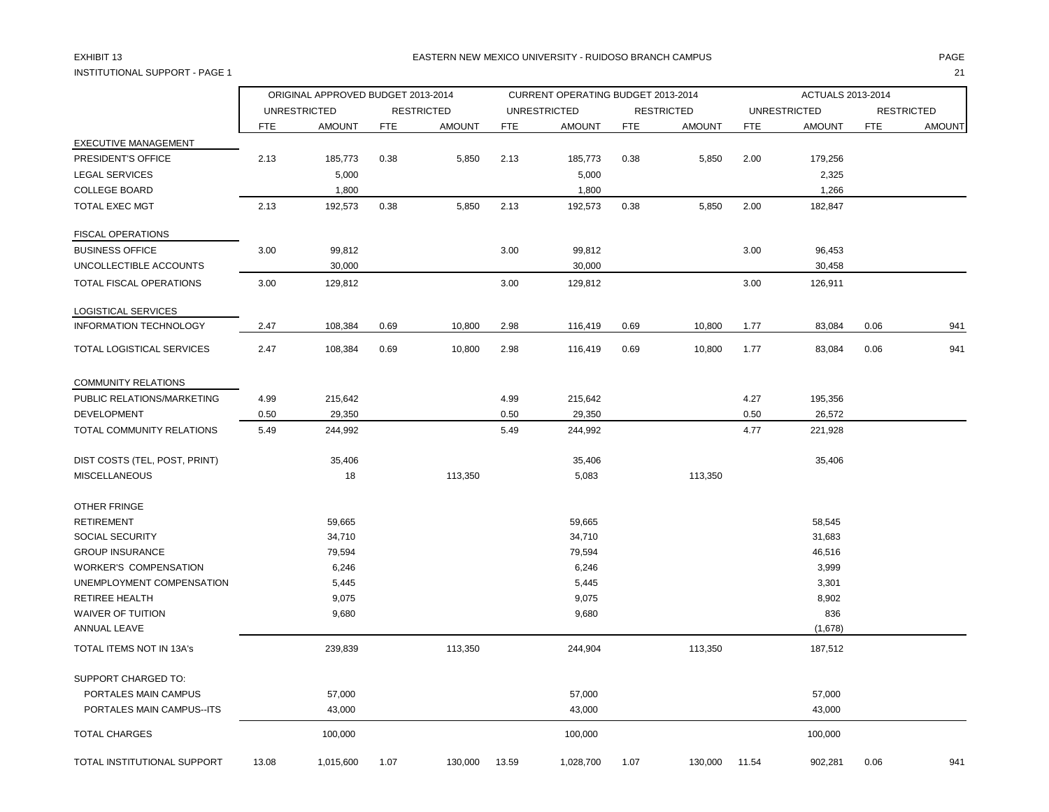# INSTITUTIONAL SUPPORT - PAGE 1 21

## EXHIBIT 13 PAGE EASTERN NEW MEXICO UNIVERSITY - RUIDOSO BRANCH CAMPUS

|                                          |            | ORIGINAL APPROVED BUDGET 2013-2014 |            |                   |            | CURRENT OPERATING BUDGET 2013-2014 |            |                   |            | ACTUALS 2013-2014   |            |                   |
|------------------------------------------|------------|------------------------------------|------------|-------------------|------------|------------------------------------|------------|-------------------|------------|---------------------|------------|-------------------|
|                                          |            | <b>UNRESTRICTED</b>                |            | <b>RESTRICTED</b> |            | <b>UNRESTRICTED</b>                |            | <b>RESTRICTED</b> |            | <b>UNRESTRICTED</b> |            | <b>RESTRICTED</b> |
|                                          | <b>FTE</b> | <b>AMOUNT</b>                      | <b>FTE</b> | <b>AMOUNT</b>     | <b>FTE</b> | <b>AMOUNT</b>                      | <b>FTE</b> | <b>AMOUNT</b>     | <b>FTE</b> | <b>AMOUNT</b>       | <b>FTE</b> | <b>AMOUNT</b>     |
| <b>EXECUTIVE MANAGEMENT</b>              |            |                                    |            |                   |            |                                    |            |                   |            |                     |            |                   |
| PRESIDENT'S OFFICE                       | 2.13       | 185,773                            | 0.38       | 5,850             | 2.13       | 185,773                            | 0.38       | 5,850             | 2.00       | 179,256             |            |                   |
| <b>LEGAL SERVICES</b>                    |            | 5,000                              |            |                   |            | 5,000                              |            |                   |            | 2,325               |            |                   |
| <b>COLLEGE BOARD</b>                     |            | 1,800                              |            |                   |            | 1,800                              |            |                   |            | 1,266               |            |                   |
| <b>TOTAL EXEC MGT</b>                    | 2.13       | 192,573                            | 0.38       | 5,850             | 2.13       | 192,573                            | 0.38       | 5,850             | 2.00       | 182,847             |            |                   |
| <b>FISCAL OPERATIONS</b>                 |            |                                    |            |                   |            |                                    |            |                   |            |                     |            |                   |
| <b>BUSINESS OFFICE</b>                   | 3.00       | 99,812                             |            |                   | 3.00       | 99,812                             |            |                   | 3.00       | 96,453              |            |                   |
| UNCOLLECTIBLE ACCOUNTS                   |            | 30,000                             |            |                   |            | 30,000                             |            |                   |            | 30,458              |            |                   |
| <b>TOTAL FISCAL OPERATIONS</b>           | 3.00       | 129,812                            |            |                   | 3.00       | 129,812                            |            |                   | 3.00       | 126,911             |            |                   |
| LOGISTICAL SERVICES                      |            |                                    |            |                   |            |                                    |            |                   |            |                     |            |                   |
| <b>INFORMATION TECHNOLOGY</b>            | 2.47       | 108,384                            | 0.69       | 10,800            | 2.98       | 116,419                            | 0.69       | 10,800            | 1.77       | 83,084              | 0.06       | 941               |
| TOTAL LOGISTICAL SERVICES                | 2.47       | 108,384                            | 0.69       | 10,800            | 2.98       | 116,419                            | 0.69       | 10,800            | 1.77       | 83,084              | 0.06       | 941               |
| <b>COMMUNITY RELATIONS</b>               |            |                                    |            |                   |            |                                    |            |                   |            |                     |            |                   |
| PUBLIC RELATIONS/MARKETING               | 4.99       | 215,642                            |            |                   | 4.99       | 215,642                            |            |                   | 4.27       | 195,356             |            |                   |
| DEVELOPMENT                              | 0.50       | 29,350                             |            |                   | 0.50       | 29,350                             |            |                   | 0.50       | 26,572              |            |                   |
| TOTAL COMMUNITY RELATIONS                | 5.49       | 244,992                            |            |                   | 5.49       | 244,992                            |            |                   | 4.77       | 221,928             |            |                   |
| DIST COSTS (TEL, POST, PRINT)            |            | 35,406                             |            |                   |            | 35,406                             |            |                   |            | 35,406              |            |                   |
| <b>MISCELLANEOUS</b>                     |            | 18                                 |            | 113,350           |            | 5,083                              |            | 113,350           |            |                     |            |                   |
| OTHER FRINGE                             |            |                                    |            |                   |            |                                    |            |                   |            |                     |            |                   |
| <b>RETIREMENT</b>                        |            | 59,665                             |            |                   |            | 59,665                             |            |                   |            | 58,545              |            |                   |
| <b>SOCIAL SECURITY</b>                   |            | 34,710                             |            |                   |            | 34,710                             |            |                   |            | 31,683              |            |                   |
| <b>GROUP INSURANCE</b>                   |            | 79,594                             |            |                   |            | 79,594                             |            |                   |            | 46,516              |            |                   |
| WORKER'S COMPENSATION                    |            | 6,246                              |            |                   |            | 6,246                              |            |                   |            | 3,999               |            |                   |
| UNEMPLOYMENT COMPENSATION                |            | 5,445                              |            |                   |            | 5,445                              |            |                   |            | 3,301               |            |                   |
| <b>RETIREE HEALTH</b>                    |            | 9,075                              |            |                   |            | 9,075                              |            |                   |            | 8,902               |            |                   |
| <b>WAIVER OF TUITION</b><br>ANNUAL LEAVE |            | 9,680                              |            |                   |            | 9,680                              |            |                   |            | 836<br>(1,678)      |            |                   |
| TOTAL ITEMS NOT IN 13A's                 |            | 239,839                            |            | 113,350           |            | 244,904                            |            | 113,350           |            | 187,512             |            |                   |
| SUPPORT CHARGED TO:                      |            |                                    |            |                   |            |                                    |            |                   |            |                     |            |                   |
| PORTALES MAIN CAMPUS                     |            | 57,000                             |            |                   |            | 57,000                             |            |                   |            | 57,000              |            |                   |
| PORTALES MAIN CAMPUS--ITS                |            | 43,000                             |            |                   |            | 43,000                             |            |                   |            | 43,000              |            |                   |
| <b>TOTAL CHARGES</b>                     |            | 100,000                            |            |                   |            | 100,000                            |            |                   |            | 100,000             |            |                   |
| TOTAL INSTITUTIONAL SUPPORT              | 13.08      | 1,015,600                          | 1.07       | 130,000           | 13.59      | 1,028,700                          | 1.07       | 130,000           | 11.54      | 902,281             | 0.06       | 941               |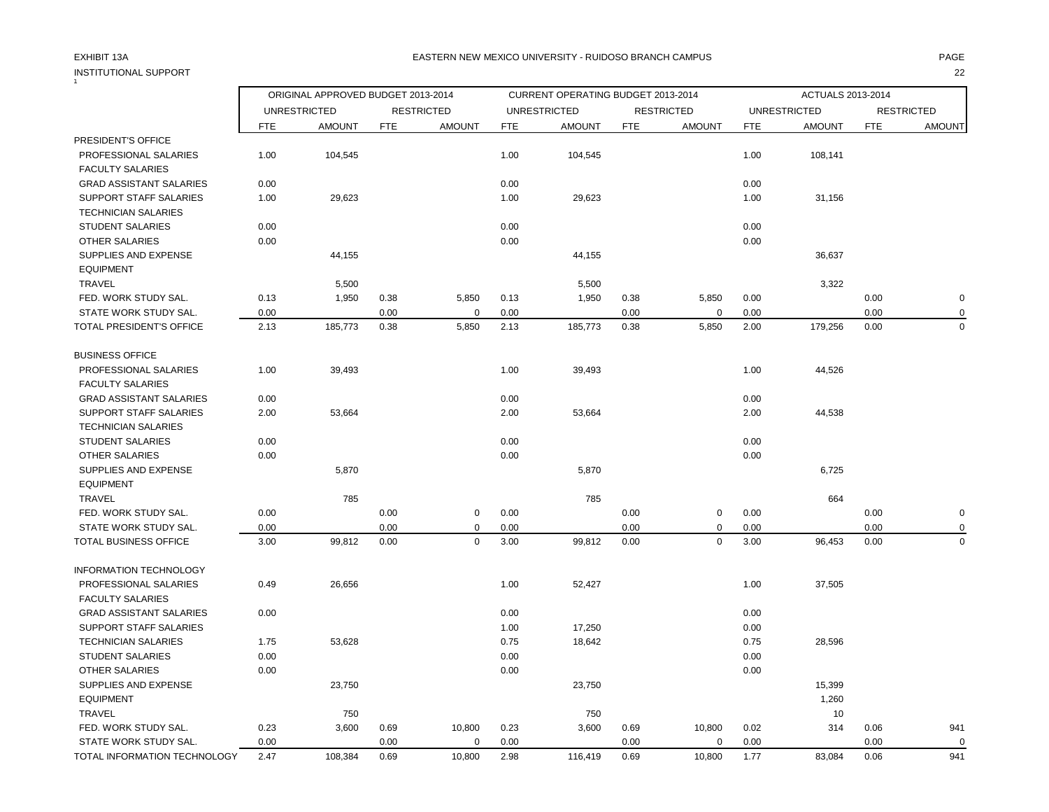# INSTITUTIONAL SUPPORT 22  $\frac{1}{1}$

## EXHIBIT 13A PAGE EASTERN NEW MEXICO UNIVERSITY - RUIDOSO BRANCH CAMPUS

|                                                                 |            | ORIGINAL APPROVED BUDGET 2013-2014 |            |                   |            | CURRENT OPERATING BUDGET 2013-2014 |            |                   |            | ACTUALS 2013-2014   |            |                   |
|-----------------------------------------------------------------|------------|------------------------------------|------------|-------------------|------------|------------------------------------|------------|-------------------|------------|---------------------|------------|-------------------|
|                                                                 |            | <b>UNRESTRICTED</b>                |            | <b>RESTRICTED</b> |            | <b>UNRESTRICTED</b>                |            | <b>RESTRICTED</b> |            | <b>UNRESTRICTED</b> |            | <b>RESTRICTED</b> |
|                                                                 | <b>FTE</b> | <b>AMOUNT</b>                      | <b>FTE</b> | <b>AMOUNT</b>     | <b>FTE</b> | <b>AMOUNT</b>                      | <b>FTE</b> | <b>AMOUNT</b>     | <b>FTE</b> | <b>AMOUNT</b>       | <b>FTE</b> | <b>AMOUNT</b>     |
| PRESIDENT'S OFFICE                                              |            |                                    |            |                   |            |                                    |            |                   |            |                     |            |                   |
| PROFESSIONAL SALARIES                                           | 1.00       | 104,545                            |            |                   | 1.00       | 104,545                            |            |                   | 1.00       | 108,141             |            |                   |
| <b>FACULTY SALARIES</b>                                         |            |                                    |            |                   |            |                                    |            |                   |            |                     |            |                   |
| <b>GRAD ASSISTANT SALARIES</b>                                  | 0.00       |                                    |            |                   | 0.00       |                                    |            |                   | 0.00       |                     |            |                   |
| <b>SUPPORT STAFF SALARIES</b>                                   | 1.00       | 29,623                             |            |                   | 1.00       | 29,623                             |            |                   | 1.00       | 31,156              |            |                   |
| <b>TECHNICIAN SALARIES</b>                                      |            |                                    |            |                   |            |                                    |            |                   |            |                     |            |                   |
| <b>STUDENT SALARIES</b>                                         | 0.00       |                                    |            |                   | 0.00       |                                    |            |                   | 0.00       |                     |            |                   |
| <b>OTHER SALARIES</b>                                           | 0.00       |                                    |            |                   | 0.00       |                                    |            |                   | 0.00       |                     |            |                   |
| SUPPLIES AND EXPENSE                                            |            | 44,155                             |            |                   |            | 44,155                             |            |                   |            | 36,637              |            |                   |
| <b>EQUIPMENT</b>                                                |            |                                    |            |                   |            |                                    |            |                   |            |                     |            |                   |
| TRAVEL                                                          |            | 5,500                              |            |                   |            | 5,500                              |            |                   |            | 3,322               |            |                   |
| FED. WORK STUDY SAL.                                            | 0.13       | 1,950                              | 0.38       | 5,850             | 0.13       | 1,950                              | 0.38       | 5,850             | 0.00       |                     | 0.00       | $\mathbf 0$       |
| STATE WORK STUDY SAL.                                           | 0.00       |                                    | 0.00       | $\mathbf 0$       | 0.00       |                                    | 0.00       | $\mathbf 0$       | 0.00       |                     | 0.00       | $\mathbf 0$       |
| TOTAL PRESIDENT'S OFFICE                                        | 2.13       | 185,773                            | 0.38       | 5,850             | 2.13       | 185,773                            | 0.38       | 5,850             | 2.00       | 179,256             | 0.00       | $\mathbf 0$       |
| <b>BUSINESS OFFICE</b>                                          |            |                                    |            |                   |            |                                    |            |                   |            |                     |            |                   |
| PROFESSIONAL SALARIES                                           | 1.00       | 39,493                             |            |                   | 1.00       | 39,493                             |            |                   | 1.00       | 44,526              |            |                   |
| <b>FACULTY SALARIES</b>                                         |            |                                    |            |                   |            |                                    |            |                   |            |                     |            |                   |
| <b>GRAD ASSISTANT SALARIES</b>                                  | 0.00       |                                    |            |                   | 0.00       |                                    |            |                   | 0.00       |                     |            |                   |
| SUPPORT STAFF SALARIES                                          | 2.00       | 53,664                             |            |                   | 2.00       | 53,664                             |            |                   | 2.00       | 44,538              |            |                   |
| <b>TECHNICIAN SALARIES</b>                                      |            |                                    |            |                   |            |                                    |            |                   |            |                     |            |                   |
| <b>STUDENT SALARIES</b>                                         | 0.00       |                                    |            |                   | 0.00       |                                    |            |                   | 0.00       |                     |            |                   |
| <b>OTHER SALARIES</b>                                           | 0.00       |                                    |            |                   | 0.00       |                                    |            |                   | 0.00       |                     |            |                   |
| SUPPLIES AND EXPENSE                                            |            | 5,870                              |            |                   |            | 5,870                              |            |                   |            | 6,725               |            |                   |
| <b>EQUIPMENT</b>                                                |            |                                    |            |                   |            |                                    |            |                   |            |                     |            |                   |
| TRAVEL                                                          |            | 785                                |            |                   |            | 785                                |            |                   |            | 664                 |            |                   |
| FED. WORK STUDY SAL.                                            | 0.00       |                                    | 0.00       | $\mathbf 0$       | 0.00       |                                    | 0.00       | $\mathbf 0$       | 0.00       |                     | 0.00       | $\mathbf 0$       |
| STATE WORK STUDY SAL.                                           | 0.00       |                                    | 0.00       | 0                 | 0.00       |                                    | 0.00       | 0                 | 0.00       |                     | 0.00       | $\mathbf 0$       |
| TOTAL BUSINESS OFFICE                                           | 3.00       | 99,812                             | 0.00       | $\mathbf 0$       | 3.00       | 99,812                             | 0.00       | $\mathbf 0$       | 3.00       | 96,453              | 0.00       | $\mathbf 0$       |
|                                                                 |            |                                    |            |                   |            |                                    |            |                   |            |                     |            |                   |
| <b>INFORMATION TECHNOLOGY</b>                                   |            |                                    |            |                   |            |                                    |            |                   |            |                     |            |                   |
| PROFESSIONAL SALARIES<br><b>FACULTY SALARIES</b>                | 0.49       | 26,656                             |            |                   | 1.00       | 52,427                             |            |                   | 1.00       | 37,505              |            |                   |
|                                                                 |            |                                    |            |                   |            |                                    |            |                   |            |                     |            |                   |
| <b>GRAD ASSISTANT SALARIES</b><br><b>SUPPORT STAFF SALARIES</b> | 0.00       |                                    |            |                   | 0.00       |                                    |            |                   | 0.00       |                     |            |                   |
|                                                                 |            |                                    |            |                   | 1.00       | 17,250                             |            |                   | 0.00       |                     |            |                   |
| <b>TECHNICIAN SALARIES</b>                                      | 1.75       | 53,628                             |            |                   | 0.75       | 18,642                             |            |                   | 0.75       | 28,596              |            |                   |
| <b>STUDENT SALARIES</b>                                         | 0.00       |                                    |            |                   | 0.00       |                                    |            |                   | 0.00       |                     |            |                   |
| <b>OTHER SALARIES</b>                                           | 0.00       |                                    |            |                   | 0.00       |                                    |            |                   | 0.00       |                     |            |                   |
| SUPPLIES AND EXPENSE                                            |            | 23,750                             |            |                   |            | 23,750                             |            |                   |            | 15,399              |            |                   |
| <b>EQUIPMENT</b>                                                |            |                                    |            |                   |            |                                    |            |                   |            | 1,260               |            |                   |
| <b>TRAVEL</b>                                                   |            | 750                                |            |                   |            | 750                                |            |                   |            | 10                  |            |                   |
| FED. WORK STUDY SAL.                                            | 0.23       | 3,600                              | 0.69       | 10,800            | 0.23       | 3,600                              | 0.69       | 10,800            | 0.02       | 314                 | 0.06       | 941               |
| STATE WORK STUDY SAL.                                           | 0.00       |                                    | 0.00       | $\Omega$          | 0.00       |                                    | 0.00       | $\Omega$          | 0.00       |                     | 0.00       | $\mathbf 0$       |
| TOTAL INFORMATION TECHNOLOGY                                    | 2.47       | 108,384                            | 0.69       | 10,800            | 2.98       | 116,419                            | 0.69       | 10,800            | 1.77       | 83,084              | 0.06       | 941               |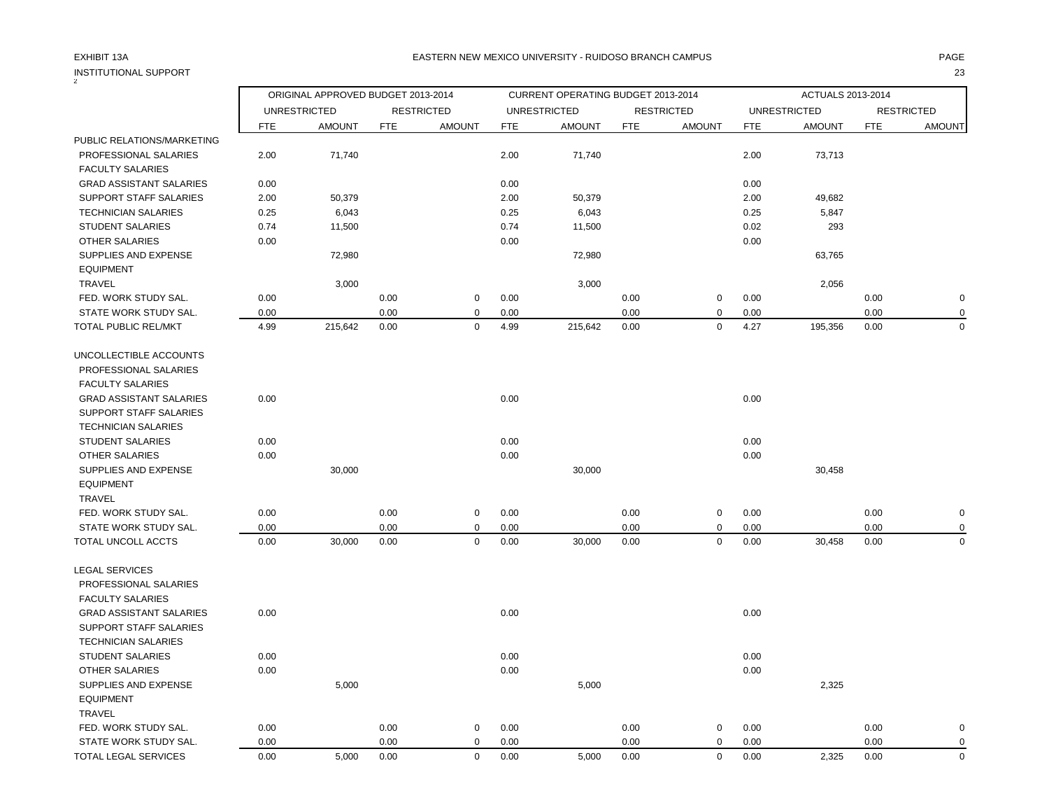| <b>INSTITUTIONAL SUPPORT</b>   |            |                                    |            |                   |            |                                    |            |                   |            |                     |            | 23                |
|--------------------------------|------------|------------------------------------|------------|-------------------|------------|------------------------------------|------------|-------------------|------------|---------------------|------------|-------------------|
|                                |            | ORIGINAL APPROVED BUDGET 2013-2014 |            |                   |            | CURRENT OPERATING BUDGET 2013-2014 |            |                   |            | ACTUALS 2013-2014   |            |                   |
|                                |            | <b>UNRESTRICTED</b>                |            | <b>RESTRICTED</b> |            | <b>UNRESTRICTED</b>                |            | <b>RESTRICTED</b> |            | <b>UNRESTRICTED</b> |            | <b>RESTRICTED</b> |
|                                | <b>FTE</b> | <b>AMOUNT</b>                      | <b>FTE</b> | <b>AMOUNT</b>     | <b>FTE</b> | <b>AMOUNT</b>                      | <b>FTE</b> | <b>AMOUNT</b>     | <b>FTE</b> | <b>AMOUNT</b>       | <b>FTE</b> | <b>AMOUNT</b>     |
| PUBLIC RELATIONS/MARKETING     |            |                                    |            |                   |            |                                    |            |                   |            |                     |            |                   |
| PROFESSIONAL SALARIES          | 2.00       | 71,740                             |            |                   | 2.00       | 71,740                             |            |                   | 2.00       | 73,713              |            |                   |
| <b>FACULTY SALARIES</b>        |            |                                    |            |                   |            |                                    |            |                   |            |                     |            |                   |
| <b>GRAD ASSISTANT SALARIES</b> | 0.00       |                                    |            |                   | 0.00       |                                    |            |                   | 0.00       |                     |            |                   |
| SUPPORT STAFF SALARIES         | 2.00       | 50,379                             |            |                   | 2.00       | 50,379                             |            |                   | 2.00       | 49,682              |            |                   |
| <b>TECHNICIAN SALARIES</b>     | 0.25       | 6,043                              |            |                   | 0.25       | 6,043                              |            |                   | 0.25       | 5,847               |            |                   |
| <b>STUDENT SALARIES</b>        | 0.74       | 11,500                             |            |                   | 0.74       | 11,500                             |            |                   | 0.02       | 293                 |            |                   |
| OTHER SALARIES                 | 0.00       |                                    |            |                   | 0.00       |                                    |            |                   | 0.00       |                     |            |                   |
| SUPPLIES AND EXPENSE           |            | 72,980                             |            |                   |            | 72,980                             |            |                   |            | 63,765              |            |                   |
| <b>EQUIPMENT</b>               |            |                                    |            |                   |            |                                    |            |                   |            |                     |            |                   |
| <b>TRAVEL</b>                  |            | 3,000                              |            |                   |            | 3,000                              |            |                   |            | 2,056               |            |                   |
| FED. WORK STUDY SAL.           | 0.00       |                                    | 0.00       | $\mathbf 0$       | 0.00       |                                    | 0.00       | $\boldsymbol{0}$  | 0.00       |                     | 0.00       | $\pmb{0}$         |
| STATE WORK STUDY SAL.          | 0.00       |                                    | 0.00       | $\mathbf 0$       | 0.00       |                                    | 0.00       | $\mathsf 0$       | 0.00       |                     | 0.00       | $\mathbf 0$       |
| TOTAL PUBLIC REL/MKT           | 4.99       | 215,642                            | 0.00       | $\mathbf 0$       | 4.99       | 215,642                            | 0.00       | $\mathbf 0$       | 4.27       | 195,356             | 0.00       | $\mathbf 0$       |
| UNCOLLECTIBLE ACCOUNTS         |            |                                    |            |                   |            |                                    |            |                   |            |                     |            |                   |
| PROFESSIONAL SALARIES          |            |                                    |            |                   |            |                                    |            |                   |            |                     |            |                   |
| <b>FACULTY SALARIES</b>        |            |                                    |            |                   |            |                                    |            |                   |            |                     |            |                   |
| <b>GRAD ASSISTANT SALARIES</b> | 0.00       |                                    |            |                   | 0.00       |                                    |            |                   | 0.00       |                     |            |                   |
| <b>SUPPORT STAFF SALARIES</b>  |            |                                    |            |                   |            |                                    |            |                   |            |                     |            |                   |
| <b>TECHNICIAN SALARIES</b>     |            |                                    |            |                   |            |                                    |            |                   |            |                     |            |                   |
| <b>STUDENT SALARIES</b>        | 0.00       |                                    |            |                   | 0.00       |                                    |            |                   | 0.00       |                     |            |                   |
| OTHER SALARIES                 | 0.00       |                                    |            |                   | 0.00       |                                    |            |                   | 0.00       |                     |            |                   |
| SUPPLIES AND EXPENSE           |            | 30,000                             |            |                   |            | 30,000                             |            |                   |            | 30,458              |            |                   |
| <b>EQUIPMENT</b>               |            |                                    |            |                   |            |                                    |            |                   |            |                     |            |                   |
| <b>TRAVEL</b>                  |            |                                    |            |                   |            |                                    |            |                   |            |                     |            |                   |
| FED. WORK STUDY SAL.           | 0.00       |                                    | 0.00       | 0                 | 0.00       |                                    | 0.00       | 0                 | 0.00       |                     | 0.00       | $\mathbf 0$       |
| STATE WORK STUDY SAL.          | 0.00       |                                    | 0.00       | $\mathbf 0$       | 0.00       |                                    | 0.00       | $\mathbf 0$       | 0.00       |                     | 0.00       | $\mathbf 0$       |
| TOTAL UNCOLL ACCTS             | 0.00       | 30,000                             | 0.00       | $\mathbf 0$       | 0.00       | 30,000                             | 0.00       | $\mathbf 0$       | 0.00       | 30,458              | 0.00       | $\mathbf 0$       |
| <b>LEGAL SERVICES</b>          |            |                                    |            |                   |            |                                    |            |                   |            |                     |            |                   |
| PROFESSIONAL SALARIES          |            |                                    |            |                   |            |                                    |            |                   |            |                     |            |                   |
| <b>FACULTY SALARIES</b>        |            |                                    |            |                   |            |                                    |            |                   |            |                     |            |                   |
| <b>GRAD ASSISTANT SALARIES</b> | 0.00       |                                    |            |                   | 0.00       |                                    |            |                   | 0.00       |                     |            |                   |
| SUPPORT STAFF SALARIES         |            |                                    |            |                   |            |                                    |            |                   |            |                     |            |                   |
| <b>TECHNICIAN SALARIES</b>     |            |                                    |            |                   |            |                                    |            |                   |            |                     |            |                   |
| <b>STUDENT SALARIES</b>        | 0.00       |                                    |            |                   | 0.00       |                                    |            |                   | 0.00       |                     |            |                   |
| <b>OTHER SALARIES</b>          | 0.00       |                                    |            |                   | 0.00       |                                    |            |                   | 0.00       |                     |            |                   |
| SUPPLIES AND EXPENSE           |            | 5,000                              |            |                   |            | 5,000                              |            |                   |            | 2,325               |            |                   |
| <b>EQUIPMENT</b>               |            |                                    |            |                   |            |                                    |            |                   |            |                     |            |                   |
| <b>TRAVEL</b>                  |            |                                    |            |                   |            |                                    |            |                   |            |                     |            |                   |
| FED. WORK STUDY SAL.           | 0.00       |                                    | 0.00       | $\mathbf 0$       | 0.00       |                                    | 0.00       | 0                 | 0.00       |                     | 0.00       | $\mathbf 0$       |
| STATE WORK STUDY SAL.          | 0.00       |                                    | 0.00       | $\mathbf 0$       | 0.00       |                                    | 0.00       | $\pmb{0}$         | 0.00       |                     | 0.00       | $\mathbf 0$       |
| TOTAL LEGAL SERVICES           | 0.00       | 5,000                              | 0.00       | $\mathbf 0$       | 0.00       | 5,000                              | 0.00       | $\mathbf 0$       | 0.00       | 2,325               | 0.00       | $\mathbf 0$       |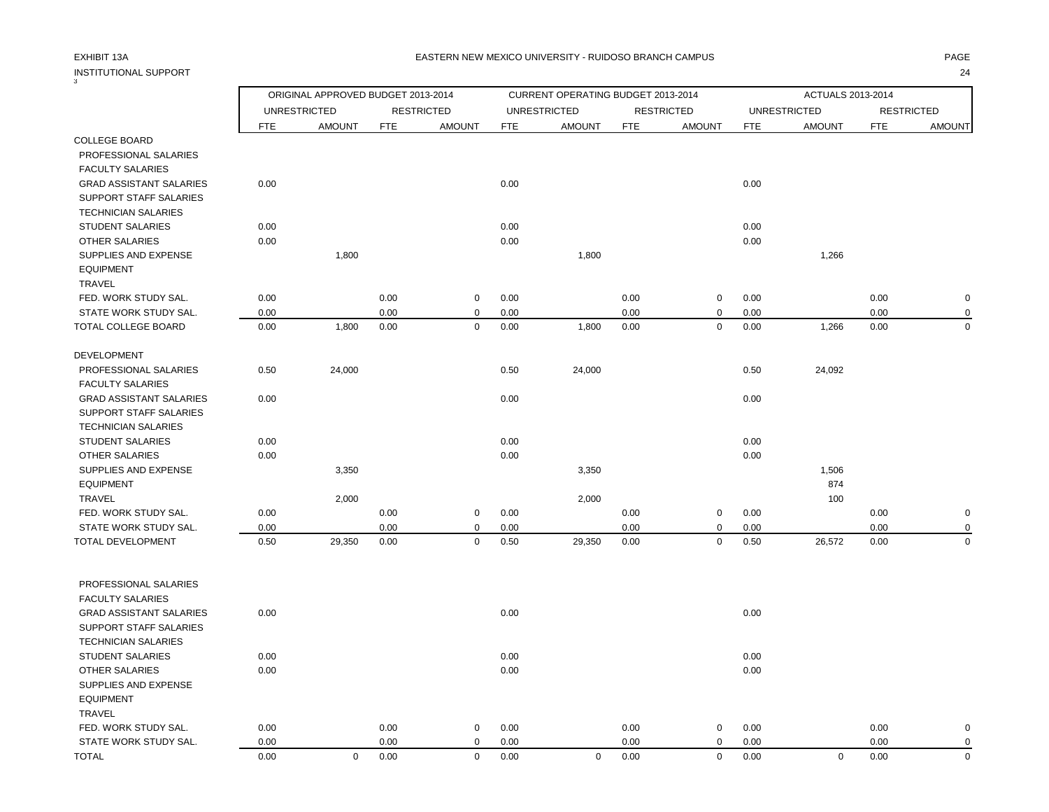### EXHIBIT 13A PAGE EASTERN NEW MEXICO UNIVERSITY - RUIDOSO BRANCH CAMPUS

| <b>INSTITUTIONAL SUPPORT</b>                              |              |                                    |            |                   |              |                                    |            |                   |              |                     |            | 24                |
|-----------------------------------------------------------|--------------|------------------------------------|------------|-------------------|--------------|------------------------------------|------------|-------------------|--------------|---------------------|------------|-------------------|
|                                                           |              | ORIGINAL APPROVED BUDGET 2013-2014 |            |                   |              | CURRENT OPERATING BUDGET 2013-2014 |            |                   |              | ACTUALS 2013-2014   |            |                   |
|                                                           |              | <b>UNRESTRICTED</b>                |            | <b>RESTRICTED</b> |              | <b>UNRESTRICTED</b>                |            | <b>RESTRICTED</b> |              | <b>UNRESTRICTED</b> |            | <b>RESTRICTED</b> |
|                                                           | <b>FTE</b>   | <b>AMOUNT</b>                      | <b>FTE</b> | <b>AMOUNT</b>     | <b>FTE</b>   | <b>AMOUNT</b>                      | <b>FTE</b> | <b>AMOUNT</b>     | <b>FTE</b>   | <b>AMOUNT</b>       | <b>FTE</b> | <b>AMOUNT</b>     |
| <b>COLLEGE BOARD</b>                                      |              |                                    |            |                   |              |                                    |            |                   |              |                     |            |                   |
| PROFESSIONAL SALARIES                                     |              |                                    |            |                   |              |                                    |            |                   |              |                     |            |                   |
| <b>FACULTY SALARIES</b>                                   |              |                                    |            |                   |              |                                    |            |                   |              |                     |            |                   |
| <b>GRAD ASSISTANT SALARIES</b>                            | 0.00         |                                    |            |                   | 0.00         |                                    |            |                   | 0.00         |                     |            |                   |
| SUPPORT STAFF SALARIES                                    |              |                                    |            |                   |              |                                    |            |                   |              |                     |            |                   |
| <b>TECHNICIAN SALARIES</b>                                |              |                                    |            |                   |              |                                    |            |                   |              |                     |            |                   |
| STUDENT SALARIES<br><b>OTHER SALARIES</b>                 | 0.00<br>0.00 |                                    |            |                   | 0.00<br>0.00 |                                    |            |                   | 0.00<br>0.00 |                     |            |                   |
| SUPPLIES AND EXPENSE                                      |              | 1,800                              |            |                   |              | 1,800                              |            |                   |              | 1,266               |            |                   |
| <b>EQUIPMENT</b>                                          |              |                                    |            |                   |              |                                    |            |                   |              |                     |            |                   |
| <b>TRAVEL</b>                                             |              |                                    |            |                   |              |                                    |            |                   |              |                     |            |                   |
| FED. WORK STUDY SAL.                                      | 0.00         |                                    | 0.00       | 0                 | 0.00         |                                    | 0.00       | $\mathbf 0$       | 0.00         |                     | 0.00       | $\mathbf 0$       |
| STATE WORK STUDY SAL.                                     | 0.00         |                                    | 0.00       | $\mathbf 0$       | 0.00         |                                    | 0.00       | $\mathbf 0$       | 0.00         |                     | 0.00       | $\mathbf 0$       |
| TOTAL COLLEGE BOARD                                       | 0.00         | 1,800                              | 0.00       | $\mathbf 0$       | 0.00         | 1,800                              | 0.00       | $\mathbf 0$       | 0.00         | 1,266               | 0.00       | 0                 |
| <b>DEVELOPMENT</b>                                        |              |                                    |            |                   |              |                                    |            |                   |              |                     |            |                   |
| PROFESSIONAL SALARIES                                     | 0.50         | 24,000                             |            |                   | 0.50         | 24,000                             |            |                   | 0.50         | 24,092              |            |                   |
| <b>FACULTY SALARIES</b><br><b>GRAD ASSISTANT SALARIES</b> | 0.00         |                                    |            |                   | 0.00         |                                    |            |                   | 0.00         |                     |            |                   |
| SUPPORT STAFF SALARIES                                    |              |                                    |            |                   |              |                                    |            |                   |              |                     |            |                   |
| <b>TECHNICIAN SALARIES</b>                                |              |                                    |            |                   |              |                                    |            |                   |              |                     |            |                   |
| <b>STUDENT SALARIES</b>                                   | 0.00         |                                    |            |                   | 0.00         |                                    |            |                   | 0.00         |                     |            |                   |
| <b>OTHER SALARIES</b>                                     | 0.00         |                                    |            |                   | 0.00         |                                    |            |                   | 0.00         |                     |            |                   |
| SUPPLIES AND EXPENSE                                      |              | 3,350                              |            |                   |              | 3,350                              |            |                   |              | 1,506               |            |                   |
| <b>EQUIPMENT</b>                                          |              |                                    |            |                   |              |                                    |            |                   |              | 874                 |            |                   |
| <b>TRAVEL</b>                                             |              | 2,000                              |            |                   |              | 2,000                              |            |                   |              | 100                 |            |                   |
| FED. WORK STUDY SAL.                                      | 0.00         |                                    | 0.00       | 0                 | 0.00         |                                    | 0.00       | $\mathbf 0$       | 0.00         |                     | 0.00       | $\mathbf 0$       |
| STATE WORK STUDY SAL.                                     | 0.00         |                                    | 0.00       | $\mathbf 0$       | 0.00         |                                    | 0.00       | $\mathbf 0$       | 0.00         |                     | 0.00       | 0                 |
| TOTAL DEVELOPMENT                                         | 0.50         | 29,350                             | 0.00       | $\mathbf 0$       | 0.50         | 29,350                             | 0.00       | $\mathbf 0$       | 0.50         | 26,572              | 0.00       | $\mathbf 0$       |
| PROFESSIONAL SALARIES                                     |              |                                    |            |                   |              |                                    |            |                   |              |                     |            |                   |
| <b>FACULTY SALARIES</b>                                   |              |                                    |            |                   |              |                                    |            |                   |              |                     |            |                   |
| <b>GRAD ASSISTANT SALARIES</b>                            | 0.00         |                                    |            |                   | 0.00         |                                    |            |                   | 0.00         |                     |            |                   |
| SUPPORT STAFF SALARIES                                    |              |                                    |            |                   |              |                                    |            |                   |              |                     |            |                   |
| <b>TECHNICIAN SALARIES</b>                                |              |                                    |            |                   |              |                                    |            |                   |              |                     |            |                   |
| <b>STUDENT SALARIES</b>                                   | 0.00         |                                    |            |                   | 0.00         |                                    |            |                   | 0.00         |                     |            |                   |
| OTHER SALARIES                                            | 0.00         |                                    |            |                   | 0.00         |                                    |            |                   | 0.00         |                     |            |                   |
| SUPPLIES AND EXPENSE                                      |              |                                    |            |                   |              |                                    |            |                   |              |                     |            |                   |
| <b>EQUIPMENT</b><br>TRAVEL                                |              |                                    |            |                   |              |                                    |            |                   |              |                     |            |                   |
| FED. WORK STUDY SAL.                                      | 0.00         |                                    | 0.00       | $\pmb{0}$         | 0.00         |                                    | 0.00       | $\pmb{0}$         | 0.00         |                     | 0.00       | $\pmb{0}$         |
| STATE WORK STUDY SAL.                                     | 0.00         |                                    | 0.00       | $\mathbf 0$       | 0.00         |                                    | 0.00       | $\mathbf 0$       | 0.00         |                     | 0.00       | $\mathbf 0$       |
|                                                           |              |                                    |            |                   |              |                                    |            |                   |              |                     |            |                   |

TOTAL 0.00 0 0.00 0 0.00 0 0.00 0 0.00 0 0.00 0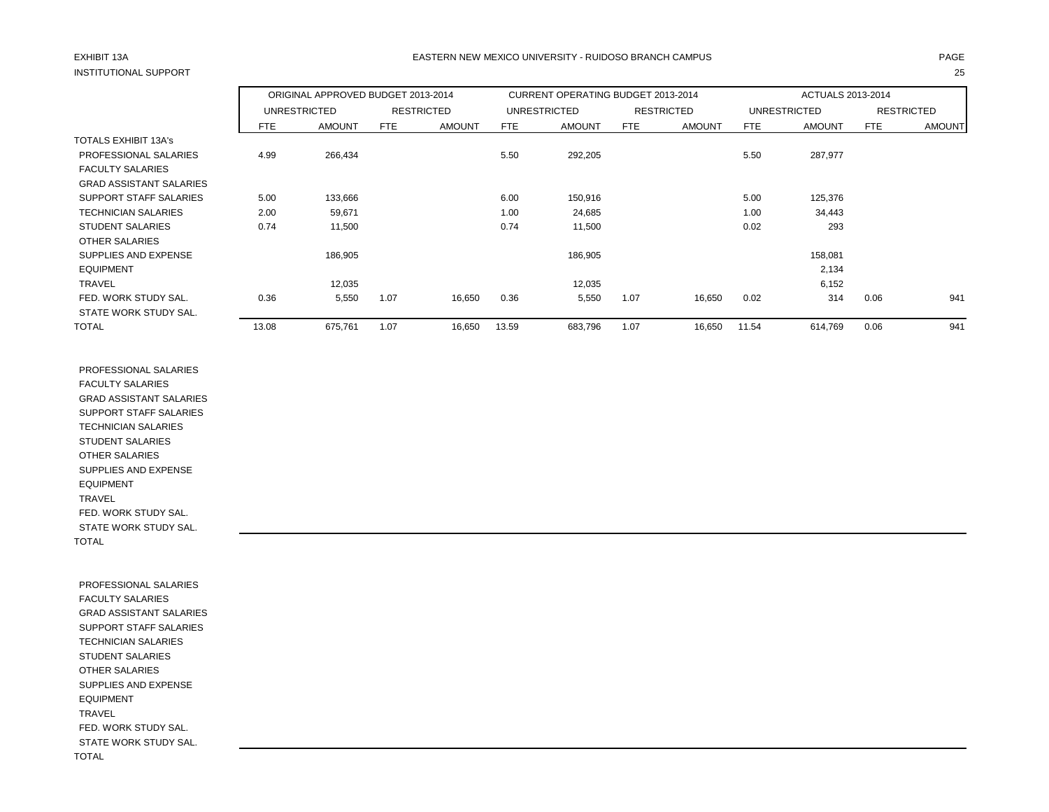# INSTITUTIONAL SUPPORT 25

## EXHIBIT 13A PAGE EASTERN NEW MEXICO UNIVERSITY - RUIDOSO BRANCH CAMPUS

|                                | ORIGINAL APPROVED BUDGET 2013-2014<br>UNRESTRICTED<br><b>RESTRICTED</b> |               |      |               | <b>CURRENT OPERATING BUDGET 2013-2014</b> |                     |      |                   | ACTUALS 2013-2014 |               |      |                   |
|--------------------------------|-------------------------------------------------------------------------|---------------|------|---------------|-------------------------------------------|---------------------|------|-------------------|-------------------|---------------|------|-------------------|
|                                |                                                                         |               |      |               |                                           | <b>UNRESTRICTED</b> |      | <b>RESTRICTED</b> |                   | UNRESTRICTED  |      | <b>RESTRICTED</b> |
|                                | FTE.                                                                    | <b>AMOUNT</b> | FTE  | <b>AMOUNT</b> | FTE                                       | <b>AMOUNT</b>       | FTE  | <b>AMOUNT</b>     | FTE               | <b>AMOUNT</b> | FTE  | <b>AMOUNT</b>     |
| <b>TOTALS EXHIBIT 13A's</b>    |                                                                         |               |      |               |                                           |                     |      |                   |                   |               |      |                   |
| PROFESSIONAL SALARIES          | 4.99                                                                    | 266,434       |      |               | 5.50                                      | 292,205             |      |                   | 5.50              | 287,977       |      |                   |
| <b>FACULTY SALARIES</b>        |                                                                         |               |      |               |                                           |                     |      |                   |                   |               |      |                   |
| <b>GRAD ASSISTANT SALARIES</b> |                                                                         |               |      |               |                                           |                     |      |                   |                   |               |      |                   |
| SUPPORT STAFF SALARIES         | 5.00                                                                    | 133,666       |      |               | 6.00                                      | 150,916             |      |                   | 5.00              | 125,376       |      |                   |
| <b>TECHNICIAN SALARIES</b>     | 2.00                                                                    | 59,671        |      |               | 1.00                                      | 24,685              |      |                   | 1.00              | 34,443        |      |                   |
| <b>STUDENT SALARIES</b>        | 0.74                                                                    | 11,500        |      |               | 0.74                                      | 11,500              |      |                   | 0.02              | 293           |      |                   |
| <b>OTHER SALARIES</b>          |                                                                         |               |      |               |                                           |                     |      |                   |                   |               |      |                   |
| SUPPLIES AND EXPENSE           |                                                                         | 186,905       |      |               |                                           | 186,905             |      |                   |                   | 158,081       |      |                   |
| <b>EQUIPMENT</b>               |                                                                         |               |      |               |                                           |                     |      |                   |                   | 2,134         |      |                   |
| <b>TRAVEL</b>                  |                                                                         | 12,035        |      |               |                                           | 12,035              |      |                   |                   | 6,152         |      |                   |
| FED. WORK STUDY SAL.           | 0.36                                                                    | 5,550         | 1.07 | 16,650        | 0.36                                      | 5,550               | 1.07 | 16,650            | 0.02              | 314           | 0.06 | 941               |
| STATE WORK STUDY SAL.          |                                                                         |               |      |               |                                           |                     |      |                   |                   |               |      |                   |
| <b>TOTAL</b>                   | 13.08                                                                   | 675,761       | 1.07 | 16,650        | 13.59                                     | 683,796             | 1.07 | 16,650            | 11.54             | 614,769       | 0.06 | 941               |

 PROFESSIONAL SALARIES FACULTY SALARIES GRAD ASSISTANT SALARIES SUPPORT STAFF SALARIES TECHNICIAN SALARIES STUDENT SALARIES OTHER SALARIES SUPPLIES AND EXPENSE EQUIPMENT TRAVEL FED. WORK STUDY SAL. STATE WORK STUDY SAL. TOTAL

 PROFESSIONAL SALARIES FACULTY SALARIES GRAD ASSISTANT SALARIES SUPPORT STAFF SALARIES TECHNICIAN SALARIES STUDENT SALARIES OTHER SALARIES SUPPLIES AND EXPENSE EQUIPMENT TRAVEL FED. WORK STUDY SAL. STATE WORK STUDY SAL. TOTAL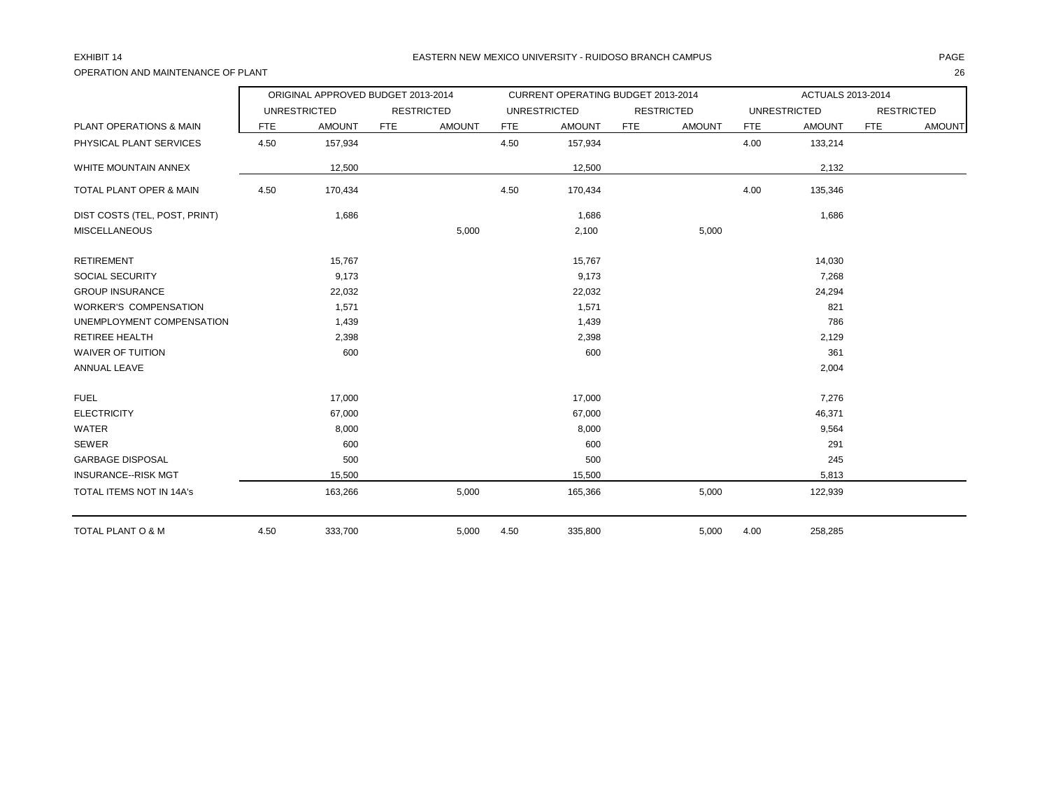# OPERATION AND MAINTENANCE OF PLANT 26

## EXHIBIT 14 PAGE EASTERN NEW MEXICO UNIVERSITY - RUIDOSO BRANCH CAMPUS

|                                 |            | ORIGINAL APPROVED BUDGET 2013-2014 |            |                   |            | CURRENT OPERATING BUDGET 2013-2014 |            |                   |            | ACTUALS 2013-2014   |            |                   |
|---------------------------------|------------|------------------------------------|------------|-------------------|------------|------------------------------------|------------|-------------------|------------|---------------------|------------|-------------------|
|                                 |            | <b>UNRESTRICTED</b>                |            | <b>RESTRICTED</b> |            | <b>UNRESTRICTED</b>                |            | <b>RESTRICTED</b> |            | <b>UNRESTRICTED</b> |            | <b>RESTRICTED</b> |
| PLANT OPERATIONS & MAIN         | <b>FTE</b> | <b>AMOUNT</b>                      | <b>FTE</b> | <b>AMOUNT</b>     | <b>FTE</b> | <b>AMOUNT</b>                      | <b>FTE</b> | <b>AMOUNT</b>     | <b>FTE</b> | <b>AMOUNT</b>       | <b>FTE</b> | <b>AMOUNT</b>     |
| PHYSICAL PLANT SERVICES         | 4.50       | 157,934                            |            |                   | 4.50       | 157,934                            |            |                   | 4.00       | 133,214             |            |                   |
| WHITE MOUNTAIN ANNEX            |            | 12,500                             |            |                   |            | 12,500                             |            |                   |            | 2,132               |            |                   |
| TOTAL PLANT OPER & MAIN         | 4.50       | 170,434                            |            |                   | 4.50       | 170,434                            |            |                   | 4.00       | 135,346             |            |                   |
| DIST COSTS (TEL, POST, PRINT)   |            | 1,686                              |            |                   |            | 1,686                              |            |                   |            | 1,686               |            |                   |
| <b>MISCELLANEOUS</b>            |            |                                    |            | 5,000             |            | 2,100                              |            | 5,000             |            |                     |            |                   |
| <b>RETIREMENT</b>               |            | 15,767                             |            |                   |            | 15,767                             |            |                   |            | 14,030              |            |                   |
| SOCIAL SECURITY                 |            | 9,173                              |            |                   |            | 9,173                              |            |                   |            | 7,268               |            |                   |
| <b>GROUP INSURANCE</b>          |            | 22,032                             |            |                   |            | 22,032                             |            |                   |            | 24,294              |            |                   |
| <b>WORKER'S COMPENSATION</b>    |            | 1,571                              |            |                   |            | 1,571                              |            |                   |            | 821                 |            |                   |
| UNEMPLOYMENT COMPENSATION       |            | 1,439                              |            |                   |            | 1,439                              |            |                   |            | 786                 |            |                   |
| <b>RETIREE HEALTH</b>           |            | 2,398                              |            |                   |            | 2,398                              |            |                   |            | 2,129               |            |                   |
| <b>WAIVER OF TUITION</b>        |            | 600                                |            |                   |            | 600                                |            |                   |            | 361                 |            |                   |
| <b>ANNUAL LEAVE</b>             |            |                                    |            |                   |            |                                    |            |                   |            | 2,004               |            |                   |
| <b>FUEL</b>                     |            | 17,000                             |            |                   |            | 17,000                             |            |                   |            | 7,276               |            |                   |
| <b>ELECTRICITY</b>              |            | 67,000                             |            |                   |            | 67,000                             |            |                   |            | 46,371              |            |                   |
| WATER                           |            | 8,000                              |            |                   |            | 8,000                              |            |                   |            | 9,564               |            |                   |
| <b>SEWER</b>                    |            | 600                                |            |                   |            | 600                                |            |                   |            | 291                 |            |                   |
| <b>GARBAGE DISPOSAL</b>         |            | 500                                |            |                   |            | 500                                |            |                   |            | 245                 |            |                   |
| <b>INSURANCE--RISK MGT</b>      |            | 15,500                             |            |                   |            | 15,500                             |            |                   |            | 5,813               |            |                   |
| <b>TOTAL ITEMS NOT IN 14A's</b> |            | 163,266                            |            | 5,000             |            | 165,366                            |            | 5,000             |            | 122,939             |            |                   |
| <b>TOTAL PLANT O &amp; M</b>    | 4.50       | 333,700                            |            | 5,000             | 4.50       | 335,800                            |            | 5,000             | 4.00       | 258,285             |            |                   |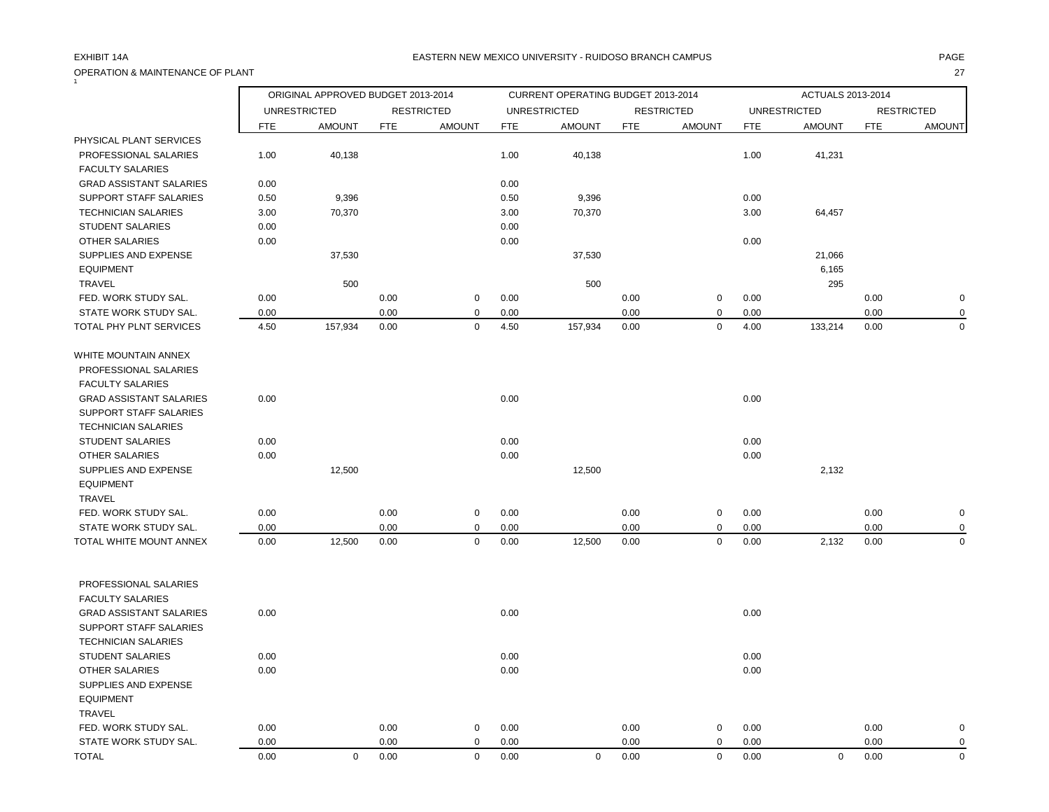# OPERATION & MAINTENANCE OF PLANT 27  $\tilde{1}$

## EXHIBIT 14A PAGE EASTERN NEW MEXICO UNIVERSITY - RUIDOSO BRANCH CAMPUS

|                                |            | ORIGINAL APPROVED BUDGET 2013-2014 |            |                   |            | CURRENT OPERATING BUDGET 2013-2014 |            |                   |            | ACTUALS 2013-2014   |            |                   |
|--------------------------------|------------|------------------------------------|------------|-------------------|------------|------------------------------------|------------|-------------------|------------|---------------------|------------|-------------------|
|                                |            | <b>UNRESTRICTED</b>                |            | <b>RESTRICTED</b> |            | <b>UNRESTRICTED</b>                |            | <b>RESTRICTED</b> |            | <b>UNRESTRICTED</b> |            | <b>RESTRICTED</b> |
|                                | <b>FTE</b> | <b>AMOUNT</b>                      | <b>FTE</b> | <b>AMOUNT</b>     | <b>FTE</b> | <b>AMOUNT</b>                      | <b>FTE</b> | <b>AMOUNT</b>     | <b>FTE</b> | <b>AMOUNT</b>       | <b>FTE</b> | <b>AMOUNT</b>     |
| PHYSICAL PLANT SERVICES        |            |                                    |            |                   |            |                                    |            |                   |            |                     |            |                   |
| PROFESSIONAL SALARIES          | 1.00       | 40,138                             |            |                   | 1.00       | 40,138                             |            |                   | 1.00       | 41,231              |            |                   |
| <b>FACULTY SALARIES</b>        |            |                                    |            |                   |            |                                    |            |                   |            |                     |            |                   |
| <b>GRAD ASSISTANT SALARIES</b> | 0.00       |                                    |            |                   | 0.00       |                                    |            |                   |            |                     |            |                   |
| SUPPORT STAFF SALARIES         | 0.50       | 9,396                              |            |                   | 0.50       | 9,396                              |            |                   | 0.00       |                     |            |                   |
| <b>TECHNICIAN SALARIES</b>     | 3.00       | 70,370                             |            |                   | 3.00       | 70,370                             |            |                   | 3.00       | 64,457              |            |                   |
| <b>STUDENT SALARIES</b>        | 0.00       |                                    |            |                   | 0.00       |                                    |            |                   |            |                     |            |                   |
| <b>OTHER SALARIES</b>          | 0.00       |                                    |            |                   | 0.00       |                                    |            |                   | 0.00       |                     |            |                   |
| SUPPLIES AND EXPENSE           |            | 37,530                             |            |                   |            | 37,530                             |            |                   |            | 21,066              |            |                   |
| <b>EQUIPMENT</b>               |            |                                    |            |                   |            |                                    |            |                   |            | 6,165               |            |                   |
| TRAVEL                         |            | 500                                |            |                   |            | 500                                |            |                   |            | 295                 |            |                   |
| FED. WORK STUDY SAL.           | 0.00       |                                    | 0.00       | $\mathbf 0$       | 0.00       |                                    | 0.00       | 0                 | 0.00       |                     | 0.00       | $\pmb{0}$         |
| STATE WORK STUDY SAL.          | 0.00       |                                    | 0.00       | $\mathbf 0$       | 0.00       |                                    | 0.00       | $\mathbf 0$       | 0.00       |                     | 0.00       | $\mathbf 0$       |
| TOTAL PHY PLNT SERVICES        | 4.50       | 157,934                            | 0.00       | $\mathbf 0$       | 4.50       | 157,934                            | 0.00       | $\mathsf 0$       | 4.00       | 133,214             | 0.00       | $\mathbf 0$       |
| WHITE MOUNTAIN ANNEX           |            |                                    |            |                   |            |                                    |            |                   |            |                     |            |                   |
| PROFESSIONAL SALARIES          |            |                                    |            |                   |            |                                    |            |                   |            |                     |            |                   |
| <b>FACULTY SALARIES</b>        |            |                                    |            |                   |            |                                    |            |                   |            |                     |            |                   |
| <b>GRAD ASSISTANT SALARIES</b> | 0.00       |                                    |            |                   | 0.00       |                                    |            |                   | 0.00       |                     |            |                   |
| SUPPORT STAFF SALARIES         |            |                                    |            |                   |            |                                    |            |                   |            |                     |            |                   |
| <b>TECHNICIAN SALARIES</b>     |            |                                    |            |                   |            |                                    |            |                   |            |                     |            |                   |
| <b>STUDENT SALARIES</b>        | 0.00       |                                    |            |                   | 0.00       |                                    |            |                   | 0.00       |                     |            |                   |
| <b>OTHER SALARIES</b>          | 0.00       |                                    |            |                   | 0.00       |                                    |            |                   | 0.00       |                     |            |                   |
| SUPPLIES AND EXPENSE           |            | 12,500                             |            |                   |            | 12,500                             |            |                   |            | 2,132               |            |                   |
| <b>EQUIPMENT</b>               |            |                                    |            |                   |            |                                    |            |                   |            |                     |            |                   |
| <b>TRAVEL</b>                  |            |                                    |            |                   |            |                                    |            |                   |            |                     |            |                   |
| FED. WORK STUDY SAL.           | 0.00       |                                    | 0.00       | $\mathbf 0$       | 0.00       |                                    | 0.00       | 0                 | 0.00       |                     | 0.00       | $\pmb{0}$         |
| STATE WORK STUDY SAL.          | 0.00       |                                    | 0.00       | $\mathbf 0$       | 0.00       |                                    | 0.00       | 0                 | 0.00       |                     | 0.00       | 0                 |
| TOTAL WHITE MOUNT ANNEX        | 0.00       | 12,500                             | 0.00       | $\mathbf 0$       | 0.00       | 12,500                             | 0.00       | $\mathbf 0$       | 0.00       | 2,132               | 0.00       | $\mathbf 0$       |
|                                |            |                                    |            |                   |            |                                    |            |                   |            |                     |            |                   |
| PROFESSIONAL SALARIES          |            |                                    |            |                   |            |                                    |            |                   |            |                     |            |                   |
| <b>FACULTY SALARIES</b>        |            |                                    |            |                   |            |                                    |            |                   |            |                     |            |                   |
| <b>GRAD ASSISTANT SALARIES</b> | 0.00       |                                    |            |                   | 0.00       |                                    |            |                   | 0.00       |                     |            |                   |
| SUPPORT STAFF SALARIES         |            |                                    |            |                   |            |                                    |            |                   |            |                     |            |                   |
| <b>TECHNICIAN SALARIES</b>     |            |                                    |            |                   |            |                                    |            |                   |            |                     |            |                   |
| <b>STUDENT SALARIES</b>        | 0.00       |                                    |            |                   | 0.00       |                                    |            |                   | 0.00       |                     |            |                   |
| <b>OTHER SALARIES</b>          | 0.00       |                                    |            |                   | 0.00       |                                    |            |                   | 0.00       |                     |            |                   |
| SUPPLIES AND EXPENSE           |            |                                    |            |                   |            |                                    |            |                   |            |                     |            |                   |
| <b>EQUIPMENT</b>               |            |                                    |            |                   |            |                                    |            |                   |            |                     |            |                   |
| <b>TRAVEL</b>                  |            |                                    |            |                   |            |                                    |            |                   |            |                     |            |                   |
| FED. WORK STUDY SAL.           | 0.00       |                                    | 0.00       | $\mathbf 0$       | 0.00       |                                    | 0.00       | 0                 | 0.00       |                     | 0.00       | $\mathbf 0$       |
| STATE WORK STUDY SAL.          | 0.00       |                                    | 0.00       | 0                 | 0.00       |                                    | 0.00       | 0                 | 0.00       |                     | 0.00       | 0                 |
| <b>TOTAL</b>                   | 0.00       | $\mathbf 0$                        | 0.00       | $\Omega$          | 0.00       | $\Omega$                           | 0.00       | $\mathbf 0$       | 0.00       | $\mathbf 0$         | 0.00       | $\mathbf 0$       |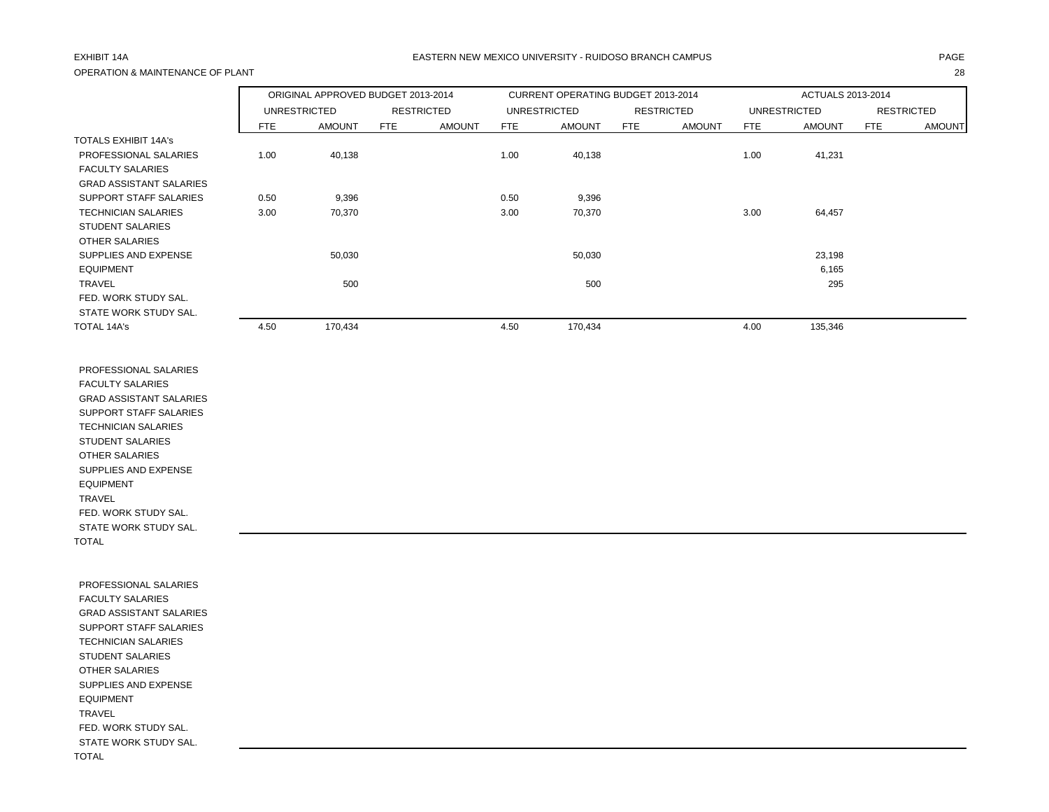# OPERATION & MAINTENANCE OF PLANT 28

## EXHIBIT 14A PAGE EASTERN NEW MEXICO UNIVERSITY - RUIDOSO BRANCH CAMPUS

|                                |            | ORIGINAL APPROVED BUDGET 2013-2014 |            |                   |            | CURRENT OPERATING BUDGET 2013-2014 |            |                   |            | ACTUALS 2013-2014 |            |                   |
|--------------------------------|------------|------------------------------------|------------|-------------------|------------|------------------------------------|------------|-------------------|------------|-------------------|------------|-------------------|
|                                |            | UNRESTRICTED                       |            | <b>RESTRICTED</b> |            | <b>UNRESTRICTED</b>                |            | <b>RESTRICTED</b> |            | UNRESTRICTED      |            | <b>RESTRICTED</b> |
|                                | <b>FTE</b> | <b>AMOUNT</b>                      | <b>FTE</b> | <b>AMOUNT</b>     | <b>FTE</b> | <b>AMOUNT</b>                      | <b>FTE</b> | <b>AMOUNT</b>     | <b>FTE</b> | <b>AMOUNT</b>     | <b>FTE</b> | <b>AMOUNT</b>     |
| <b>TOTALS EXHIBIT 14A's</b>    |            |                                    |            |                   |            |                                    |            |                   |            |                   |            |                   |
| PROFESSIONAL SALARIES          | 1.00       | 40,138                             |            |                   | 1.00       | 40,138                             |            |                   | 1.00       | 41,231            |            |                   |
| <b>FACULTY SALARIES</b>        |            |                                    |            |                   |            |                                    |            |                   |            |                   |            |                   |
| <b>GRAD ASSISTANT SALARIES</b> |            |                                    |            |                   |            |                                    |            |                   |            |                   |            |                   |
| SUPPORT STAFF SALARIES         | 0.50       | 9,396                              |            |                   | 0.50       | 9,396                              |            |                   |            |                   |            |                   |
| <b>TECHNICIAN SALARIES</b>     | 3.00       | 70,370                             |            |                   | 3.00       | 70,370                             |            |                   | 3.00       | 64,457            |            |                   |
| <b>STUDENT SALARIES</b>        |            |                                    |            |                   |            |                                    |            |                   |            |                   |            |                   |
| OTHER SALARIES                 |            |                                    |            |                   |            |                                    |            |                   |            |                   |            |                   |
| SUPPLIES AND EXPENSE           |            | 50,030                             |            |                   |            | 50,030                             |            |                   |            | 23,198            |            |                   |
| <b>EQUIPMENT</b>               |            |                                    |            |                   |            |                                    |            |                   |            | 6,165             |            |                   |
| <b>TRAVEL</b>                  |            | 500                                |            |                   |            | 500                                |            |                   |            | 295               |            |                   |
| FED. WORK STUDY SAL.           |            |                                    |            |                   |            |                                    |            |                   |            |                   |            |                   |
| STATE WORK STUDY SAL.          |            |                                    |            |                   |            |                                    |            |                   |            |                   |            |                   |
| TOTAL 14A's                    | 4.50       | 170,434                            |            |                   | 4.50       | 170,434                            |            |                   | 4.00       | 135,346           |            |                   |

 PROFESSIONAL SALARIES FACULTY SALARIES GRAD ASSISTANT SALARIES SUPPORT STAFF SALARIES TECHNICIAN SALARIES STUDENT SALARIES OTHER SALARIES SUPPLIES AND EXPENSE EQUIPMENT TRAVEL FED. WORK STUDY SAL. STATE WORK STUDY SAL. TOTAL

 PROFESSIONAL SALARIES FACULTY SALARIES GRAD ASSISTANT SALARIES SUPPORT STAFF SALARIES TECHNICIAN SALARIES STUDENT SALARIES OTHER SALARIES SUPPLIES AND EXPENSE EQUIPMENT TRAVEL FED. WORK STUDY SAL. STATE WORK STUDY SAL. TOTAL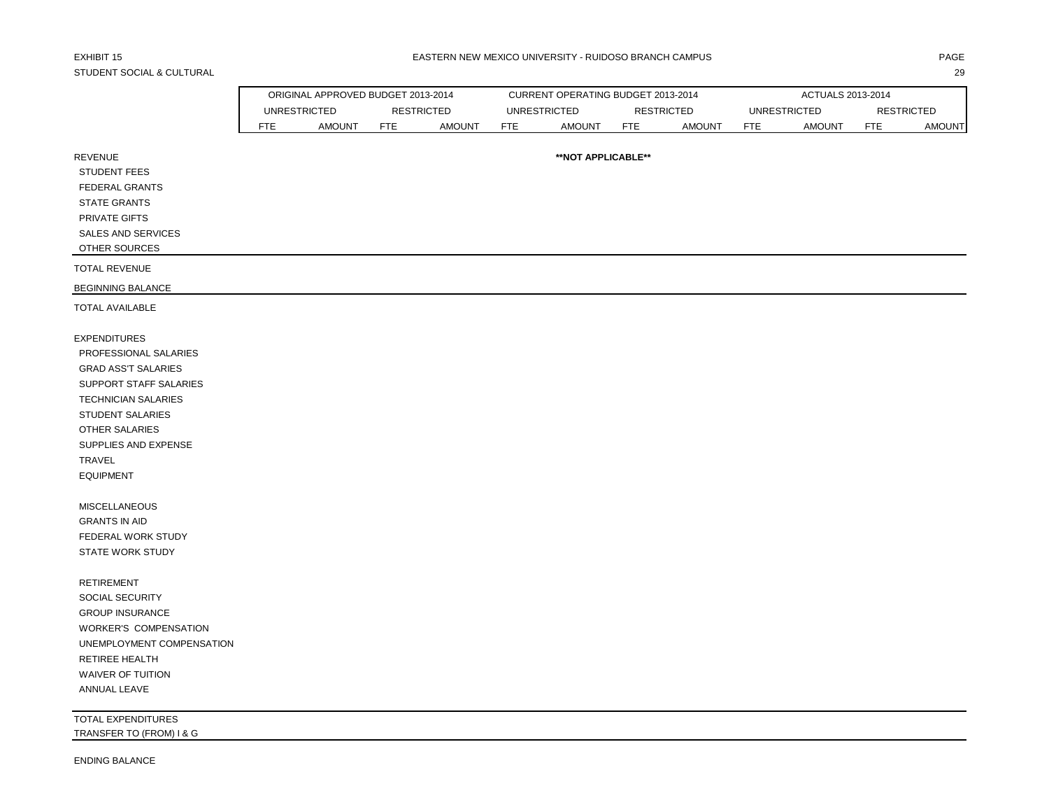# STUDENT SOCIAL & CULTURAL 29

|                            |            | ORIGINAL APPROVED BUDGET 2013-2014 |     |                   |     | CURRENT OPERATING BUDGET 2013-2014 |            |                   |            | ACTUALS 2013-2014   |            |                   |
|----------------------------|------------|------------------------------------|-----|-------------------|-----|------------------------------------|------------|-------------------|------------|---------------------|------------|-------------------|
|                            |            | <b>UNRESTRICTED</b>                |     | <b>RESTRICTED</b> |     | <b>UNRESTRICTED</b>                |            | <b>RESTRICTED</b> |            | <b>UNRESTRICTED</b> |            | <b>RESTRICTED</b> |
|                            | <b>FTE</b> | <b>AMOUNT</b>                      | FTE | <b>AMOUNT</b>     | FTE | AMOUNT                             | <b>FTE</b> | <b>AMOUNT</b>     | <b>FTE</b> | AMOUNT              | <b>FTE</b> | <b>AMOUNT</b>     |
|                            |            |                                    |     |                   |     |                                    |            |                   |            |                     |            |                   |
| REVENUE                    |            |                                    |     |                   |     | **NOT APPLICABLE**                 |            |                   |            |                     |            |                   |
| STUDENT FEES               |            |                                    |     |                   |     |                                    |            |                   |            |                     |            |                   |
| <b>FEDERAL GRANTS</b>      |            |                                    |     |                   |     |                                    |            |                   |            |                     |            |                   |
| <b>STATE GRANTS</b>        |            |                                    |     |                   |     |                                    |            |                   |            |                     |            |                   |
| PRIVATE GIFTS              |            |                                    |     |                   |     |                                    |            |                   |            |                     |            |                   |
| SALES AND SERVICES         |            |                                    |     |                   |     |                                    |            |                   |            |                     |            |                   |
| OTHER SOURCES              |            |                                    |     |                   |     |                                    |            |                   |            |                     |            |                   |
| TOTAL REVENUE              |            |                                    |     |                   |     |                                    |            |                   |            |                     |            |                   |
| BEGINNING BALANCE          |            |                                    |     |                   |     |                                    |            |                   |            |                     |            |                   |
| TOTAL AVAILABLE            |            |                                    |     |                   |     |                                    |            |                   |            |                     |            |                   |
| <b>EXPENDITURES</b>        |            |                                    |     |                   |     |                                    |            |                   |            |                     |            |                   |
| PROFESSIONAL SALARIES      |            |                                    |     |                   |     |                                    |            |                   |            |                     |            |                   |
|                            |            |                                    |     |                   |     |                                    |            |                   |            |                     |            |                   |
| <b>GRAD ASS'T SALARIES</b> |            |                                    |     |                   |     |                                    |            |                   |            |                     |            |                   |

| <b>FXPENDITURES</b>        |
|----------------------------|
| PROFFSSIONAL SALARIES      |
| <b>GRAD ASS'T SALARIES</b> |
| SUPPORT STAFF SALARIES     |
| TECHNICIAN SAI ARIES       |
| STUDENT SALARIES           |
| OTHER SALARIES             |
| SUPPLIES AND EXPENSE       |
| TRAVFI                     |
| <b>EQUIPMENT</b>           |

 MISCELLANEOUS GRANTS IN AID FEDERAL WORK STUDY STATE WORK STUDY

 RETIREMENT SOCIAL SECURITY GROUP INSURANCE WORKER'S COMPENSATION UNEMPLOYMENT COMPENSATION RETIREE HEALTH WAIVER OF TUITION ANNUAL LEAVE

TOTAL EXPENDITURES TRANSFER TO (FROM) I & G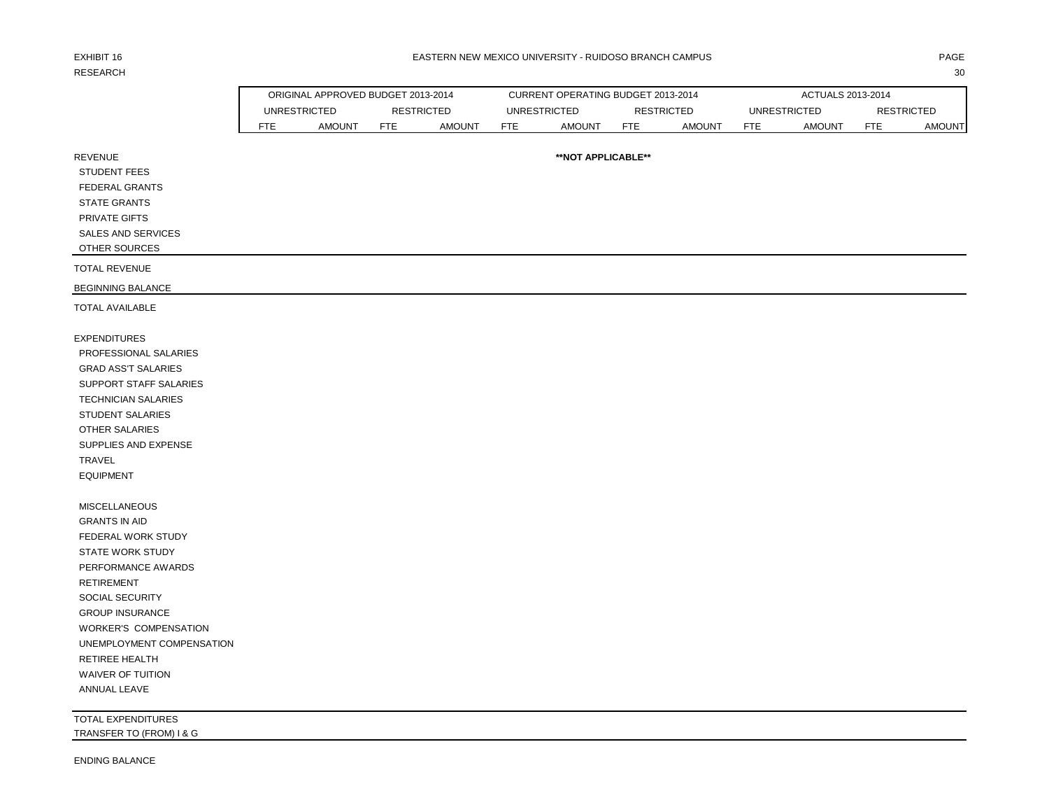# RESEARCH 2008 and 2008 and 2008 and 2008 and 2008 and 2008 and 2008 and 2008 and 2008 and 2008 and 2008 and 200

|      | ORIGINAL APPROVED BUDGET 2013-2014 |            |                   |                                             | CURRENT OPERATING BUDGET 2013-2014 |                      |            |            | ACTUALS 2013-2014 |            |                   |
|------|------------------------------------|------------|-------------------|---------------------------------------------|------------------------------------|----------------------|------------|------------|-------------------|------------|-------------------|
|      | UNRESTRICTED                       |            | <b>RESTRICTED</b> |                                             |                                    |                      | RESTRICTED |            | UNRESTRICTED      |            | <b>RESTRICTED</b> |
| FTE. | <b>AMOUNT</b>                      | <b>FTE</b> | <b>AMOUNT</b>     | UNRESTRICTED<br><b>AMOUNT</b><br><b>FTE</b> |                                    | <b>FTE</b><br>AMOUNT |            | <b>FTE</b> | AMOUNT            | <b>FTE</b> | <b>AMOUNT</b>     |
|      |                                    |            |                   |                                             |                                    |                      |            |            |                   |            |                   |
|      | <b>**NOT APPLICABLE**</b>          |            |                   |                                             |                                    |                      |            |            |                   |            |                   |

REVENUE

STUDENT FEES

FEDERAL GRANTS

STATE GRANTS

PRIVATE GIFTS

SALES AND SERVICES

OTHER SOURCES

TOTAL REVENUE

BEGINNING BALANCE

TOTAL AVAILABLE

EXPENDITURES PROFESSIONAL SALARIES GRAD ASS'T SALARIES SUPPORT STAFF SALARIES TECHNICIAN SALARIES STUDENT SALARIES OTHER SALARIES SUPPLIES AND EXPENSE TRAVEL EQUIPMENT

 MISCELLANEOUS GRANTS IN AID FEDERAL WORK STUDY STATE WORK STUDY PERFORMANCE AWARDS RETIREMENT SOCIAL SECURITY GROUP INSURANCE WORKER'S COMPENSATION UNEMPLOYMENT COMPENSATION RETIREE HEALTH WAIVER OF TUITION ANNUAL LEAVE

TOTAL EXPENDITURES TRANSFER TO (FROM) I & G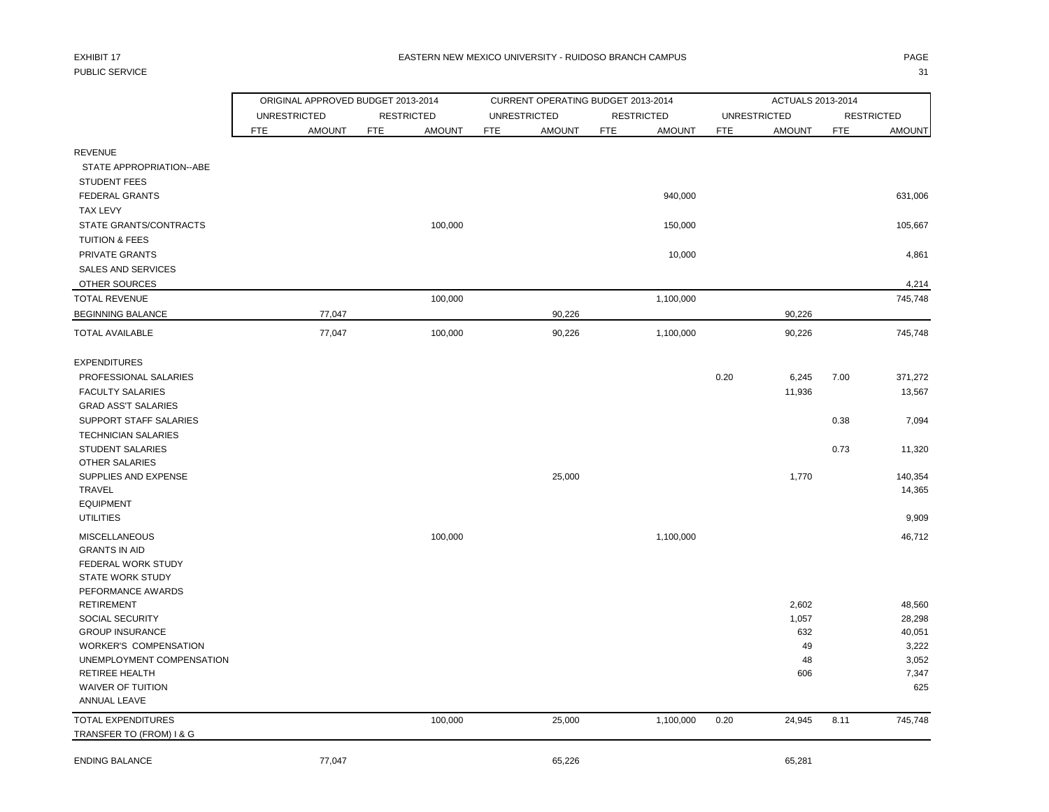# PUBLIC SERVICE And the state of the state of the state of the state of the state of the state of the state of the state of the state of the state of the state of the state of the state of the state of the state of the stat

|                                                                   |                     | ORIGINAL APPROVED BUDGET 2013-2014 |            |                   |            | CURRENT OPERATING BUDGET 2013-2014 |            |                   |            | ACTUALS 2013-2014   |            |                   |
|-------------------------------------------------------------------|---------------------|------------------------------------|------------|-------------------|------------|------------------------------------|------------|-------------------|------------|---------------------|------------|-------------------|
|                                                                   | <b>UNRESTRICTED</b> |                                    |            | <b>RESTRICTED</b> |            | <b>UNRESTRICTED</b>                |            | <b>RESTRICTED</b> |            | <b>UNRESTRICTED</b> |            | <b>RESTRICTED</b> |
|                                                                   | <b>FTE</b>          | <b>AMOUNT</b>                      | <b>FTE</b> | <b>AMOUNT</b>     | <b>FTE</b> | <b>AMOUNT</b>                      | <b>FTE</b> | <b>AMOUNT</b>     | <b>FTE</b> | <b>AMOUNT</b>       | <b>FTE</b> | <b>AMOUNT</b>     |
| <b>REVENUE</b><br>STATE APPROPRIATION--ABE<br><b>STUDENT FEES</b> |                     |                                    |            |                   |            |                                    |            |                   |            |                     |            |                   |
| <b>FEDERAL GRANTS</b><br><b>TAX LEVY</b>                          |                     |                                    |            |                   |            |                                    |            | 940,000           |            |                     |            | 631,006           |
| STATE GRANTS/CONTRACTS<br><b>TUITION &amp; FEES</b>               |                     |                                    |            | 100,000           |            |                                    |            | 150,000           |            |                     |            | 105,667           |
| PRIVATE GRANTS<br><b>SALES AND SERVICES</b>                       |                     |                                    |            |                   |            |                                    |            | 10,000            |            |                     |            | 4,861             |
| OTHER SOURCES                                                     |                     |                                    |            |                   |            |                                    |            |                   |            |                     |            | 4,214             |
| <b>TOTAL REVENUE</b>                                              |                     |                                    |            | 100,000           |            |                                    |            | 1,100,000         |            |                     |            | 745,748           |
| <b>BEGINNING BALANCE</b>                                          |                     | 77,047                             |            |                   |            | 90,226                             |            |                   |            | 90,226              |            |                   |
| <b>TOTAL AVAILABLE</b>                                            |                     | 77,047                             |            | 100,000           |            | 90,226                             |            | 1,100,000         |            | 90,226              |            | 745,748           |
| <b>EXPENDITURES</b>                                               |                     |                                    |            |                   |            |                                    |            |                   |            |                     |            |                   |
| PROFESSIONAL SALARIES                                             |                     |                                    |            |                   |            |                                    |            |                   | 0.20       | 6,245               | 7.00       | 371,272           |
| <b>FACULTY SALARIES</b>                                           |                     |                                    |            |                   |            |                                    |            |                   |            | 11,936              |            | 13,567            |
| <b>GRAD ASS'T SALARIES</b>                                        |                     |                                    |            |                   |            |                                    |            |                   |            |                     |            |                   |
| SUPPORT STAFF SALARIES                                            |                     |                                    |            |                   |            |                                    |            |                   |            |                     | 0.38       | 7,094             |
| <b>TECHNICIAN SALARIES</b>                                        |                     |                                    |            |                   |            |                                    |            |                   |            |                     |            |                   |
| <b>STUDENT SALARIES</b>                                           |                     |                                    |            |                   |            |                                    |            |                   |            |                     | 0.73       | 11,320            |
| <b>OTHER SALARIES</b>                                             |                     |                                    |            |                   |            |                                    |            |                   |            |                     |            |                   |
| SUPPLIES AND EXPENSE                                              |                     |                                    |            |                   |            | 25,000                             |            |                   |            | 1,770               |            | 140,354           |
| TRAVEL                                                            |                     |                                    |            |                   |            |                                    |            |                   |            |                     |            | 14,365            |
| <b>EQUIPMENT</b>                                                  |                     |                                    |            |                   |            |                                    |            |                   |            |                     |            |                   |
| <b>UTILITIES</b>                                                  |                     |                                    |            |                   |            |                                    |            |                   |            |                     |            | 9,909             |
|                                                                   |                     |                                    |            |                   |            |                                    |            |                   |            |                     |            |                   |
| <b>MISCELLANEOUS</b>                                              |                     |                                    |            | 100,000           |            |                                    |            | 1,100,000         |            |                     |            | 46,712            |
| <b>GRANTS IN AID</b>                                              |                     |                                    |            |                   |            |                                    |            |                   |            |                     |            |                   |
| FEDERAL WORK STUDY                                                |                     |                                    |            |                   |            |                                    |            |                   |            |                     |            |                   |
| <b>STATE WORK STUDY</b>                                           |                     |                                    |            |                   |            |                                    |            |                   |            |                     |            |                   |
| PEFORMANCE AWARDS                                                 |                     |                                    |            |                   |            |                                    |            |                   |            |                     |            |                   |
| <b>RETIREMENT</b>                                                 |                     |                                    |            |                   |            |                                    |            |                   |            | 2,602               |            | 48,560            |
| SOCIAL SECURITY                                                   |                     |                                    |            |                   |            |                                    |            |                   |            | 1,057               |            | 28,298            |
| <b>GROUP INSURANCE</b>                                            |                     |                                    |            |                   |            |                                    |            |                   |            | 632                 |            | 40,051            |
| <b>WORKER'S COMPENSATION</b>                                      |                     |                                    |            |                   |            |                                    |            |                   |            | 49                  |            | 3,222             |
| UNEMPLOYMENT COMPENSATION                                         |                     |                                    |            |                   |            |                                    |            |                   |            | 48                  |            | 3,052             |
| RETIREE HEALTH                                                    |                     |                                    |            |                   |            |                                    |            |                   |            | 606                 |            | 7,347             |
| <b>WAIVER OF TUITION</b>                                          |                     |                                    |            |                   |            |                                    |            |                   |            |                     |            | 625               |
| ANNUAL LEAVE                                                      |                     |                                    |            |                   |            |                                    |            |                   |            |                     |            |                   |
| <b>TOTAL EXPENDITURES</b>                                         |                     |                                    |            | 100,000           |            | 25,000                             |            | 1,100,000         | 0.20       | 24,945              | 8.11       | 745,748           |
| TRANSFER TO (FROM) I & G                                          |                     |                                    |            |                   |            |                                    |            |                   |            |                     |            |                   |
| <b>ENDING BALANCE</b>                                             |                     | 77,047                             |            |                   |            | 65,226                             |            |                   |            | 65,281              |            |                   |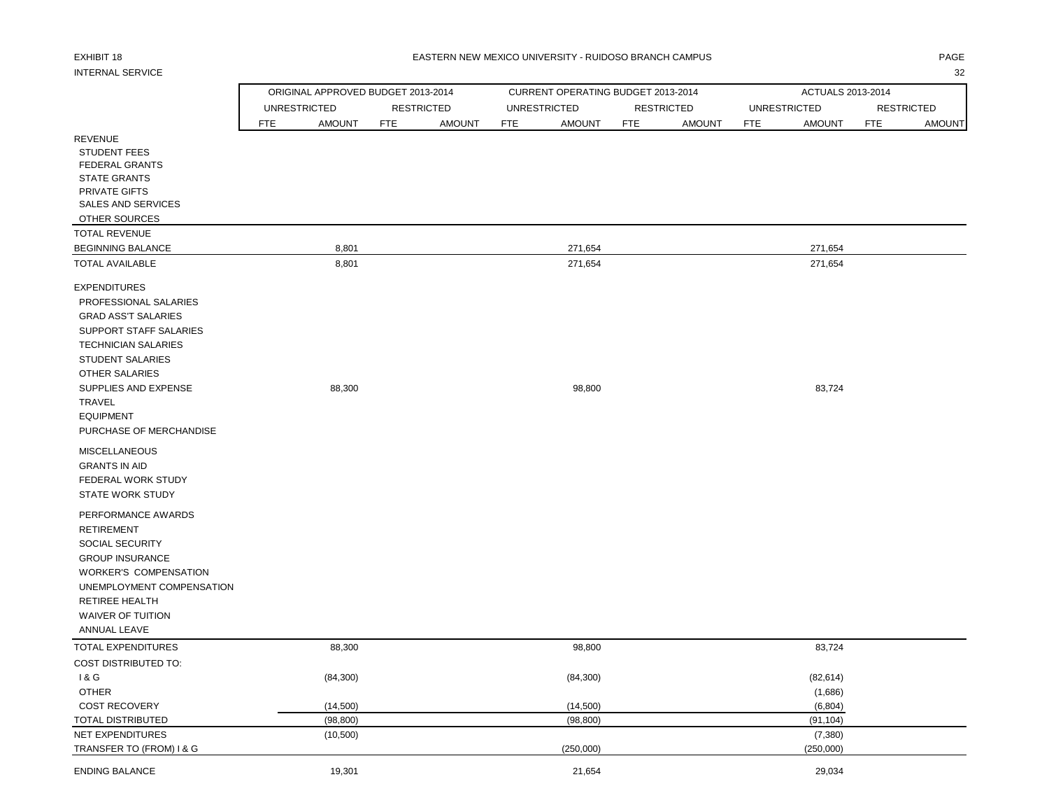## EXHIBIT 18 PAGE EASTERN NEW MEXICO UNIVERSITY - RUIDOSO BRANCH CAMPUS

## INTERNAL SERVICE 32

|                              | ORIGINAL APPROVED BUDGET 2013-2014 |               |                   |               |            | CURRENT OPERATING BUDGET 2013-2014 |            |                   |            | ACTUALS 2013-2014   |            |                   |
|------------------------------|------------------------------------|---------------|-------------------|---------------|------------|------------------------------------|------------|-------------------|------------|---------------------|------------|-------------------|
|                              | <b>UNRESTRICTED</b>                |               | <b>RESTRICTED</b> |               |            | <b>UNRESTRICTED</b>                |            | <b>RESTRICTED</b> |            | <b>UNRESTRICTED</b> |            | <b>RESTRICTED</b> |
|                              | FTE                                | <b>AMOUNT</b> | FTE               | <b>AMOUNT</b> | <b>FTE</b> | <b>AMOUNT</b>                      | <b>FTE</b> | <b>AMOUNT</b>     | <b>FTE</b> | <b>AMOUNT</b>       | <b>FTE</b> | <b>AMOUNT</b>     |
| <b>REVENUE</b>               |                                    |               |                   |               |            |                                    |            |                   |            |                     |            |                   |
| <b>STUDENT FEES</b>          |                                    |               |                   |               |            |                                    |            |                   |            |                     |            |                   |
| <b>FEDERAL GRANTS</b>        |                                    |               |                   |               |            |                                    |            |                   |            |                     |            |                   |
| <b>STATE GRANTS</b>          |                                    |               |                   |               |            |                                    |            |                   |            |                     |            |                   |
| PRIVATE GIFTS                |                                    |               |                   |               |            |                                    |            |                   |            |                     |            |                   |
| SALES AND SERVICES           |                                    |               |                   |               |            |                                    |            |                   |            |                     |            |                   |
| OTHER SOURCES                |                                    |               |                   |               |            |                                    |            |                   |            |                     |            |                   |
| <b>TOTAL REVENUE</b>         |                                    |               |                   |               |            |                                    |            |                   |            |                     |            |                   |
| <b>BEGINNING BALANCE</b>     |                                    | 8,801         |                   |               |            | 271,654                            |            |                   |            | 271,654             |            |                   |
| <b>TOTAL AVAILABLE</b>       |                                    | 8,801         |                   |               |            | 271,654                            |            |                   |            | 271,654             |            |                   |
| <b>EXPENDITURES</b>          |                                    |               |                   |               |            |                                    |            |                   |            |                     |            |                   |
| PROFESSIONAL SALARIES        |                                    |               |                   |               |            |                                    |            |                   |            |                     |            |                   |
| <b>GRAD ASS'T SALARIES</b>   |                                    |               |                   |               |            |                                    |            |                   |            |                     |            |                   |
| SUPPORT STAFF SALARIES       |                                    |               |                   |               |            |                                    |            |                   |            |                     |            |                   |
| <b>TECHNICIAN SALARIES</b>   |                                    |               |                   |               |            |                                    |            |                   |            |                     |            |                   |
| <b>STUDENT SALARIES</b>      |                                    |               |                   |               |            |                                    |            |                   |            |                     |            |                   |
| OTHER SALARIES               |                                    |               |                   |               |            |                                    |            |                   |            |                     |            |                   |
| SUPPLIES AND EXPENSE         |                                    | 88,300        |                   |               |            | 98,800                             |            |                   |            | 83,724              |            |                   |
| <b>TRAVEL</b>                |                                    |               |                   |               |            |                                    |            |                   |            |                     |            |                   |
| <b>EQUIPMENT</b>             |                                    |               |                   |               |            |                                    |            |                   |            |                     |            |                   |
| PURCHASE OF MERCHANDISE      |                                    |               |                   |               |            |                                    |            |                   |            |                     |            |                   |
| <b>MISCELLANEOUS</b>         |                                    |               |                   |               |            |                                    |            |                   |            |                     |            |                   |
| <b>GRANTS IN AID</b>         |                                    |               |                   |               |            |                                    |            |                   |            |                     |            |                   |
| FEDERAL WORK STUDY           |                                    |               |                   |               |            |                                    |            |                   |            |                     |            |                   |
| <b>STATE WORK STUDY</b>      |                                    |               |                   |               |            |                                    |            |                   |            |                     |            |                   |
| PERFORMANCE AWARDS           |                                    |               |                   |               |            |                                    |            |                   |            |                     |            |                   |
| <b>RETIREMENT</b>            |                                    |               |                   |               |            |                                    |            |                   |            |                     |            |                   |
| SOCIAL SECURITY              |                                    |               |                   |               |            |                                    |            |                   |            |                     |            |                   |
| <b>GROUP INSURANCE</b>       |                                    |               |                   |               |            |                                    |            |                   |            |                     |            |                   |
| <b>WORKER'S COMPENSATION</b> |                                    |               |                   |               |            |                                    |            |                   |            |                     |            |                   |
| UNEMPLOYMENT COMPENSATION    |                                    |               |                   |               |            |                                    |            |                   |            |                     |            |                   |
| RETIREE HEALTH               |                                    |               |                   |               |            |                                    |            |                   |            |                     |            |                   |
| WAIVER OF TUITION            |                                    |               |                   |               |            |                                    |            |                   |            |                     |            |                   |
| ANNUAL LEAVE                 |                                    |               |                   |               |            |                                    |            |                   |            |                     |            |                   |
| <b>TOTAL EXPENDITURES</b>    |                                    | 88,300        |                   |               |            | 98,800                             |            |                   |            | 83,724              |            |                   |
| <b>COST DISTRIBUTED TO:</b>  |                                    |               |                   |               |            |                                    |            |                   |            |                     |            |                   |
| 1 & G                        |                                    | (84, 300)     |                   |               |            | (84, 300)                          |            |                   |            | (82, 614)           |            |                   |
| <b>OTHER</b>                 |                                    |               |                   |               |            |                                    |            |                   |            | (1,686)             |            |                   |
| COST RECOVERY                |                                    | (14,500)      |                   |               |            | (14,500)                           |            |                   |            | (6, 804)            |            |                   |
| TOTAL DISTRIBUTED            |                                    | (98, 800)     |                   |               |            | (98, 800)                          |            |                   |            | (91, 104)           |            |                   |
| NET EXPENDITURES             |                                    | (10, 500)     |                   |               |            |                                    |            |                   |            | (7, 380)            |            |                   |
| TRANSFER TO (FROM) I & G     |                                    |               |                   |               |            | (250,000)                          |            |                   |            | (250,000)           |            |                   |
| <b>ENDING BALANCE</b>        |                                    | 19,301        |                   |               |            | 21,654                             |            |                   |            | 29,034              |            |                   |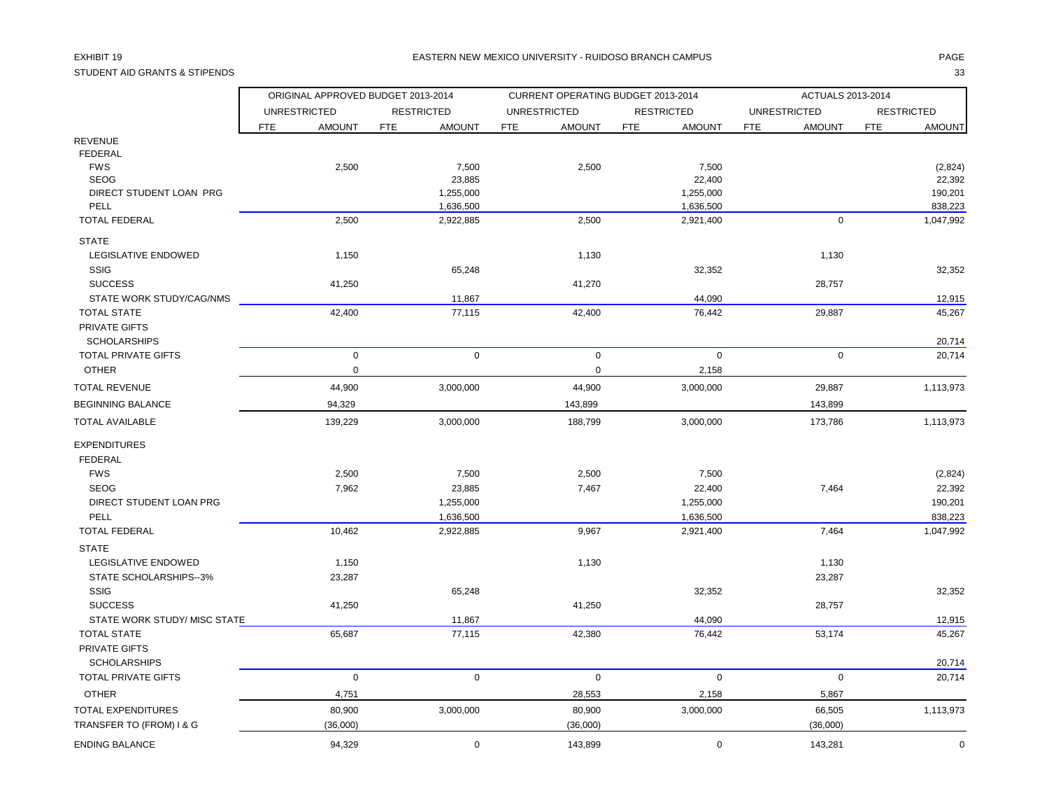# STUDENT AID GRANTS & STIPENDS 33

## EXHIBIT 19 PAGE PAGE AND THE SECOND MEXICO UNIVERSITY - RUIDOSO BRANCH CAMPUS AND MEXICO UNIVERSITY - RUIDOSO BRANCH CAMPUS

|                                      | ORIGINAL APPROVED BUDGET 2013-2014 |                        | CURRENT OPERATING BUDGET 2013-2014 |                             | ACTUALS 2013-2014           |                      |
|--------------------------------------|------------------------------------|------------------------|------------------------------------|-----------------------------|-----------------------------|----------------------|
|                                      | <b>UNRESTRICTED</b>                | <b>RESTRICTED</b>      | <b>UNRESTRICTED</b>                | <b>RESTRICTED</b>           | <b>UNRESTRICTED</b>         | <b>RESTRICTED</b>    |
|                                      | FTE<br><b>AMOUNT</b>               | FTE<br><b>AMOUNT</b>   | <b>FTE</b><br><b>AMOUNT</b>        | <b>FTE</b><br><b>AMOUNT</b> | <b>AMOUNT</b><br><b>FTE</b> | <b>FTE</b><br>AMOUNT |
| <b>REVENUE</b>                       |                                    |                        |                                    |                             |                             |                      |
| <b>FEDERAL</b>                       |                                    |                        |                                    |                             |                             |                      |
| <b>FWS</b>                           | 2,500                              | 7,500                  | 2,500                              | 7,500                       |                             | (2,824)              |
| <b>SEOG</b>                          |                                    | 23,885                 |                                    | 22,400                      |                             | 22,392               |
| DIRECT STUDENT LOAN PRG<br>PELL      |                                    | 1,255,000<br>1,636,500 |                                    | 1,255,000                   |                             | 190,201              |
| <b>TOTAL FEDERAL</b>                 | 2,500                              | 2,922,885              | 2,500                              | 1,636,500<br>2,921,400      | $\mathbf 0$                 | 838,223<br>1,047,992 |
| <b>STATE</b>                         |                                    |                        |                                    |                             |                             |                      |
| LEGISLATIVE ENDOWED                  | 1,150                              |                        | 1,130                              |                             | 1,130                       |                      |
| <b>SSIG</b>                          |                                    | 65,248                 |                                    | 32,352                      |                             | 32,352               |
| <b>SUCCESS</b>                       | 41,250                             |                        | 41,270                             |                             | 28,757                      |                      |
| STATE WORK STUDY/CAG/NMS             |                                    | 11,867                 |                                    | 44,090                      |                             | 12,915               |
| <b>TOTAL STATE</b>                   | 42,400                             | 77,115                 | 42,400                             | 76,442                      | 29,887                      | 45,267               |
| PRIVATE GIFTS<br><b>SCHOLARSHIPS</b> |                                    |                        |                                    |                             |                             | 20,714               |
| <b>TOTAL PRIVATE GIFTS</b>           | $\mathbf 0$                        | $\mathsf 0$            | $\mathsf 0$                        | $\mathbf 0$                 | $\boldsymbol{0}$            | 20,714               |
| <b>OTHER</b>                         | $\mathbf 0$                        |                        | $\mathbf 0$                        | 2,158                       |                             |                      |
| <b>TOTAL REVENUE</b>                 | 44,900                             | 3,000,000              | 44,900                             | 3,000,000                   | 29,887                      | 1,113,973            |
| <b>BEGINNING BALANCE</b>             | 94,329                             |                        | 143,899                            |                             | 143,899                     |                      |
| <b>TOTAL AVAILABLE</b>               | 139,229                            | 3,000,000              | 188,799                            | 3,000,000                   | 173,786                     | 1,113,973            |
| <b>EXPENDITURES</b>                  |                                    |                        |                                    |                             |                             |                      |
| <b>FEDERAL</b>                       |                                    |                        |                                    |                             |                             |                      |
| <b>FWS</b>                           | 2,500                              | 7,500                  | 2,500                              | 7,500                       |                             | (2,824)              |
| <b>SEOG</b>                          | 7,962                              | 23,885                 | 7,467                              | 22,400                      | 7,464                       | 22,392               |
| DIRECT STUDENT LOAN PRG              |                                    | 1,255,000              |                                    | 1,255,000                   |                             | 190,201              |
| PELL                                 |                                    | 1,636,500              |                                    | 1,636,500                   |                             | 838,223              |
| <b>TOTAL FEDERAL</b>                 | 10,462                             | 2,922,885              | 9,967                              | 2,921,400                   | 7,464                       | 1,047,992            |
| <b>STATE</b>                         |                                    |                        |                                    |                             |                             |                      |
| LEGISLATIVE ENDOWED                  | 1,150                              |                        | 1,130                              |                             | 1,130                       |                      |
| STATE SCHOLARSHIPS--3%               | 23,287                             |                        |                                    |                             | 23,287                      |                      |
| <b>SSIG</b>                          |                                    | 65,248                 |                                    | 32,352                      |                             | 32,352               |
| <b>SUCCESS</b>                       | 41,250                             |                        | 41,250                             |                             | 28,757                      |                      |
| STATE WORK STUDY/ MISC STATE         |                                    | 11,867                 |                                    | 44,090                      |                             | 12,915               |
| <b>TOTAL STATE</b>                   | 65,687                             | 77,115                 | 42,380                             | 76,442                      | 53,174                      | 45,267               |
| PRIVATE GIFTS                        |                                    |                        |                                    |                             |                             |                      |
| <b>SCHOLARSHIPS</b>                  |                                    |                        |                                    |                             |                             | 20,714               |
| TOTAL PRIVATE GIFTS                  | $\mathbf 0$                        | $\mathbf 0$            | $\mathbf 0$                        | $\mathbf 0$                 | $\mathbf 0$                 | 20,714               |
| <b>OTHER</b>                         | 4,751                              |                        | 28,553                             | 2,158                       | 5,867                       |                      |
| TOTAL EXPENDITURES                   | 80,900                             | 3,000,000              | 80,900                             | 3,000,000                   | 66,505                      | 1,113,973            |
| TRANSFER TO (FROM) I & G             | (36,000)                           |                        | (36,000)                           |                             | (36,000)                    |                      |
| <b>ENDING BALANCE</b>                | 94,329                             | $\mathbf 0$            | 143,899                            | $\mathbf 0$                 | 143,281                     | $\pmb{0}$            |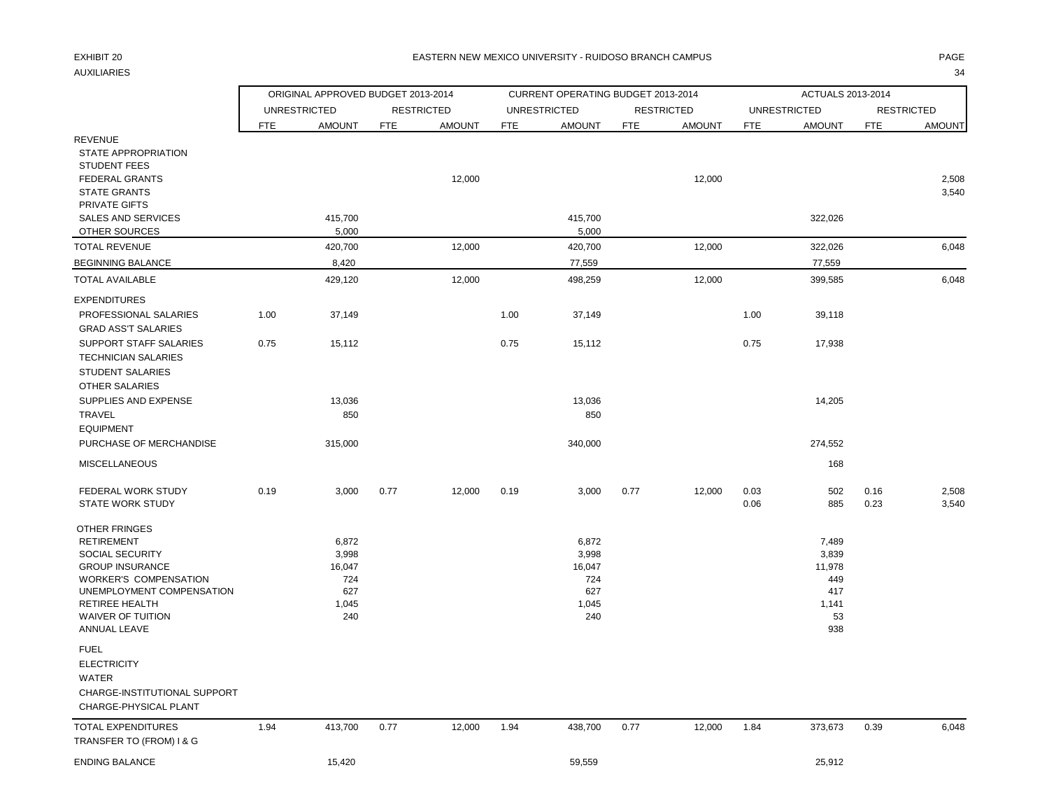## EXHIBIT 20 PAGE PAGE IN THE SEASTERN NEW MEXICO UNIVERSITY - RUIDOSO BRANCH CAMPUS AND THE SEASTERN ONLY ANGE

AUXILIARIES 34

|                                                                                                                                                                                                                                 |            | ORIGINAL APPROVED BUDGET 2013-2014                     |            |                   |            | CURRENT OPERATING BUDGET 2013-2014                     |            |                   |              | ACTUALS 2013-2014                                            |              |                   |
|---------------------------------------------------------------------------------------------------------------------------------------------------------------------------------------------------------------------------------|------------|--------------------------------------------------------|------------|-------------------|------------|--------------------------------------------------------|------------|-------------------|--------------|--------------------------------------------------------------|--------------|-------------------|
|                                                                                                                                                                                                                                 |            | <b>UNRESTRICTED</b>                                    |            | <b>RESTRICTED</b> |            | <b>UNRESTRICTED</b>                                    |            | <b>RESTRICTED</b> |              | <b>UNRESTRICTED</b>                                          |              | <b>RESTRICTED</b> |
|                                                                                                                                                                                                                                 | <b>FTE</b> | <b>AMOUNT</b>                                          | <b>FTE</b> | <b>AMOUNT</b>     | <b>FTE</b> | <b>AMOUNT</b>                                          | <b>FTE</b> | <b>AMOUNT</b>     | <b>FTE</b>   | <b>AMOUNT</b>                                                | <b>FTE</b>   | <b>AMOUNT</b>     |
| <b>REVENUE</b><br>STATE APPROPRIATION<br><b>STUDENT FEES</b><br><b>FEDERAL GRANTS</b><br><b>STATE GRANTS</b>                                                                                                                    |            |                                                        |            | 12,000            |            |                                                        |            | 12,000            |              |                                                              |              | 2,508<br>3,540    |
| PRIVATE GIFTS<br><b>SALES AND SERVICES</b>                                                                                                                                                                                      |            | 415,700                                                |            |                   |            | 415,700                                                |            |                   |              | 322,026                                                      |              |                   |
| OTHER SOURCES                                                                                                                                                                                                                   |            | 5,000                                                  |            |                   |            | 5,000                                                  |            |                   |              |                                                              |              |                   |
| <b>TOTAL REVENUE</b>                                                                                                                                                                                                            |            | 420,700                                                |            | 12,000            |            | 420,700                                                |            | 12,000            |              | 322,026                                                      |              | 6,048             |
| <b>BEGINNING BALANCE</b>                                                                                                                                                                                                        |            | 8,420                                                  |            |                   |            | 77,559                                                 |            |                   |              | 77,559                                                       |              |                   |
| <b>TOTAL AVAILABLE</b>                                                                                                                                                                                                          |            | 429,120                                                |            | 12,000            |            | 498,259                                                |            | 12,000            |              | 399,585                                                      |              | 6,048             |
| <b>EXPENDITURES</b>                                                                                                                                                                                                             |            |                                                        |            |                   |            |                                                        |            |                   |              |                                                              |              |                   |
| PROFESSIONAL SALARIES<br><b>GRAD ASS'T SALARIES</b>                                                                                                                                                                             | 1.00       | 37,149                                                 |            |                   | 1.00       | 37,149                                                 |            |                   | 1.00         | 39,118                                                       |              |                   |
| SUPPORT STAFF SALARIES<br><b>TECHNICIAN SALARIES</b><br><b>STUDENT SALARIES</b><br><b>OTHER SALARIES</b>                                                                                                                        | 0.75       | 15,112                                                 |            |                   | 0.75       | 15,112                                                 |            |                   | 0.75         | 17,938                                                       |              |                   |
| SUPPLIES AND EXPENSE                                                                                                                                                                                                            |            | 13,036                                                 |            |                   |            | 13,036                                                 |            |                   |              | 14,205                                                       |              |                   |
| TRAVEL<br><b>EQUIPMENT</b>                                                                                                                                                                                                      |            | 850                                                    |            |                   |            | 850                                                    |            |                   |              |                                                              |              |                   |
| PURCHASE OF MERCHANDISE                                                                                                                                                                                                         |            | 315,000                                                |            |                   |            | 340,000                                                |            |                   |              | 274,552                                                      |              |                   |
| <b>MISCELLANEOUS</b>                                                                                                                                                                                                            |            |                                                        |            |                   |            |                                                        |            |                   |              | 168                                                          |              |                   |
| FEDERAL WORK STUDY<br><b>STATE WORK STUDY</b>                                                                                                                                                                                   | 0.19       | 3,000                                                  | 0.77       | 12,000            | 0.19       | 3,000                                                  | 0.77       | 12,000            | 0.03<br>0.06 | 502<br>885                                                   | 0.16<br>0.23 | 2,508<br>3,540    |
| OTHER FRINGES<br><b>RETIREMENT</b><br><b>SOCIAL SECURITY</b><br><b>GROUP INSURANCE</b><br><b>WORKER'S COMPENSATION</b><br>UNEMPLOYMENT COMPENSATION<br><b>RETIREE HEALTH</b><br><b>WAIVER OF TUITION</b><br><b>ANNUAL LEAVE</b> |            | 6,872<br>3,998<br>16,047<br>724<br>627<br>1,045<br>240 |            |                   |            | 6,872<br>3,998<br>16,047<br>724<br>627<br>1,045<br>240 |            |                   |              | 7,489<br>3,839<br>11,978<br>449<br>417<br>1,141<br>53<br>938 |              |                   |
| <b>FUEL</b><br><b>ELECTRICITY</b><br>WATER<br>CHARGE-INSTITUTIONAL SUPPORT<br>CHARGE-PHYSICAL PLANT                                                                                                                             |            |                                                        |            |                   |            |                                                        |            |                   |              |                                                              |              |                   |
| <b>TOTAL EXPENDITURES</b><br>TRANSFER TO (FROM) I & G                                                                                                                                                                           | 1.94       | 413,700                                                | 0.77       | 12,000            | 1.94       | 438,700                                                | 0.77       | 12,000            | 1.84         | 373,673                                                      | 0.39         | 6,048             |
| <b>ENDING BALANCE</b>                                                                                                                                                                                                           |            | 15,420                                                 |            |                   |            | 59,559                                                 |            |                   |              | 25,912                                                       |              |                   |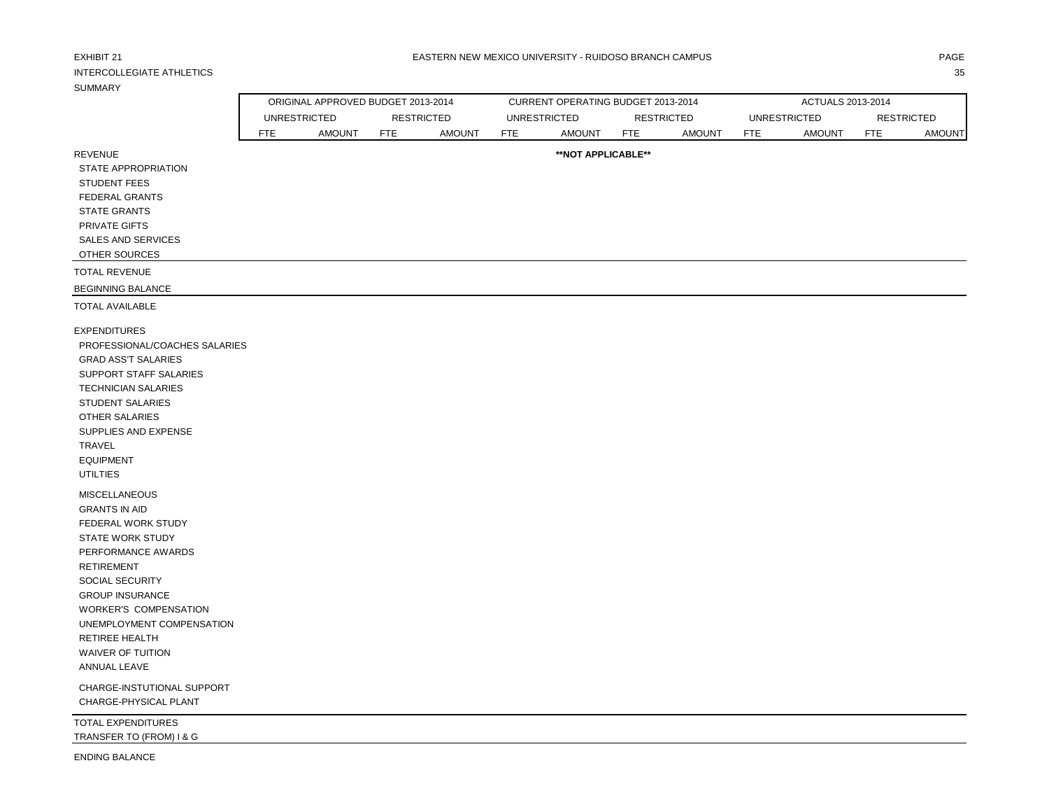| EXHIBIT 21<br><b>INTERCOLLEGIATE ATHLETICS</b><br><b>SUMMARY</b>                                                                                                                                                                                                                                                                                   |            |                                    |                   |               |            | EASTERN NEW MEXICO UNIVERSITY - RUIDOSO BRANCH CAMPUS |            |                   |            |                     |                   | PAGE<br>35    |
|----------------------------------------------------------------------------------------------------------------------------------------------------------------------------------------------------------------------------------------------------------------------------------------------------------------------------------------------------|------------|------------------------------------|-------------------|---------------|------------|-------------------------------------------------------|------------|-------------------|------------|---------------------|-------------------|---------------|
|                                                                                                                                                                                                                                                                                                                                                    |            |                                    |                   |               |            |                                                       |            |                   |            |                     |                   |               |
|                                                                                                                                                                                                                                                                                                                                                    |            | ORIGINAL APPROVED BUDGET 2013-2014 |                   |               |            | CURRENT OPERATING BUDGET 2013-2014                    |            |                   |            | ACTUALS 2013-2014   |                   |               |
|                                                                                                                                                                                                                                                                                                                                                    |            | <b>UNRESTRICTED</b>                | <b>RESTRICTED</b> |               |            | <b>UNRESTRICTED</b>                                   |            | <b>RESTRICTED</b> |            | <b>UNRESTRICTED</b> | <b>RESTRICTED</b> |               |
|                                                                                                                                                                                                                                                                                                                                                    | <b>FTE</b> | <b>AMOUNT</b>                      | <b>FTE</b>        | <b>AMOUNT</b> | <b>FTE</b> | <b>AMOUNT</b>                                         | <b>FTE</b> | <b>AMOUNT</b>     | <b>FTE</b> | <b>AMOUNT</b>       | <b>FTE</b>        | <b>AMOUNT</b> |
| <b>REVENUE</b><br><b>STATE APPROPRIATION</b><br><b>STUDENT FEES</b><br><b>FEDERAL GRANTS</b><br><b>STATE GRANTS</b><br>PRIVATE GIFTS<br><b>SALES AND SERVICES</b><br>OTHER SOURCES                                                                                                                                                                 |            |                                    |                   |               |            | **NOT APPLICABLE**                                    |            |                   |            |                     |                   |               |
|                                                                                                                                                                                                                                                                                                                                                    |            |                                    |                   |               |            |                                                       |            |                   |            |                     |                   |               |
| <b>TOTAL REVENUE</b>                                                                                                                                                                                                                                                                                                                               |            |                                    |                   |               |            |                                                       |            |                   |            |                     |                   |               |
| <b>BEGINNING BALANCE</b><br><b>TOTAL AVAILABLE</b>                                                                                                                                                                                                                                                                                                 |            |                                    |                   |               |            |                                                       |            |                   |            |                     |                   |               |
| <b>EXPENDITURES</b><br>PROFESSIONAL/COACHES SALARIES<br><b>GRAD ASS'T SALARIES</b><br>SUPPORT STAFF SALARIES<br><b>TECHNICIAN SALARIES</b><br><b>STUDENT SALARIES</b><br><b>OTHER SALARIES</b><br>SUPPLIES AND EXPENSE<br>TRAVEL<br><b>EQUIPMENT</b><br><b>UTILTIES</b>                                                                            |            |                                    |                   |               |            |                                                       |            |                   |            |                     |                   |               |
| MISCELLANEOUS<br><b>GRANTS IN AID</b><br>FEDERAL WORK STUDY<br><b>STATE WORK STUDY</b><br>PERFORMANCE AWARDS<br><b>RETIREMENT</b><br>SOCIAL SECURITY<br><b>GROUP INSURANCE</b><br>WORKER'S COMPENSATION<br>UNEMPLOYMENT COMPENSATION<br>RETIREE HEALTH<br>WAIVER OF TUITION<br>ANNUAL LEAVE<br>CHARGE-INSTUTIONAL SUPPORT<br>CHARGE-PHYSICAL PLANT |            |                                    |                   |               |            |                                                       |            |                   |            |                     |                   |               |
| <b>TOTAL EXPENDITURES</b><br>TRANSFER TO (FROM) I & G                                                                                                                                                                                                                                                                                              |            |                                    |                   |               |            |                                                       |            |                   |            |                     |                   |               |

ENDING BALANCE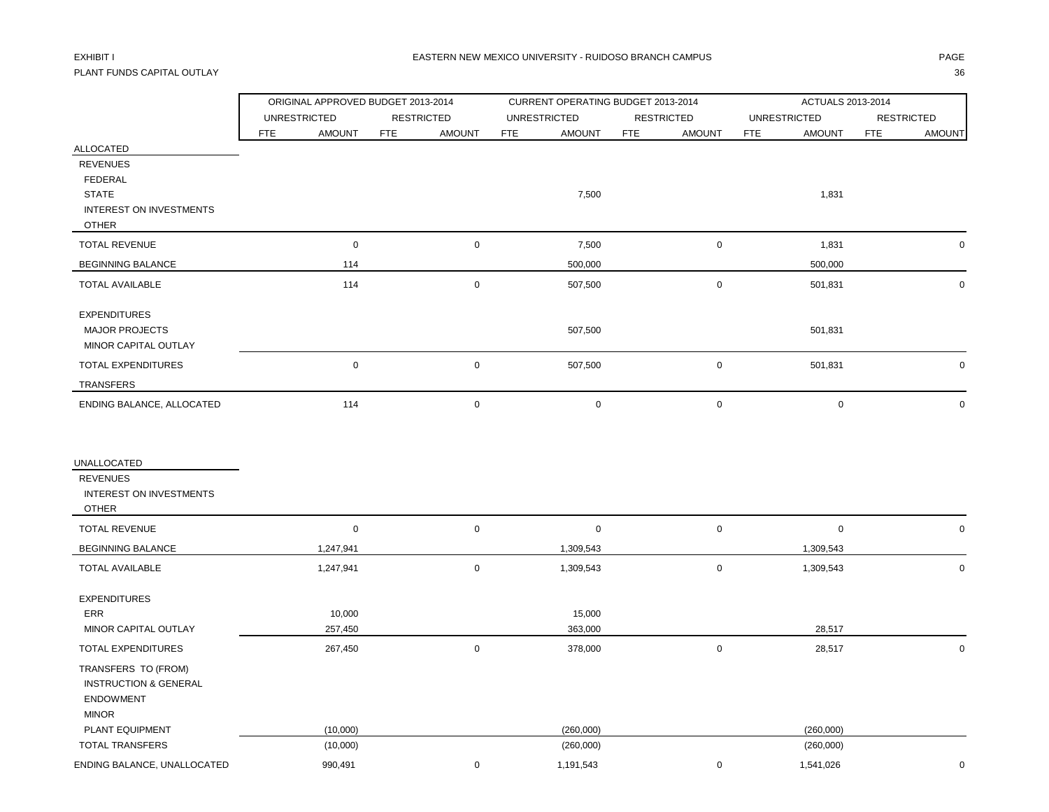# PLANT FUNDS CAPITAL OUTLAY 36

|                                   | ORIGINAL APPROVED BUDGET 2013-2014 |                             | CURRENT OPERATING BUDGET 2013-2014 |                             | ACTUALS 2013-2014    |                             |  |  |
|-----------------------------------|------------------------------------|-----------------------------|------------------------------------|-----------------------------|----------------------|-----------------------------|--|--|
|                                   | <b>UNRESTRICTED</b>                | <b>RESTRICTED</b>           | <b>UNRESTRICTED</b>                | <b>RESTRICTED</b>           | <b>UNRESTRICTED</b>  | <b>RESTRICTED</b>           |  |  |
|                                   | <b>AMOUNT</b><br><b>FTE</b>        | <b>FTE</b><br><b>AMOUNT</b> | <b>FTE</b><br>AMOUNT               | <b>FTE</b><br><b>AMOUNT</b> | AMOUNT<br><b>FTE</b> | <b>FTE</b><br><b>AMOUNT</b> |  |  |
| ALLOCATED                         |                                    |                             |                                    |                             |                      |                             |  |  |
| <b>REVENUES</b><br><b>FEDERAL</b> |                                    |                             |                                    |                             |                      |                             |  |  |
| <b>STATE</b>                      |                                    |                             | 7,500                              |                             | 1,831                |                             |  |  |
| INTEREST ON INVESTMENTS           |                                    |                             |                                    |                             |                      |                             |  |  |
| <b>OTHER</b>                      |                                    |                             |                                    |                             |                      |                             |  |  |
| <b>TOTAL REVENUE</b>              | $\pmb{0}$                          | $\mathbf 0$                 | 7,500                              | $\mathsf{O}\xspace$         | 1,831                | $\Omega$                    |  |  |
| <b>BEGINNING BALANCE</b>          | 114                                |                             | 500,000                            |                             | 500,000              |                             |  |  |
| <b>TOTAL AVAILABLE</b>            | 114                                | $\mathbf 0$                 | 507,500                            | $\mathsf{O}\xspace$         | 501,831              | 0                           |  |  |
| <b>EXPENDITURES</b>               |                                    |                             |                                    |                             |                      |                             |  |  |
| MAJOR PROJECTS                    |                                    |                             | 507,500                            |                             | 501,831              |                             |  |  |
| MINOR CAPITAL OUTLAY              |                                    |                             |                                    |                             |                      |                             |  |  |
| TOTAL EXPENDITURES                | $\pmb{0}$                          | $\boldsymbol{0}$            | 507,500                            | $\mathbf 0$                 | 501,831              | $\mathbf 0$                 |  |  |
| TRANSFERS                         |                                    |                             |                                    |                             |                      |                             |  |  |
| ENDING BALANCE, ALLOCATED         | 114                                | $\mathsf 0$                 | $\pmb{0}$                          | $\mathsf 0$                 | $\boldsymbol{0}$     | $\mathbf 0$                 |  |  |
|                                   |                                    |                             |                                    |                             |                      |                             |  |  |
| UNALLOCATED                       |                                    |                             |                                    |                             |                      |                             |  |  |
| <b>REVENUES</b>                   |                                    |                             |                                    |                             |                      |                             |  |  |
| INTEREST ON INVESTMENTS           |                                    |                             |                                    |                             |                      |                             |  |  |
| <b>OTHER</b>                      |                                    |                             |                                    |                             |                      |                             |  |  |
| <b>TOTAL REVENUE</b>              | $\pmb{0}$                          | $\boldsymbol{0}$            | $\mathbf 0$                        | $\mathsf 0$                 | $\mathbf 0$          | $\mathbf 0$                 |  |  |
| <b>BEGINNING BALANCE</b>          | 1,247,941                          |                             | 1,309,543                          |                             | 1,309,543            |                             |  |  |
| <b>TOTAL AVAILABLE</b>            | 1,247,941                          | $\mathsf 0$                 | 1,309,543                          | $\mathsf 0$                 | 1,309,543            | $\mathbf 0$                 |  |  |
| <b>EXPENDITURES</b>               |                                    |                             |                                    |                             |                      |                             |  |  |
| ERR                               | 10,000                             |                             | 15,000                             |                             |                      |                             |  |  |
| MINOR CAPITAL OUTLAY              | 257,450                            |                             | 363,000                            |                             | 28,517               |                             |  |  |
| TOTAL EXPENDITURES                | 267,450                            | $\mathsf 0$                 | 378,000                            | $\mathsf 0$                 | 28,517               | $\mathbf 0$                 |  |  |
| TRANSFERS TO (FROM)               |                                    |                             |                                    |                             |                      |                             |  |  |
| <b>INSTRUCTION &amp; GENERAL</b>  |                                    |                             |                                    |                             |                      |                             |  |  |
| <b>ENDOWMENT</b>                  |                                    |                             |                                    |                             |                      |                             |  |  |
| <b>MINOR</b><br>PLANT EQUIPMENT   | (10,000)                           |                             | (260,000)                          |                             | (260,000)            |                             |  |  |
| <b>TOTAL TRANSFERS</b>            | (10,000)                           |                             | (260,000)                          |                             | (260,000)            |                             |  |  |
| ENDING BALANCE, UNALLOCATED       | 990,491                            | $\mathsf 0$                 | 1,191,543                          | $\mathbf 0$                 | 1,541,026            | $\mathbf 0$                 |  |  |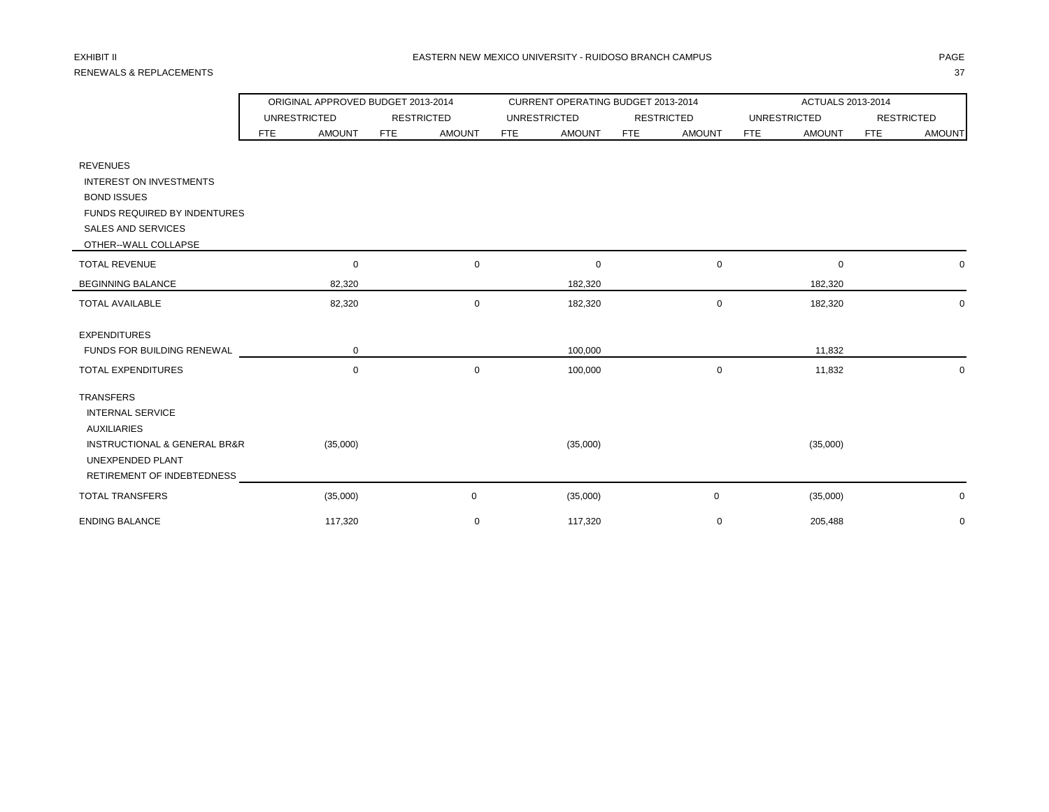# RENEWALS & REPLACEMENTS 37

|                                             |     | ORIGINAL APPROVED BUDGET 2013-2014 |            |                   |            | CURRENT OPERATING BUDGET 2013-2014 |            |                   | ACTUALS 2013-2014 |                     |            |                   |  |
|---------------------------------------------|-----|------------------------------------|------------|-------------------|------------|------------------------------------|------------|-------------------|-------------------|---------------------|------------|-------------------|--|
|                                             |     | <b>UNRESTRICTED</b>                |            | <b>RESTRICTED</b> |            | <b>UNRESTRICTED</b>                |            | <b>RESTRICTED</b> |                   | <b>UNRESTRICTED</b> |            | <b>RESTRICTED</b> |  |
|                                             | FTE | <b>AMOUNT</b>                      | <b>FTE</b> | <b>AMOUNT</b>     | <b>FTE</b> | <b>AMOUNT</b>                      | <b>FTE</b> | <b>AMOUNT</b>     | <b>FTE</b>        | <b>AMOUNT</b>       | <b>FTE</b> | <b>AMOUNT</b>     |  |
| <b>REVENUES</b>                             |     |                                    |            |                   |            |                                    |            |                   |                   |                     |            |                   |  |
| INTEREST ON INVESTMENTS                     |     |                                    |            |                   |            |                                    |            |                   |                   |                     |            |                   |  |
| <b>BOND ISSUES</b>                          |     |                                    |            |                   |            |                                    |            |                   |                   |                     |            |                   |  |
| <b>FUNDS REQUIRED BY INDENTURES</b>         |     |                                    |            |                   |            |                                    |            |                   |                   |                     |            |                   |  |
| SALES AND SERVICES                          |     |                                    |            |                   |            |                                    |            |                   |                   |                     |            |                   |  |
| OTHER--WALL COLLAPSE                        |     |                                    |            |                   |            |                                    |            |                   |                   |                     |            |                   |  |
| <b>TOTAL REVENUE</b>                        |     | 0                                  |            | $\mathbf 0$       |            | $\mathbf 0$                        |            | $\mathbf 0$       |                   | $\mathbf 0$         |            | 0                 |  |
| <b>BEGINNING BALANCE</b>                    |     | 82,320                             |            |                   |            | 182,320                            |            |                   |                   | 182,320             |            |                   |  |
| <b>TOTAL AVAILABLE</b>                      |     | 82,320                             |            | $\mathbf 0$       |            | 182,320                            |            | $\mathbf 0$       |                   | 182,320             |            | $\mathbf 0$       |  |
| <b>EXPENDITURES</b>                         |     |                                    |            |                   |            |                                    |            |                   |                   |                     |            |                   |  |
| FUNDS FOR BUILDING RENEWAL                  |     | 0                                  |            |                   |            | 100,000                            |            |                   |                   | 11,832              |            |                   |  |
| <b>TOTAL EXPENDITURES</b>                   |     | 0                                  |            | $\mathbf 0$       |            | 100,000                            |            | $\mathbf 0$       |                   | 11,832              |            | $\mathbf 0$       |  |
| <b>TRANSFERS</b>                            |     |                                    |            |                   |            |                                    |            |                   |                   |                     |            |                   |  |
| <b>INTERNAL SERVICE</b>                     |     |                                    |            |                   |            |                                    |            |                   |                   |                     |            |                   |  |
| <b>AUXILIARIES</b>                          |     |                                    |            |                   |            |                                    |            |                   |                   |                     |            |                   |  |
| <b>INSTRUCTIONAL &amp; GENERAL BR&amp;R</b> |     | (35,000)                           |            |                   |            | (35,000)                           |            |                   |                   | (35,000)            |            |                   |  |
| UNEXPENDED PLANT                            |     |                                    |            |                   |            |                                    |            |                   |                   |                     |            |                   |  |
| RETIREMENT OF INDEBTEDNESS                  |     |                                    |            |                   |            |                                    |            |                   |                   |                     |            |                   |  |
| <b>TOTAL TRANSFERS</b>                      |     | (35,000)                           |            | $\mathbf 0$       |            | (35,000)                           |            | 0                 |                   | (35,000)            |            | 0                 |  |
| <b>ENDING BALANCE</b>                       |     | 117,320                            |            | $\mathbf 0$       |            | 117,320                            |            | 0                 |                   | 205,488             |            | $\mathbf 0$       |  |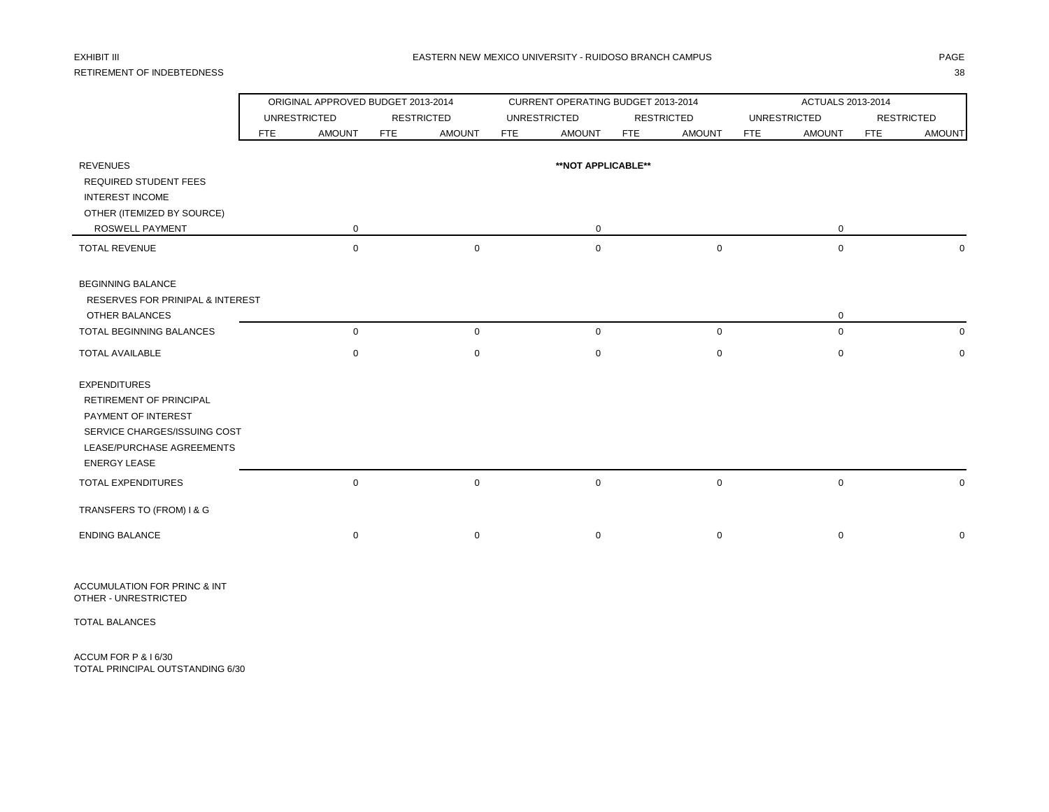# RETIREMENT OF INDEBTEDNESS 38

|                                             |     |                     | ORIGINAL APPROVED BUDGET 2013-2014 |               |            | CURRENT OPERATING BUDGET 2013-2014 |            |                   | ACTUALS 2013-2014           |            |                   |  |  |
|---------------------------------------------|-----|---------------------|------------------------------------|---------------|------------|------------------------------------|------------|-------------------|-----------------------------|------------|-------------------|--|--|
|                                             |     | <b>UNRESTRICTED</b> | <b>RESTRICTED</b>                  |               |            | <b>UNRESTRICTED</b>                |            | <b>RESTRICTED</b> | <b>UNRESTRICTED</b>         |            | <b>RESTRICTED</b> |  |  |
|                                             | FTE | <b>AMOUNT</b>       | <b>FTE</b>                         | <b>AMOUNT</b> | <b>FTE</b> | <b>AMOUNT</b>                      | <b>FTE</b> | <b>AMOUNT</b>     | <b>FTE</b><br><b>AMOUNT</b> | <b>FTE</b> | <b>AMOUNT</b>     |  |  |
| <b>REVENUES</b>                             |     |                     |                                    |               |            | **NOT APPLICABLE**                 |            |                   |                             |            |                   |  |  |
| <b>REQUIRED STUDENT FEES</b>                |     |                     |                                    |               |            |                                    |            |                   |                             |            |                   |  |  |
| <b>INTEREST INCOME</b>                      |     |                     |                                    |               |            |                                    |            |                   |                             |            |                   |  |  |
| OTHER (ITEMIZED BY SOURCE)                  |     |                     |                                    |               |            |                                    |            |                   |                             |            |                   |  |  |
| ROSWELL PAYMENT                             |     | 0                   |                                    |               |            | 0                                  |            |                   | 0                           |            |                   |  |  |
| <b>TOTAL REVENUE</b>                        |     | 0                   |                                    | $\mathsf 0$   |            | $\mathbf 0$                        |            | 0                 | $\mathbf 0$                 |            |                   |  |  |
| <b>BEGINNING BALANCE</b>                    |     |                     |                                    |               |            |                                    |            |                   |                             |            |                   |  |  |
| <b>RESERVES FOR PRINIPAL &amp; INTEREST</b> |     |                     |                                    |               |            |                                    |            |                   |                             |            |                   |  |  |
| <b>OTHER BALANCES</b>                       |     |                     |                                    |               |            |                                    |            |                   | 0                           |            |                   |  |  |
| TOTAL BEGINNING BALANCES                    |     | $\mathbf 0$         |                                    | $\mathbf 0$   |            | $\mathbf 0$                        |            | $\mathbf 0$       | $\mathbf 0$                 |            | 0                 |  |  |
| <b>TOTAL AVAILABLE</b>                      |     | 0                   |                                    | $\mathbf 0$   |            | 0                                  |            | 0                 | 0                           |            | $\mathbf 0$       |  |  |
| <b>EXPENDITURES</b>                         |     |                     |                                    |               |            |                                    |            |                   |                             |            |                   |  |  |
| <b>RETIREMENT OF PRINCIPAL</b>              |     |                     |                                    |               |            |                                    |            |                   |                             |            |                   |  |  |
| PAYMENT OF INTEREST                         |     |                     |                                    |               |            |                                    |            |                   |                             |            |                   |  |  |
| SERVICE CHARGES/ISSUING COST                |     |                     |                                    |               |            |                                    |            |                   |                             |            |                   |  |  |
| LEASE/PURCHASE AGREEMENTS                   |     |                     |                                    |               |            |                                    |            |                   |                             |            |                   |  |  |
| <b>ENERGY LEASE</b>                         |     |                     |                                    |               |            |                                    |            |                   |                             |            |                   |  |  |
| TOTAL EXPENDITURES                          |     | $\mathbf 0$         |                                    | $\mathbf 0$   |            | $\mathbf 0$                        |            | $\mathbf 0$       | $\mathbf 0$                 |            | 0                 |  |  |
| TRANSFERS TO (FROM) I & G                   |     |                     |                                    |               |            |                                    |            |                   |                             |            |                   |  |  |
| <b>ENDING BALANCE</b>                       |     | $\mathbf 0$         |                                    | $\mathbf 0$   |            | $\mathbf 0$                        |            | 0                 | 0                           |            | 0                 |  |  |

ACCUMULATION FOR PRINC & INT OTHER - UNRESTRICTED

TOTAL BALANCES

ACCUM FOR P & I 6/30 TOTAL PRINCIPAL OUTSTANDING 6/30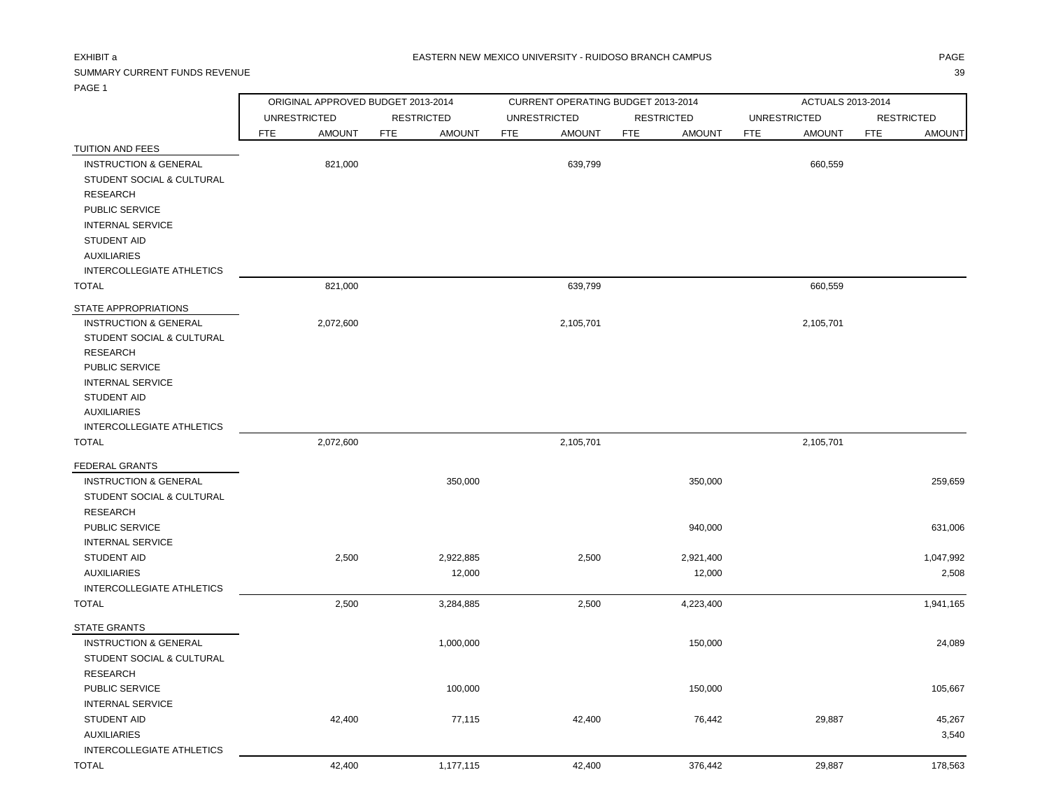INTERNAL SERVICE

INTERCOLLEGIATE ATHLETICS

# SUMMARY CURRENT FUNDS REVENUE 39

|                                  |            | ORIGINAL APPROVED BUDGET 2013-2014 |            |                   |     | CURRENT OPERATING BUDGET 2013-2014 |            |                   |            | ACTUALS 2013-2014   |            |                   |
|----------------------------------|------------|------------------------------------|------------|-------------------|-----|------------------------------------|------------|-------------------|------------|---------------------|------------|-------------------|
|                                  |            | <b>UNRESTRICTED</b>                |            | <b>RESTRICTED</b> |     | <b>UNRESTRICTED</b>                |            | <b>RESTRICTED</b> |            | <b>UNRESTRICTED</b> |            | <b>RESTRICTED</b> |
|                                  | <b>FTE</b> | <b>AMOUNT</b>                      | <b>FTE</b> | <b>AMOUNT</b>     | FTE | <b>AMOUNT</b>                      | <b>FTE</b> | <b>AMOUNT</b>     | <b>FTE</b> | <b>AMOUNT</b>       | <b>FTE</b> | <b>AMOUNT</b>     |
| TUITION AND FEES                 |            |                                    |            |                   |     |                                    |            |                   |            |                     |            |                   |
| <b>INSTRUCTION &amp; GENERAL</b> |            | 821,000                            |            |                   |     | 639,799                            |            |                   |            | 660,559             |            |                   |
| STUDENT SOCIAL & CULTURAL        |            |                                    |            |                   |     |                                    |            |                   |            |                     |            |                   |
| <b>RESEARCH</b>                  |            |                                    |            |                   |     |                                    |            |                   |            |                     |            |                   |
| PUBLIC SERVICE                   |            |                                    |            |                   |     |                                    |            |                   |            |                     |            |                   |
| <b>INTERNAL SERVICE</b>          |            |                                    |            |                   |     |                                    |            |                   |            |                     |            |                   |
| <b>STUDENT AID</b>               |            |                                    |            |                   |     |                                    |            |                   |            |                     |            |                   |
| <b>AUXILIARIES</b>               |            |                                    |            |                   |     |                                    |            |                   |            |                     |            |                   |
| INTERCOLLEGIATE ATHLETICS        |            |                                    |            |                   |     |                                    |            |                   |            |                     |            |                   |
| <b>TOTAL</b>                     |            | 821,000                            |            |                   |     | 639,799                            |            |                   |            | 660,559             |            |                   |
| STATE APPROPRIATIONS             |            |                                    |            |                   |     |                                    |            |                   |            |                     |            |                   |
| <b>INSTRUCTION &amp; GENERAL</b> |            | 2,072,600                          |            |                   |     | 2,105,701                          |            |                   |            | 2,105,701           |            |                   |
| STUDENT SOCIAL & CULTURAL        |            |                                    |            |                   |     |                                    |            |                   |            |                     |            |                   |
| <b>RESEARCH</b>                  |            |                                    |            |                   |     |                                    |            |                   |            |                     |            |                   |
| PUBLIC SERVICE                   |            |                                    |            |                   |     |                                    |            |                   |            |                     |            |                   |
| <b>INTERNAL SERVICE</b>          |            |                                    |            |                   |     |                                    |            |                   |            |                     |            |                   |
| <b>STUDENT AID</b>               |            |                                    |            |                   |     |                                    |            |                   |            |                     |            |                   |
| <b>AUXILIARIES</b>               |            |                                    |            |                   |     |                                    |            |                   |            |                     |            |                   |
| <b>INTERCOLLEGIATE ATHLETICS</b> |            |                                    |            |                   |     |                                    |            |                   |            |                     |            |                   |
| <b>TOTAL</b>                     |            | 2,072,600                          |            |                   |     | 2,105,701                          |            |                   |            | 2,105,701           |            |                   |
| <b>FEDERAL GRANTS</b>            |            |                                    |            |                   |     |                                    |            |                   |            |                     |            |                   |
| <b>INSTRUCTION &amp; GENERAL</b> |            |                                    |            | 350,000           |     |                                    |            | 350,000           |            |                     |            | 259,659           |
| STUDENT SOCIAL & CULTURAL        |            |                                    |            |                   |     |                                    |            |                   |            |                     |            |                   |
| <b>RESEARCH</b>                  |            |                                    |            |                   |     |                                    |            |                   |            |                     |            |                   |
| PUBLIC SERVICE                   |            |                                    |            |                   |     |                                    |            | 940,000           |            |                     |            | 631,006           |
| <b>INTERNAL SERVICE</b>          |            |                                    |            |                   |     |                                    |            |                   |            |                     |            |                   |
| <b>STUDENT AID</b>               |            | 2,500                              |            | 2,922,885         |     | 2,500                              |            | 2,921,400         |            |                     |            | 1,047,992         |
| <b>AUXILIARIES</b>               |            |                                    |            | 12,000            |     |                                    |            | 12,000            |            |                     |            | 2,508             |
| <b>INTERCOLLEGIATE ATHLETICS</b> |            |                                    |            |                   |     |                                    |            |                   |            |                     |            |                   |
| <b>TOTAL</b>                     |            | 2,500                              |            | 3,284,885         |     | 2,500                              |            | 4,223,400         |            |                     |            | 1,941,165         |
| <b>STATE GRANTS</b>              |            |                                    |            |                   |     |                                    |            |                   |            |                     |            |                   |
| <b>INSTRUCTION &amp; GENERAL</b> |            |                                    |            | 1,000,000         |     |                                    |            | 150,000           |            |                     |            | 24,089            |
| STUDENT SOCIAL & CULTURAL        |            |                                    |            |                   |     |                                    |            |                   |            |                     |            |                   |
| <b>RESEARCH</b>                  |            |                                    |            |                   |     |                                    |            |                   |            |                     |            |                   |
| PUBLIC SERVICE                   |            |                                    |            | 100,000           |     |                                    |            | 150.000           |            |                     |            | 105,667           |
|                                  |            |                                    |            |                   |     |                                    |            |                   |            |                     |            |                   |

STUDENT AID 42,400 77,115 42,400 76,442 29,887 45,267 AUXILIARIES 3,540

TOTAL 42,400 1,177,115 42,400 376,442 29,887 178,563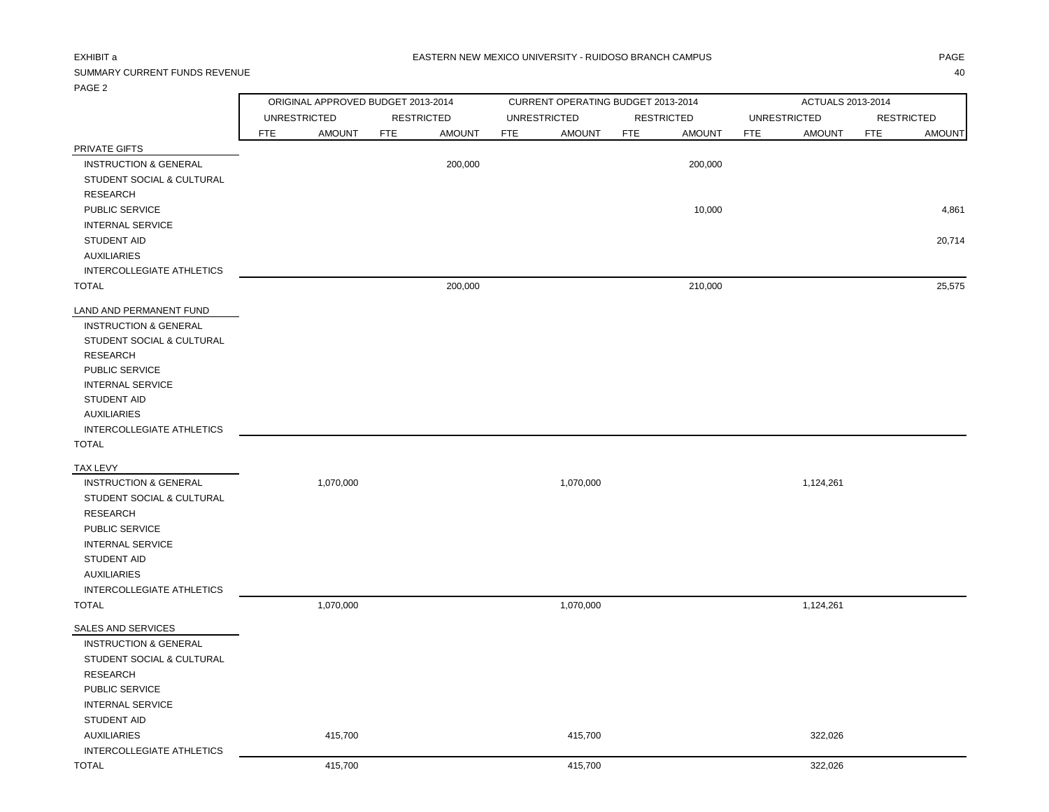### EXHIBIT a PAGE AND THE SERVICE OF THE SERVICE OF THE SERVICE OF THE SERVICE OF THE SERVICE OF THE SERVICE OF TH

# SUMMARY CURRENT FUNDS REVENUE 40

|                                  |            | ORIGINAL APPROVED BUDGET 2013-2014 |            |                   |            | CURRENT OPERATING BUDGET 2013-2014 |            |                   |            | ACTUALS 2013-2014   |            |                   |
|----------------------------------|------------|------------------------------------|------------|-------------------|------------|------------------------------------|------------|-------------------|------------|---------------------|------------|-------------------|
|                                  |            | <b>UNRESTRICTED</b>                |            | <b>RESTRICTED</b> |            | <b>UNRESTRICTED</b>                |            | <b>RESTRICTED</b> |            | <b>UNRESTRICTED</b> |            | <b>RESTRICTED</b> |
|                                  | <b>FTE</b> | <b>AMOUNT</b>                      | <b>FTE</b> | <b>AMOUNT</b>     | <b>FTE</b> | <b>AMOUNT</b>                      | <b>FTE</b> | <b>AMOUNT</b>     | <b>FTE</b> | <b>AMOUNT</b>       | <b>FTE</b> | <b>AMOUNT</b>     |
| PRIVATE GIFTS                    |            |                                    |            |                   |            |                                    |            |                   |            |                     |            |                   |
| <b>INSTRUCTION &amp; GENERAL</b> |            |                                    |            | 200,000           |            |                                    |            | 200,000           |            |                     |            |                   |
| STUDENT SOCIAL & CULTURAL        |            |                                    |            |                   |            |                                    |            |                   |            |                     |            |                   |
| <b>RESEARCH</b>                  |            |                                    |            |                   |            |                                    |            |                   |            |                     |            |                   |
| PUBLIC SERVICE                   |            |                                    |            |                   |            |                                    |            | 10,000            |            |                     |            | 4,861             |
| <b>INTERNAL SERVICE</b>          |            |                                    |            |                   |            |                                    |            |                   |            |                     |            |                   |
| <b>STUDENT AID</b>               |            |                                    |            |                   |            |                                    |            |                   |            |                     |            | 20,714            |
| <b>AUXILIARIES</b>               |            |                                    |            |                   |            |                                    |            |                   |            |                     |            |                   |
| INTERCOLLEGIATE ATHLETICS        |            |                                    |            |                   |            |                                    |            |                   |            |                     |            |                   |
| <b>TOTAL</b>                     |            |                                    |            | 200,000           |            |                                    |            | 210,000           |            |                     |            | 25,575            |
|                                  |            |                                    |            |                   |            |                                    |            |                   |            |                     |            |                   |
| LAND AND PERMANENT FUND          |            |                                    |            |                   |            |                                    |            |                   |            |                     |            |                   |
| <b>INSTRUCTION &amp; GENERAL</b> |            |                                    |            |                   |            |                                    |            |                   |            |                     |            |                   |
| STUDENT SOCIAL & CULTURAL        |            |                                    |            |                   |            |                                    |            |                   |            |                     |            |                   |
| <b>RESEARCH</b>                  |            |                                    |            |                   |            |                                    |            |                   |            |                     |            |                   |
| PUBLIC SERVICE                   |            |                                    |            |                   |            |                                    |            |                   |            |                     |            |                   |
| <b>INTERNAL SERVICE</b>          |            |                                    |            |                   |            |                                    |            |                   |            |                     |            |                   |
| <b>STUDENT AID</b>               |            |                                    |            |                   |            |                                    |            |                   |            |                     |            |                   |
| <b>AUXILIARIES</b>               |            |                                    |            |                   |            |                                    |            |                   |            |                     |            |                   |
| INTERCOLLEGIATE ATHLETICS        |            |                                    |            |                   |            |                                    |            |                   |            |                     |            |                   |
| <b>TOTAL</b>                     |            |                                    |            |                   |            |                                    |            |                   |            |                     |            |                   |
| <b>TAX LEVY</b>                  |            |                                    |            |                   |            |                                    |            |                   |            |                     |            |                   |
| <b>INSTRUCTION &amp; GENERAL</b> |            | 1,070,000                          |            |                   |            | 1,070,000                          |            |                   |            | 1,124,261           |            |                   |
| STUDENT SOCIAL & CULTURAL        |            |                                    |            |                   |            |                                    |            |                   |            |                     |            |                   |
| <b>RESEARCH</b>                  |            |                                    |            |                   |            |                                    |            |                   |            |                     |            |                   |
| PUBLIC SERVICE                   |            |                                    |            |                   |            |                                    |            |                   |            |                     |            |                   |
| <b>INTERNAL SERVICE</b>          |            |                                    |            |                   |            |                                    |            |                   |            |                     |            |                   |
| <b>STUDENT AID</b>               |            |                                    |            |                   |            |                                    |            |                   |            |                     |            |                   |
| <b>AUXILIARIES</b>               |            |                                    |            |                   |            |                                    |            |                   |            |                     |            |                   |
| INTERCOLLEGIATE ATHLETICS        |            |                                    |            |                   |            |                                    |            |                   |            |                     |            |                   |
| <b>TOTAL</b>                     |            | 1,070,000                          |            |                   |            | 1,070,000                          |            |                   |            | 1,124,261           |            |                   |
|                                  |            |                                    |            |                   |            |                                    |            |                   |            |                     |            |                   |
| SALES AND SERVICES               |            |                                    |            |                   |            |                                    |            |                   |            |                     |            |                   |
| <b>INSTRUCTION &amp; GENERAL</b> |            |                                    |            |                   |            |                                    |            |                   |            |                     |            |                   |
| STUDENT SOCIAL & CULTURAL        |            |                                    |            |                   |            |                                    |            |                   |            |                     |            |                   |
| <b>RESEARCH</b>                  |            |                                    |            |                   |            |                                    |            |                   |            |                     |            |                   |
| PUBLIC SERVICE                   |            |                                    |            |                   |            |                                    |            |                   |            |                     |            |                   |
| <b>INTERNAL SERVICE</b>          |            |                                    |            |                   |            |                                    |            |                   |            |                     |            |                   |
| <b>STUDENT AID</b>               |            |                                    |            |                   |            |                                    |            |                   |            |                     |            |                   |
| <b>AUXILIARIES</b>               |            | 415,700                            |            |                   |            | 415,700                            |            |                   |            | 322,026             |            |                   |
| INTERCOLLEGIATE ATHLETICS        |            |                                    |            |                   |            |                                    |            |                   |            |                     |            |                   |
| <b>TOTAL</b>                     |            | 415,700                            |            |                   |            | 415,700                            |            |                   |            | 322,026             |            |                   |
|                                  |            |                                    |            |                   |            |                                    |            |                   |            |                     |            |                   |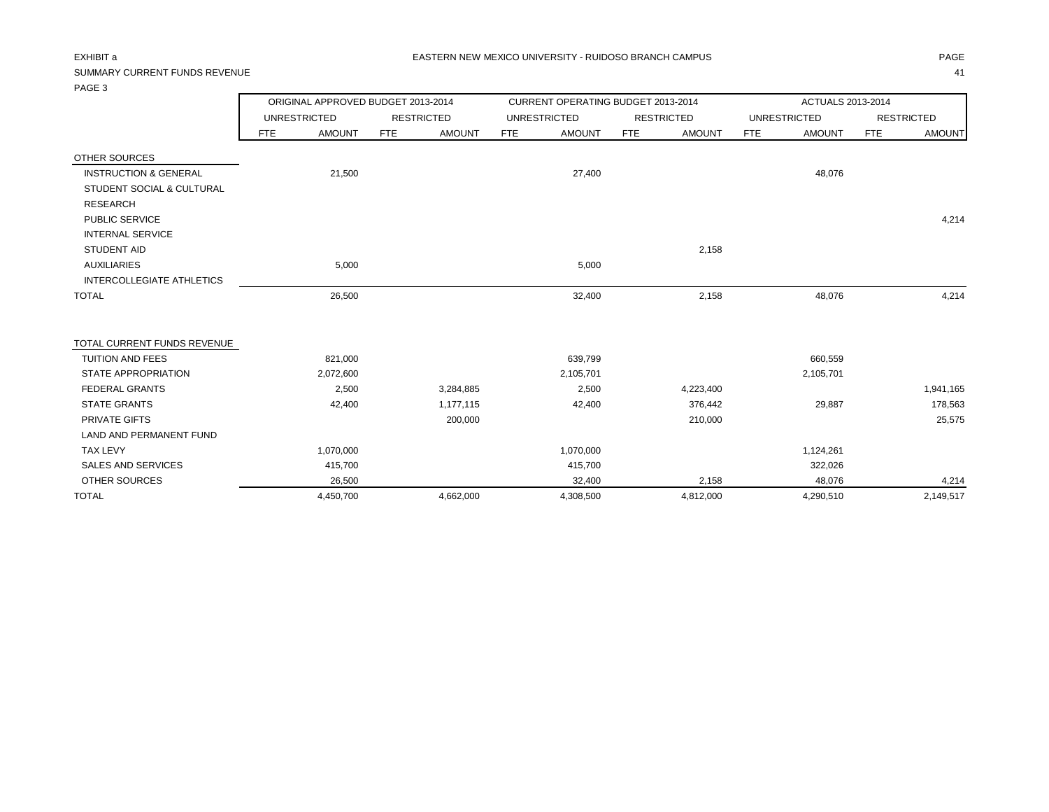# SUMMARY CURRENT FUNDS REVENUE 41

|                                  | ORIGINAL APPROVED BUDGET 2013-2014 |               |            |                   |            | CURRENT OPERATING BUDGET 2013-2014 |            |                   | ACTUALS 2013-2014 |                     |            |                   |
|----------------------------------|------------------------------------|---------------|------------|-------------------|------------|------------------------------------|------------|-------------------|-------------------|---------------------|------------|-------------------|
|                                  | <b>UNRESTRICTED</b>                |               |            | <b>RESTRICTED</b> |            | <b>UNRESTRICTED</b>                |            | <b>RESTRICTED</b> |                   | <b>UNRESTRICTED</b> |            | <b>RESTRICTED</b> |
|                                  | FTE                                | <b>AMOUNT</b> | <b>FTE</b> | <b>AMOUNT</b>     | <b>FTE</b> | <b>AMOUNT</b>                      | <b>FTE</b> | <b>AMOUNT</b>     | <b>FTE</b>        | <b>AMOUNT</b>       | <b>FTE</b> | <b>AMOUNT</b>     |
| OTHER SOURCES                    |                                    |               |            |                   |            |                                    |            |                   |                   |                     |            |                   |
| <b>INSTRUCTION &amp; GENERAL</b> |                                    | 21,500        |            |                   |            | 27,400                             |            |                   |                   | 48,076              |            |                   |
| STUDENT SOCIAL & CULTURAL        |                                    |               |            |                   |            |                                    |            |                   |                   |                     |            |                   |
| <b>RESEARCH</b>                  |                                    |               |            |                   |            |                                    |            |                   |                   |                     |            |                   |
| <b>PUBLIC SERVICE</b>            |                                    |               |            |                   |            |                                    |            |                   |                   |                     |            | 4,214             |
| <b>INTERNAL SERVICE</b>          |                                    |               |            |                   |            |                                    |            |                   |                   |                     |            |                   |
| <b>STUDENT AID</b>               |                                    |               |            |                   |            |                                    |            | 2,158             |                   |                     |            |                   |
| <b>AUXILIARIES</b>               |                                    | 5,000         |            |                   |            | 5,000                              |            |                   |                   |                     |            |                   |
| INTERCOLLEGIATE ATHLETICS        |                                    |               |            |                   |            |                                    |            |                   |                   |                     |            |                   |
| <b>TOTAL</b>                     |                                    | 26,500        |            |                   |            | 32,400                             |            | 2,158             |                   | 48,076              |            | 4,214             |
| TOTAL CURRENT FUNDS REVENUE      |                                    |               |            |                   |            |                                    |            |                   |                   |                     |            |                   |
| <b>TUITION AND FEES</b>          |                                    | 821,000       |            |                   |            | 639,799                            |            |                   |                   | 660,559             |            |                   |
| <b>STATE APPROPRIATION</b>       |                                    | 2,072,600     |            |                   |            | 2,105,701                          |            |                   |                   | 2,105,701           |            |                   |
| <b>FEDERAL GRANTS</b>            |                                    | 2,500         |            | 3,284,885         |            | 2,500                              |            | 4,223,400         |                   |                     |            | 1,941,165         |
| <b>STATE GRANTS</b>              |                                    | 42,400        |            | 1,177,115         |            | 42,400                             |            | 376,442           |                   | 29,887              |            | 178,563           |
| PRIVATE GIFTS                    |                                    |               |            | 200,000           |            |                                    |            | 210,000           |                   |                     |            | 25,575            |
| LAND AND PERMANENT FUND          |                                    |               |            |                   |            |                                    |            |                   |                   |                     |            |                   |
| <b>TAX LEVY</b>                  |                                    | 1,070,000     |            |                   |            | 1,070,000                          |            |                   |                   | 1,124,261           |            |                   |
| <b>SALES AND SERVICES</b>        |                                    | 415,700       |            |                   |            | 415,700                            |            |                   |                   | 322,026             |            |                   |
| <b>OTHER SOURCES</b>             |                                    | 26,500        |            |                   |            | 32,400                             |            | 2,158             |                   | 48,076              |            | 4,214             |
| <b>TOTAL</b>                     |                                    | 4,450,700     |            | 4,662,000         |            | 4,308,500                          |            | 4,812,000         |                   | 4,290,510           |            | 2,149,517         |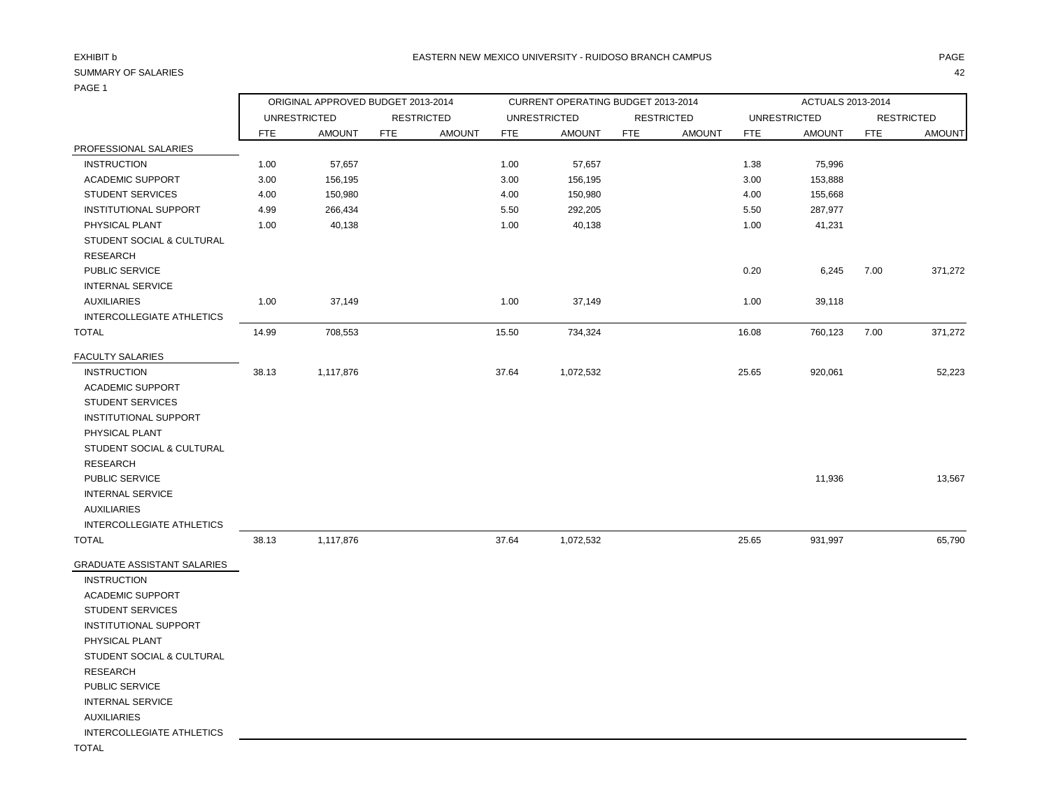# PAGE 1

| .                                |            |                                    |                   |               |            |                                    |                   |               |                   |                     |            |                   |
|----------------------------------|------------|------------------------------------|-------------------|---------------|------------|------------------------------------|-------------------|---------------|-------------------|---------------------|------------|-------------------|
|                                  |            | ORIGINAL APPROVED BUDGET 2013-2014 |                   |               |            | CURRENT OPERATING BUDGET 2013-2014 |                   |               | ACTUALS 2013-2014 |                     |            |                   |
|                                  |            | <b>UNRESTRICTED</b>                | <b>RESTRICTED</b> |               |            | <b>UNRESTRICTED</b>                | <b>RESTRICTED</b> |               |                   | <b>UNRESTRICTED</b> |            | <b>RESTRICTED</b> |
| PROFESSIONAL SALARIES            | <b>FTE</b> | <b>AMOUNT</b>                      | <b>FTE</b>        | <b>AMOUNT</b> | <b>FTE</b> | <b>AMOUNT</b>                      | <b>FTE</b>        | <b>AMOUNT</b> | <b>FTE</b>        | <b>AMOUNT</b>       | <b>FTE</b> | <b>AMOUNT</b>     |
| <b>INSTRUCTION</b>               | 1.00       | 57,657                             |                   |               | 1.00       | 57,657                             |                   |               | 1.38              | 75,996              |            |                   |
| <b>ACADEMIC SUPPORT</b>          | 3.00       | 156,195                            |                   |               | 3.00       | 156,195                            |                   |               | 3.00              | 153,888             |            |                   |
| <b>STUDENT SERVICES</b>          | 4.00       | 150,980                            |                   |               | 4.00       | 150,980                            |                   |               | 4.00              | 155,668             |            |                   |
| <b>INSTITUTIONAL SUPPORT</b>     | 4.99       | 266,434                            |                   |               | 5.50       | 292,205                            |                   |               | 5.50              | 287,977             |            |                   |
| PHYSICAL PLANT                   | 1.00       | 40,138                             |                   |               | 1.00       | 40,138                             |                   |               | 1.00              | 41,231              |            |                   |
| STUDENT SOCIAL & CULTURAL        |            |                                    |                   |               |            |                                    |                   |               |                   |                     |            |                   |
| <b>RESEARCH</b>                  |            |                                    |                   |               |            |                                    |                   |               |                   |                     |            |                   |
| <b>PUBLIC SERVICE</b>            |            |                                    |                   |               |            |                                    |                   |               | 0.20              | 6,245               | 7.00       | 371,272           |
| <b>INTERNAL SERVICE</b>          |            |                                    |                   |               |            |                                    |                   |               |                   |                     |            |                   |
| <b>AUXILIARIES</b>               | 1.00       | 37,149                             |                   |               | 1.00       | 37,149                             |                   |               | 1.00              | 39,118              |            |                   |
| <b>INTERCOLLEGIATE ATHLETICS</b> |            |                                    |                   |               |            |                                    |                   |               |                   |                     |            |                   |
| TOTAL                            | 14.99      | 708,553                            |                   |               | 15.50      | 734,324                            |                   |               | 16.08             | 760,123             | 7.00       | 371,272           |
| FACULTY SALARIES                 |            |                                    |                   |               |            |                                    |                   |               |                   |                     |            |                   |
| <b>INSTRUCTION</b>               | 38.13      | 1,117,876                          |                   |               | 37.64      | 1,072,532                          |                   |               | 25.65             | 920,061             |            | 52,223            |
| <b>ACADEMIC SUPPORT</b>          |            |                                    |                   |               |            |                                    |                   |               |                   |                     |            |                   |
| <b>STUDENT SERVICES</b>          |            |                                    |                   |               |            |                                    |                   |               |                   |                     |            |                   |
| INSTITUTIONAL SUPPORT            |            |                                    |                   |               |            |                                    |                   |               |                   |                     |            |                   |
| PHYSICAL PLANT                   |            |                                    |                   |               |            |                                    |                   |               |                   |                     |            |                   |
| STUDENT SOCIAL & CULTURAL        |            |                                    |                   |               |            |                                    |                   |               |                   |                     |            |                   |
| <b>RESEARCH</b>                  |            |                                    |                   |               |            |                                    |                   |               |                   |                     |            |                   |
| <b>PUBLIC SERVICE</b>            |            |                                    |                   |               |            |                                    |                   |               |                   | 11,936              |            | 13,567            |
| <b>INTERNAL SERVICE</b>          |            |                                    |                   |               |            |                                    |                   |               |                   |                     |            |                   |
| <b>AUXILIARIES</b>               |            |                                    |                   |               |            |                                    |                   |               |                   |                     |            |                   |
| <b>INTERCOLLEGIATE ATHLETICS</b> |            |                                    |                   |               |            |                                    |                   |               |                   |                     |            |                   |
| TOTAL                            | 38.13      | 1,117,876                          |                   |               | 37.64      | 1,072,532                          |                   |               | 25.65             | 931,997             |            | 65,790            |
| GRADUATE ASSISTANT SALARIES      |            |                                    |                   |               |            |                                    |                   |               |                   |                     |            |                   |
| <b>INSTRUCTION</b>               |            |                                    |                   |               |            |                                    |                   |               |                   |                     |            |                   |
| <b>ACADEMIC SUPPORT</b>          |            |                                    |                   |               |            |                                    |                   |               |                   |                     |            |                   |
| <b>STUDENT SERVICES</b>          |            |                                    |                   |               |            |                                    |                   |               |                   |                     |            |                   |
| <b>INSTITUTIONAL SUPPORT</b>     |            |                                    |                   |               |            |                                    |                   |               |                   |                     |            |                   |
| PHYSICAL PLANT                   |            |                                    |                   |               |            |                                    |                   |               |                   |                     |            |                   |
| STUDENT SOCIAL & CULTURAL        |            |                                    |                   |               |            |                                    |                   |               |                   |                     |            |                   |
| <b>RESEARCH</b>                  |            |                                    |                   |               |            |                                    |                   |               |                   |                     |            |                   |
| PUBLIC SERVICE                   |            |                                    |                   |               |            |                                    |                   |               |                   |                     |            |                   |
| <b>INTERNAL SERVICE</b>          |            |                                    |                   |               |            |                                    |                   |               |                   |                     |            |                   |

AUXILIARIES

INTERCOLLEGIATE ATHLETICS

TOTAL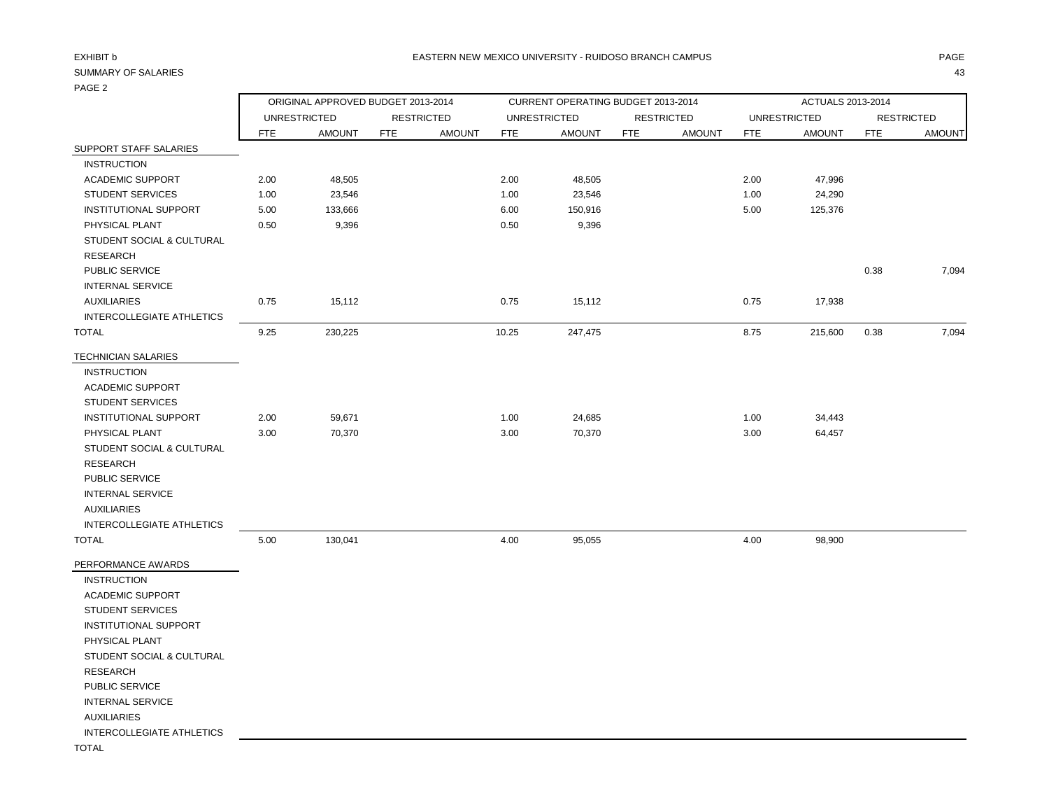# PAGE 2

|                              |            | ORIGINAL APPROVED BUDGET 2013-2014 |            |                   |            | CURRENT OPERATING BUDGET 2013-2014 |            |                   | ACTUALS 2013-2014 |                     |            |                   |
|------------------------------|------------|------------------------------------|------------|-------------------|------------|------------------------------------|------------|-------------------|-------------------|---------------------|------------|-------------------|
|                              |            | <b>UNRESTRICTED</b>                |            | <b>RESTRICTED</b> |            | <b>UNRESTRICTED</b>                |            | <b>RESTRICTED</b> |                   | <b>UNRESTRICTED</b> |            | <b>RESTRICTED</b> |
|                              | <b>FTE</b> | <b>AMOUNT</b>                      | <b>FTE</b> | <b>AMOUNT</b>     | <b>FTE</b> | <b>AMOUNT</b>                      | <b>FTE</b> | <b>AMOUNT</b>     | <b>FTE</b>        | <b>AMOUNT</b>       | <b>FTE</b> | <b>AMOUNT</b>     |
| SUPPORT STAFF SALARIES       |            |                                    |            |                   |            |                                    |            |                   |                   |                     |            |                   |
| <b>INSTRUCTION</b>           |            |                                    |            |                   |            |                                    |            |                   |                   |                     |            |                   |
| <b>ACADEMIC SUPPORT</b>      | 2.00       | 48,505                             |            |                   | 2.00       | 48,505                             |            |                   | 2.00              | 47,996              |            |                   |
| <b>STUDENT SERVICES</b>      | 1.00       | 23,546                             |            |                   | 1.00       | 23,546                             |            |                   | 1.00              | 24,290              |            |                   |
| <b>INSTITUTIONAL SUPPORT</b> | 5.00       | 133,666                            |            |                   | 6.00       | 150,916                            |            |                   | 5.00              | 125,376             |            |                   |
| PHYSICAL PLANT               | 0.50       | 9,396                              |            |                   | 0.50       | 9,396                              |            |                   |                   |                     |            |                   |
| STUDENT SOCIAL & CULTURAL    |            |                                    |            |                   |            |                                    |            |                   |                   |                     |            |                   |
| <b>RESEARCH</b>              |            |                                    |            |                   |            |                                    |            |                   |                   |                     |            |                   |
| PUBLIC SERVICE               |            |                                    |            |                   |            |                                    |            |                   |                   |                     | 0.38       | 7,094             |
| <b>INTERNAL SERVICE</b>      |            |                                    |            |                   |            |                                    |            |                   |                   |                     |            |                   |
| <b>AUXILIARIES</b>           | 0.75       | 15,112                             |            |                   | 0.75       | 15,112                             |            |                   | 0.75              | 17,938              |            |                   |
| INTERCOLLEGIATE ATHLETICS    |            |                                    |            |                   |            |                                    |            |                   |                   |                     |            |                   |
| <b>TOTAL</b>                 | 9.25       | 230,225                            |            |                   | 10.25      | 247,475                            |            |                   | 8.75              | 215,600             | 0.38       | 7,094             |
| <b>TECHNICIAN SALARIES</b>   |            |                                    |            |                   |            |                                    |            |                   |                   |                     |            |                   |
| <b>INSTRUCTION</b>           |            |                                    |            |                   |            |                                    |            |                   |                   |                     |            |                   |
| <b>ACADEMIC SUPPORT</b>      |            |                                    |            |                   |            |                                    |            |                   |                   |                     |            |                   |
| <b>STUDENT SERVICES</b>      |            |                                    |            |                   |            |                                    |            |                   |                   |                     |            |                   |
| <b>INSTITUTIONAL SUPPORT</b> | 2.00       | 59,671                             |            |                   | 1.00       | 24,685                             |            |                   | 1.00              | 34,443              |            |                   |
| PHYSICAL PLANT               | 3.00       | 70,370                             |            |                   | 3.00       | 70,370                             |            |                   | 3.00              | 64,457              |            |                   |
| STUDENT SOCIAL & CULTURAL    |            |                                    |            |                   |            |                                    |            |                   |                   |                     |            |                   |
| <b>RESEARCH</b>              |            |                                    |            |                   |            |                                    |            |                   |                   |                     |            |                   |
| PUBLIC SERVICE               |            |                                    |            |                   |            |                                    |            |                   |                   |                     |            |                   |
| <b>INTERNAL SERVICE</b>      |            |                                    |            |                   |            |                                    |            |                   |                   |                     |            |                   |
| <b>AUXILIARIES</b>           |            |                                    |            |                   |            |                                    |            |                   |                   |                     |            |                   |
| INTERCOLLEGIATE ATHLETICS    |            |                                    |            |                   |            |                                    |            |                   |                   |                     |            |                   |
| <b>TOTAL</b>                 | 5.00       | 130,041                            |            |                   | 4.00       | 95,055                             |            |                   | 4.00              | 98,900              |            |                   |
| PERFORMANCE AWARDS           |            |                                    |            |                   |            |                                    |            |                   |                   |                     |            |                   |

 INSTRUCTION ACADEMIC SUPPORT

 STUDENT SERVICES INSTITUTIONAL SUPPORT

 PHYSICAL PLANT STUDENT SOCIAL & CULTURAL

RESEARCH

PUBLIC SERVICE

INTERNAL SERVICE

AUXILIARIES

INTERCOLLEGIATE ATHLETICS

TOTAL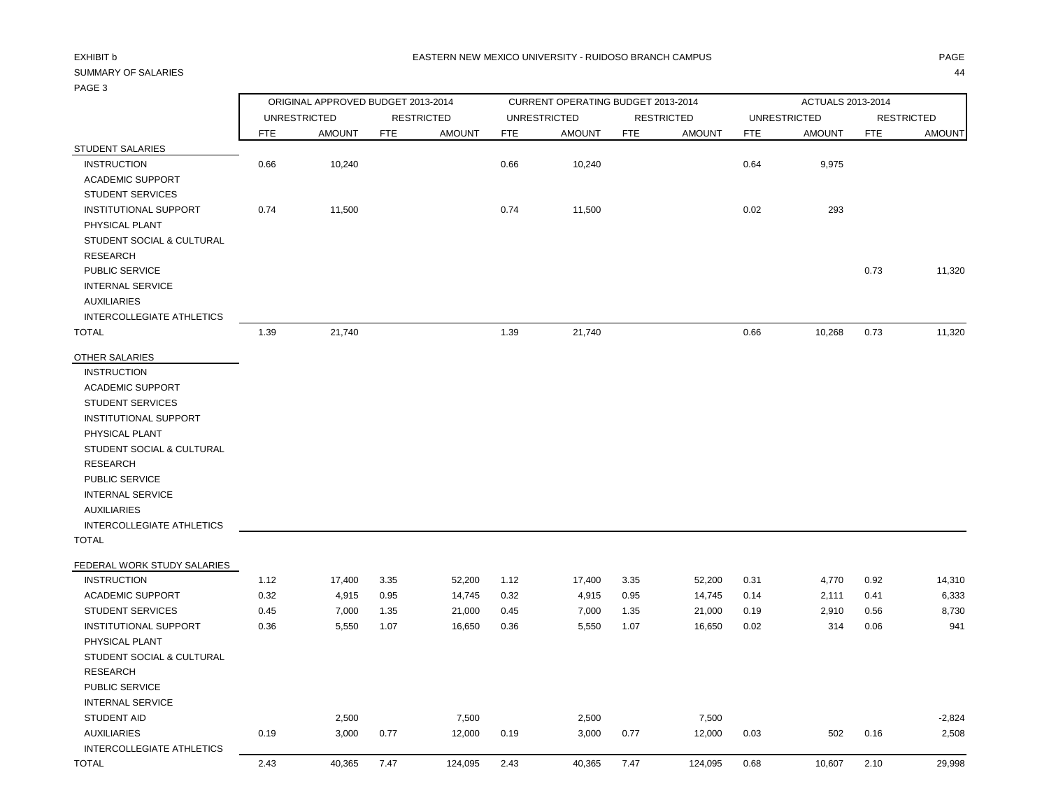| $\cdot$ $\cdot$ $\cdot$ $\cdot$ $\cdot$ |            |                                    |            |                   |            |                                    |            |                   |                   |                     |            |                   |  |
|-----------------------------------------|------------|------------------------------------|------------|-------------------|------------|------------------------------------|------------|-------------------|-------------------|---------------------|------------|-------------------|--|
|                                         |            | ORIGINAL APPROVED BUDGET 2013-2014 |            |                   |            | CURRENT OPERATING BUDGET 2013-2014 |            |                   | ACTUALS 2013-2014 |                     |            |                   |  |
|                                         |            | <b>UNRESTRICTED</b>                |            | <b>RESTRICTED</b> |            | <b>UNRESTRICTED</b>                |            | <b>RESTRICTED</b> |                   | <b>UNRESTRICTED</b> |            | <b>RESTRICTED</b> |  |
|                                         | <b>FTE</b> | <b>AMOUNT</b>                      | <b>FTE</b> | <b>AMOUNT</b>     | <b>FTE</b> | <b>AMOUNT</b>                      | <b>FTE</b> | <b>AMOUNT</b>     | <b>FTE</b>        | <b>AMOUNT</b>       | <b>FTE</b> | <b>AMOUNT</b>     |  |
| STUDENT SALARIES                        |            |                                    |            |                   |            |                                    |            |                   |                   |                     |            |                   |  |
| <b>INSTRUCTION</b>                      | 0.66       | 10,240                             |            |                   | 0.66       | 10,240                             |            |                   | 0.64              | 9,975               |            |                   |  |
| <b>ACADEMIC SUPPORT</b>                 |            |                                    |            |                   |            |                                    |            |                   |                   |                     |            |                   |  |
| <b>STUDENT SERVICES</b>                 |            |                                    |            |                   |            |                                    |            |                   |                   |                     |            |                   |  |
| <b>INSTITUTIONAL SUPPORT</b>            | 0.74       | 11,500                             |            |                   | 0.74       | 11,500                             |            |                   | 0.02              | 293                 |            |                   |  |
| PHYSICAL PLANT                          |            |                                    |            |                   |            |                                    |            |                   |                   |                     |            |                   |  |
| STUDENT SOCIAL & CULTURAL               |            |                                    |            |                   |            |                                    |            |                   |                   |                     |            |                   |  |
| <b>RESEARCH</b>                         |            |                                    |            |                   |            |                                    |            |                   |                   |                     |            |                   |  |
| <b>PUBLIC SERVICE</b>                   |            |                                    |            |                   |            |                                    |            |                   |                   |                     | 0.73       | 11,320            |  |
| <b>INTERNAL SERVICE</b>                 |            |                                    |            |                   |            |                                    |            |                   |                   |                     |            |                   |  |
| <b>AUXILIARIES</b>                      |            |                                    |            |                   |            |                                    |            |                   |                   |                     |            |                   |  |
| INTERCOLLEGIATE ATHLETICS               |            |                                    |            |                   |            |                                    |            |                   |                   |                     |            |                   |  |
| <b>TOTAL</b>                            | 1.39       | 21,740                             |            |                   | 1.39       | 21,740                             |            |                   | 0.66              | 10,268              | 0.73       | 11,320            |  |
| OTHER SALARIES                          |            |                                    |            |                   |            |                                    |            |                   |                   |                     |            |                   |  |
| <b>INSTRUCTION</b>                      |            |                                    |            |                   |            |                                    |            |                   |                   |                     |            |                   |  |
| <b>ACADEMIC SUPPORT</b>                 |            |                                    |            |                   |            |                                    |            |                   |                   |                     |            |                   |  |
| <b>STUDENT SERVICES</b>                 |            |                                    |            |                   |            |                                    |            |                   |                   |                     |            |                   |  |
| INSTITUTIONAL SUPPORT                   |            |                                    |            |                   |            |                                    |            |                   |                   |                     |            |                   |  |
| PHYSICAL PLANT                          |            |                                    |            |                   |            |                                    |            |                   |                   |                     |            |                   |  |
| STUDENT SOCIAL & CULTURAL               |            |                                    |            |                   |            |                                    |            |                   |                   |                     |            |                   |  |
| <b>RESEARCH</b>                         |            |                                    |            |                   |            |                                    |            |                   |                   |                     |            |                   |  |
| <b>PUBLIC SERVICE</b>                   |            |                                    |            |                   |            |                                    |            |                   |                   |                     |            |                   |  |
| <b>INTERNAL SERVICE</b>                 |            |                                    |            |                   |            |                                    |            |                   |                   |                     |            |                   |  |
| <b>AUXILIARIES</b>                      |            |                                    |            |                   |            |                                    |            |                   |                   |                     |            |                   |  |
| <b>INTERCOLLEGIATE ATHLETICS</b>        |            |                                    |            |                   |            |                                    |            |                   |                   |                     |            |                   |  |
| <b>TOTAL</b>                            |            |                                    |            |                   |            |                                    |            |                   |                   |                     |            |                   |  |
| FEDERAL WORK STUDY SALARIES             |            |                                    |            |                   |            |                                    |            |                   |                   |                     |            |                   |  |
| <b>INSTRUCTION</b>                      | 1.12       | 17,400                             | 3.35       | 52,200            | 1.12       | 17,400                             | 3.35       | 52,200            | 0.31              | 4,770               | 0.92       | 14,310            |  |
| <b>ACADEMIC SUPPORT</b>                 | 0.32       | 4,915                              | 0.95       | 14,745            | 0.32       | 4,915                              | 0.95       | 14,745            | 0.14              | 2,111               | 0.41       | 6,333             |  |
| <b>STUDENT SERVICES</b>                 | 0.45       | 7,000                              | 1.35       | 21,000            | 0.45       | 7,000                              | 1.35       | 21,000            | 0.19              | 2,910               | 0.56       | 8,730             |  |
| INSTITUTIONAL SUPPORT                   | 0.36       | 5,550                              | 1.07       | 16,650            | 0.36       | 5,550                              | 1.07       | 16,650            | 0.02              | 314                 | 0.06       | 941               |  |
| PHYSICAL PLANT                          |            |                                    |            |                   |            |                                    |            |                   |                   |                     |            |                   |  |
| STUDENT SOCIAL & CULTURAL               |            |                                    |            |                   |            |                                    |            |                   |                   |                     |            |                   |  |
| <b>RESEARCH</b>                         |            |                                    |            |                   |            |                                    |            |                   |                   |                     |            |                   |  |
| PUBLIC SERVICE                          |            |                                    |            |                   |            |                                    |            |                   |                   |                     |            |                   |  |
| <b>INTERNAL SERVICE</b>                 |            |                                    |            |                   |            |                                    |            |                   |                   |                     |            |                   |  |
| STUDENT AID                             |            | 2,500                              |            | 7,500             |            | 2,500                              |            | 7,500             |                   |                     |            | $-2,824$          |  |
| <b>AUXILIARIES</b>                      | 0.19       | 3,000                              | 0.77       | 12,000            | 0.19       | 3,000                              | 0.77       | 12,000            | 0.03              | 502                 | 0.16       | 2,508             |  |
| <b>INTERCOLLEGIATE ATHLETICS</b>        |            |                                    |            |                   |            |                                    |            |                   |                   |                     |            |                   |  |
| <b>TOTAL</b>                            | 2.43       | 40,365                             | 7.47       | 124,095           | 2.43       | 40,365                             | 7.47       | 124,095           | 0.68              | 10,607              | 2.10       | 29,998            |  |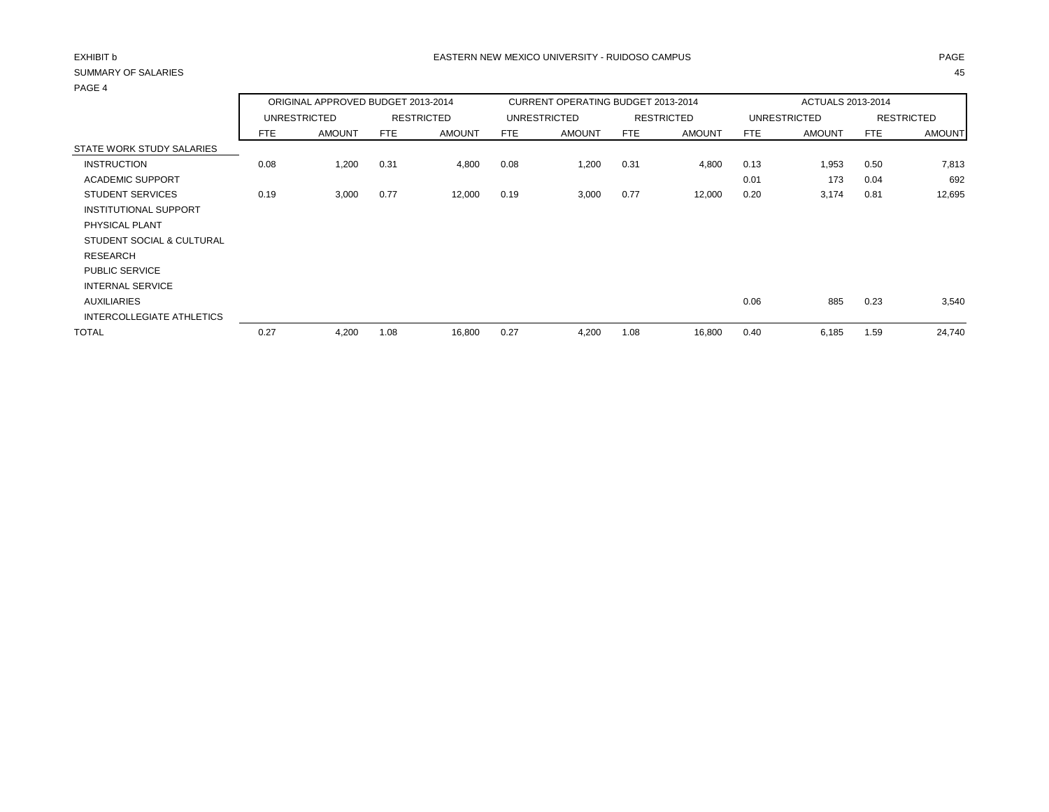| PAGE 4                    |      |                                    |      |                   |      |                                           |      |                   |                   |                     |      |                   |
|---------------------------|------|------------------------------------|------|-------------------|------|-------------------------------------------|------|-------------------|-------------------|---------------------|------|-------------------|
|                           |      | ORIGINAL APPROVED BUDGET 2013-2014 |      |                   |      | <b>CURRENT OPERATING BUDGET 2013-2014</b> |      |                   | ACTUALS 2013-2014 |                     |      |                   |
|                           |      | UNRESTRICTED                       |      | <b>RESTRICTED</b> |      | <b>UNRESTRICTED</b>                       |      | <b>RESTRICTED</b> |                   | <b>UNRESTRICTED</b> |      | <b>RESTRICTED</b> |
|                           | FTE  | <b>AMOUNT</b>                      | FTE  | <b>AMOUNT</b>     | FTE  | <b>AMOUNT</b>                             | FTE  | <b>AMOUNT</b>     | FTE               | <b>AMOUNT</b>       | FTE  | <b>AMOUNT</b>     |
| STATE WORK STUDY SALARIES |      |                                    |      |                   |      |                                           |      |                   |                   |                     |      |                   |
| <b>INSTRUCTION</b>        | 0.08 | 1,200                              | 0.31 | 4,800             | 0.08 | 1,200                                     | 0.31 | 4,800             | 0.13              | 1,953               | 0.50 | 7,813             |
| <b>ACADEMIC SUPPORT</b>   |      |                                    |      |                   |      |                                           |      |                   | 0.01              | 173                 | 0.04 | 692               |
| <b>STUDENT SERVICES</b>   | 0.19 | 3,000                              | 0.77 | 12,000            | 0.19 | 3,000                                     | 0.77 | 12,000            | 0.20              | 3,174               | 0.81 | 12,695            |
| INSTITUTIONAL SUPPORT     |      |                                    |      |                   |      |                                           |      |                   |                   |                     |      |                   |
| PHYSICAL PLANT            |      |                                    |      |                   |      |                                           |      |                   |                   |                     |      |                   |
| STUDENT SOCIAL & CULTURAL |      |                                    |      |                   |      |                                           |      |                   |                   |                     |      |                   |
| RESEARCH                  |      |                                    |      |                   |      |                                           |      |                   |                   |                     |      |                   |
| <b>PUBLIC SERVICE</b>     |      |                                    |      |                   |      |                                           |      |                   |                   |                     |      |                   |
| <b>INTERNAL SERVICE</b>   |      |                                    |      |                   |      |                                           |      |                   |                   |                     |      |                   |
| <b>AUXILIARIES</b>        |      |                                    |      |                   |      |                                           |      |                   | 0.06              | 885                 | 0.23 | 3,540             |
| INTERCOLLEGIATE ATHLETICS |      |                                    |      |                   |      |                                           |      |                   |                   |                     |      |                   |
| <b>TOTAL</b>              | 0.27 | 4,200                              | 1.08 | 16,800            | 0.27 | 4,200                                     | 1.08 | 16,800            | 0.40              | 6,185               | 1.59 | 24,740            |
|                           |      |                                    |      |                   |      |                                           |      |                   |                   |                     |      |                   |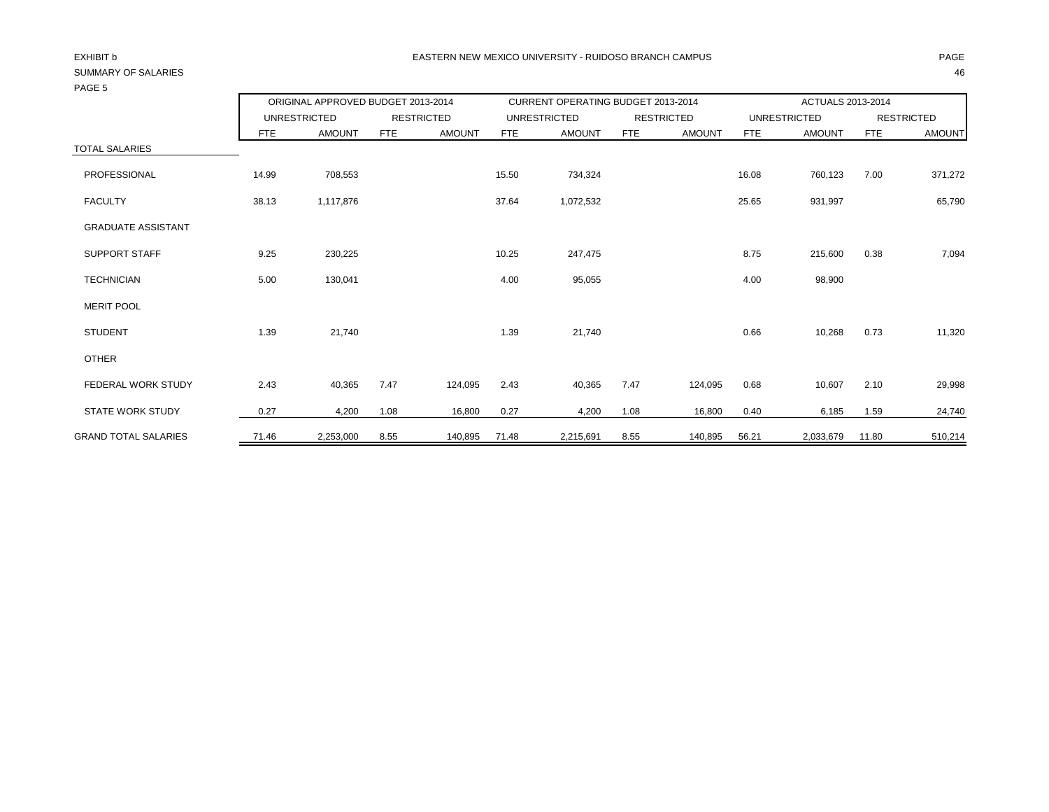| 170LJ                       |       |                                    |            |                   |       |                                           |            |                   |            |                          |       |                   |
|-----------------------------|-------|------------------------------------|------------|-------------------|-------|-------------------------------------------|------------|-------------------|------------|--------------------------|-------|-------------------|
|                             |       | ORIGINAL APPROVED BUDGET 2013-2014 |            |                   |       | <b>CURRENT OPERATING BUDGET 2013-2014</b> |            |                   |            | <b>ACTUALS 2013-2014</b> |       |                   |
|                             |       | <b>UNRESTRICTED</b>                |            | <b>RESTRICTED</b> |       | <b>UNRESTRICTED</b>                       |            | <b>RESTRICTED</b> |            | <b>UNRESTRICTED</b>      |       | <b>RESTRICTED</b> |
|                             | FTE   | <b>AMOUNT</b>                      | <b>FTE</b> | <b>AMOUNT</b>     | FTE   | <b>AMOUNT</b>                             | <b>FTE</b> | <b>AMOUNT</b>     | <b>FTE</b> | <b>AMOUNT</b>            | FTE   | <b>AMOUNT</b>     |
| <b>TOTAL SALARIES</b>       |       |                                    |            |                   |       |                                           |            |                   |            |                          |       |                   |
| <b>PROFESSIONAL</b>         | 14.99 | 708,553                            |            |                   | 15.50 | 734,324                                   |            |                   | 16.08      | 760,123                  | 7.00  | 371,272           |
| <b>FACULTY</b>              | 38.13 | 1,117,876                          |            |                   | 37.64 | 1,072,532                                 |            |                   | 25.65      | 931,997                  |       | 65,790            |
| <b>GRADUATE ASSISTANT</b>   |       |                                    |            |                   |       |                                           |            |                   |            |                          |       |                   |
| <b>SUPPORT STAFF</b>        | 9.25  | 230,225                            |            |                   | 10.25 | 247,475                                   |            |                   | 8.75       | 215,600                  | 0.38  | 7,094             |
| <b>TECHNICIAN</b>           | 5.00  | 130,041                            |            |                   | 4.00  | 95,055                                    |            |                   | 4.00       | 98,900                   |       |                   |
| <b>MERIT POOL</b>           |       |                                    |            |                   |       |                                           |            |                   |            |                          |       |                   |
| <b>STUDENT</b>              | 1.39  | 21,740                             |            |                   | 1.39  | 21,740                                    |            |                   | 0.66       | 10,268                   | 0.73  | 11,320            |
| <b>OTHER</b>                |       |                                    |            |                   |       |                                           |            |                   |            |                          |       |                   |
| <b>FEDERAL WORK STUDY</b>   | 2.43  | 40,365                             | 7.47       | 124,095           | 2.43  | 40,365                                    | 7.47       | 124,095           | 0.68       | 10,607                   | 2.10  | 29,998            |
| <b>STATE WORK STUDY</b>     | 0.27  | 4,200                              | 1.08       | 16,800            | 0.27  | 4,200                                     | 1.08       | 16,800            | 0.40       | 6,185                    | 1.59  | 24,740            |
| <b>GRAND TOTAL SALARIES</b> | 71.46 | 2,253,000                          | 8.55       | 140,895           | 71.48 | 2,215,691                                 | 8.55       | 140,895           | 56.21      | 2,033,679                | 11.80 | 510,214           |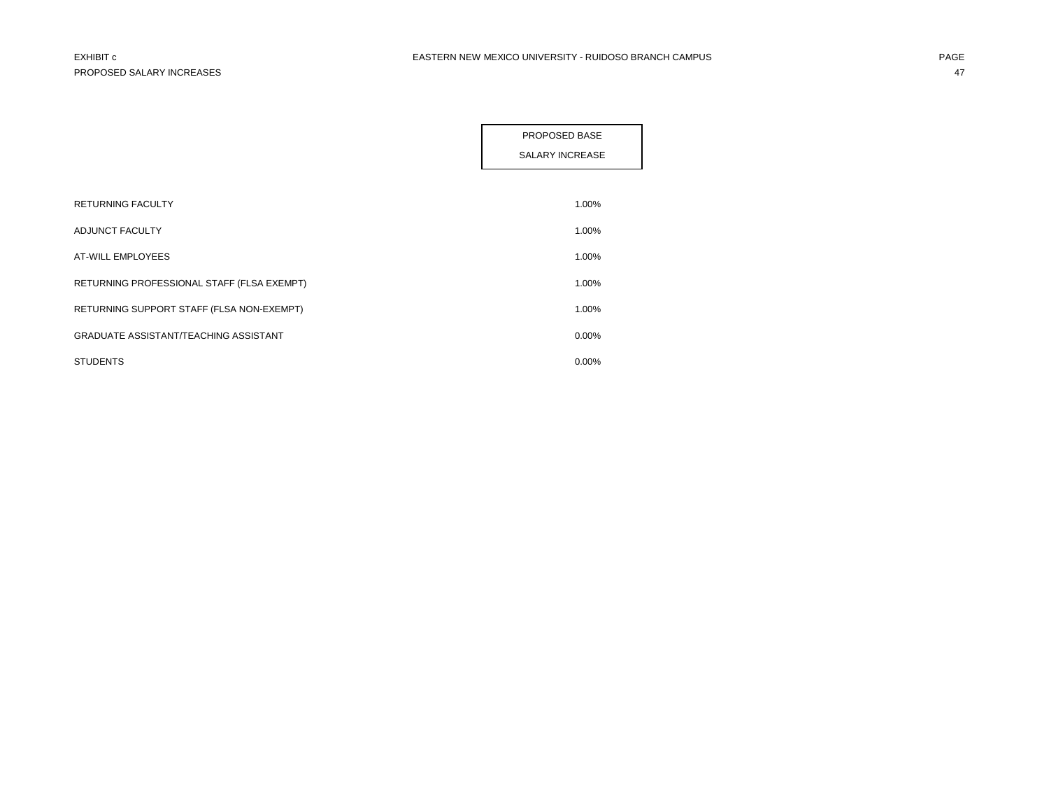|                                              | PROPOSED BASE<br><b>SALARY INCREASE</b> |
|----------------------------------------------|-----------------------------------------|
|                                              |                                         |
| <b>RETURNING FACULTY</b>                     | 1.00%                                   |
| ADJUNCT FACULTY                              | 1.00%                                   |
| <b>AT-WILL EMPLOYEES</b>                     | 1.00%                                   |
| RETURNING PROFESSIONAL STAFF (FLSA EXEMPT)   | 1.00%                                   |
| RETURNING SUPPORT STAFF (FLSA NON-EXEMPT)    | 1.00%                                   |
| <b>GRADUATE ASSISTANT/TEACHING ASSISTANT</b> | 0.00%                                   |
| <b>STUDENTS</b>                              | 0.00%                                   |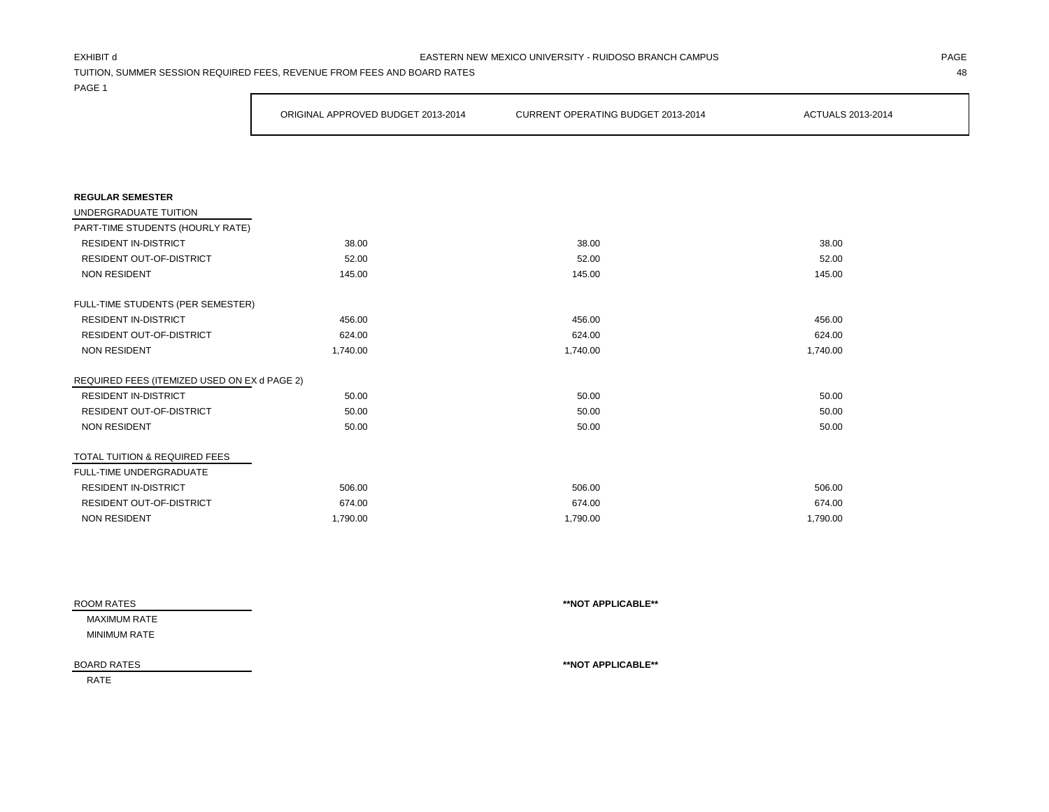## EXHIBIT d PAGE EASTERN NEW MEXICO UNIVERSITY - RUIDOSO BRANCH CAMPUS

TUITION, SUMMER SESSION REQUIRED FEES, REVENUE FROM FEES AND BOARD RATES 48

PAGE 1

|                                              | ORIGINAL APPROVED BUDGET 2013-2014 | CURRENT OPERATING BUDGET 2013-2014 | ACTUALS 2013-2014 |
|----------------------------------------------|------------------------------------|------------------------------------|-------------------|
|                                              |                                    |                                    |                   |
|                                              |                                    |                                    |                   |
| <b>REGULAR SEMESTER</b>                      |                                    |                                    |                   |
| UNDERGRADUATE TUITION                        |                                    |                                    |                   |
| PART-TIME STUDENTS (HOURLY RATE)             |                                    |                                    |                   |
| <b>RESIDENT IN-DISTRICT</b>                  | 38.00                              | 38.00                              | 38.00             |
| RESIDENT OUT-OF-DISTRICT                     | 52.00                              | 52.00                              | 52.00             |
| NON RESIDENT                                 | 145.00                             | 145.00                             | 145.00            |
| FULL-TIME STUDENTS (PER SEMESTER)            |                                    |                                    |                   |
| <b>RESIDENT IN-DISTRICT</b>                  | 456.00                             | 456.00                             | 456.00            |
| RESIDENT OUT-OF-DISTRICT                     | 624.00                             | 624.00                             | 624.00            |
| <b>NON RESIDENT</b>                          | 1,740.00                           | 1,740.00                           | 1,740.00          |
| REQUIRED FEES (ITEMIZED USED ON EX d PAGE 2) |                                    |                                    |                   |
| <b>RESIDENT IN-DISTRICT</b>                  | 50.00                              | 50.00                              | 50.00             |
| RESIDENT OUT-OF-DISTRICT                     | 50.00                              | 50.00                              | 50.00             |
| <b>NON RESIDENT</b>                          | 50.00                              | 50.00                              | 50.00             |
| TOTAL TUITION & REQUIRED FEES                |                                    |                                    |                   |
| FULL-TIME UNDERGRADUATE                      |                                    |                                    |                   |
| <b>RESIDENT IN-DISTRICT</b>                  | 506.00                             | 506.00                             | 506.00            |
| <b>RESIDENT OUT-OF-DISTRICT</b>              | 674.00                             | 674.00                             | 674.00            |
| <b>NON RESIDENT</b>                          | 1,790.00                           | 1,790.00                           | 1,790.00          |

| ROOM RATES         | **NOT APPLICABLE** |
|--------------------|--------------------|
| MAXIMUM RATE       |                    |
| MINIMUM RATE       |                    |
| <b>BOARD RATES</b> | **NOT APPLICABLE** |

RATE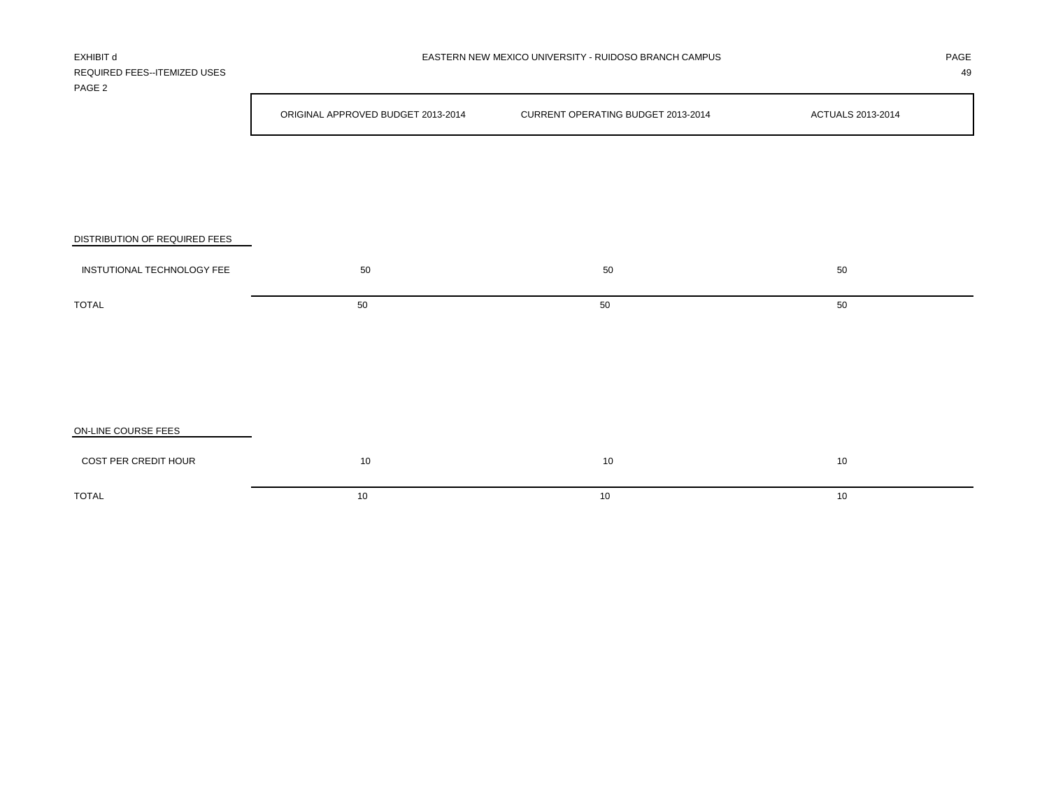| EXHIBIT d<br>REQUIRED FEES--ITEMIZED USES<br>PAGE 2 | EASTERN NEW MEXICO UNIVERSITY - RUIDOSO BRANCH CAMPUS |                                    |                   |  |  |
|-----------------------------------------------------|-------------------------------------------------------|------------------------------------|-------------------|--|--|
|                                                     | ORIGINAL APPROVED BUDGET 2013-2014                    | CURRENT OPERATING BUDGET 2013-2014 | ACTUALS 2013-2014 |  |  |
|                                                     |                                                       |                                    |                   |  |  |
|                                                     |                                                       |                                    |                   |  |  |
| DISTRIBUTION OF REQUIRED FEES                       |                                                       |                                    |                   |  |  |
| INSTUTIONAL TECHNOLOGY FEE                          | 50                                                    | 50                                 | 50                |  |  |
| <b>TOTAL</b>                                        | 50                                                    | 50                                 | 50                |  |  |
|                                                     |                                                       |                                    |                   |  |  |
|                                                     |                                                       |                                    |                   |  |  |

| ON-LINE COURSE FEES  |    |    |    |
|----------------------|----|----|----|
| COST PER CREDIT HOUR | 10 | 10 | 10 |
| TOTAL                | 10 | 10 | 10 |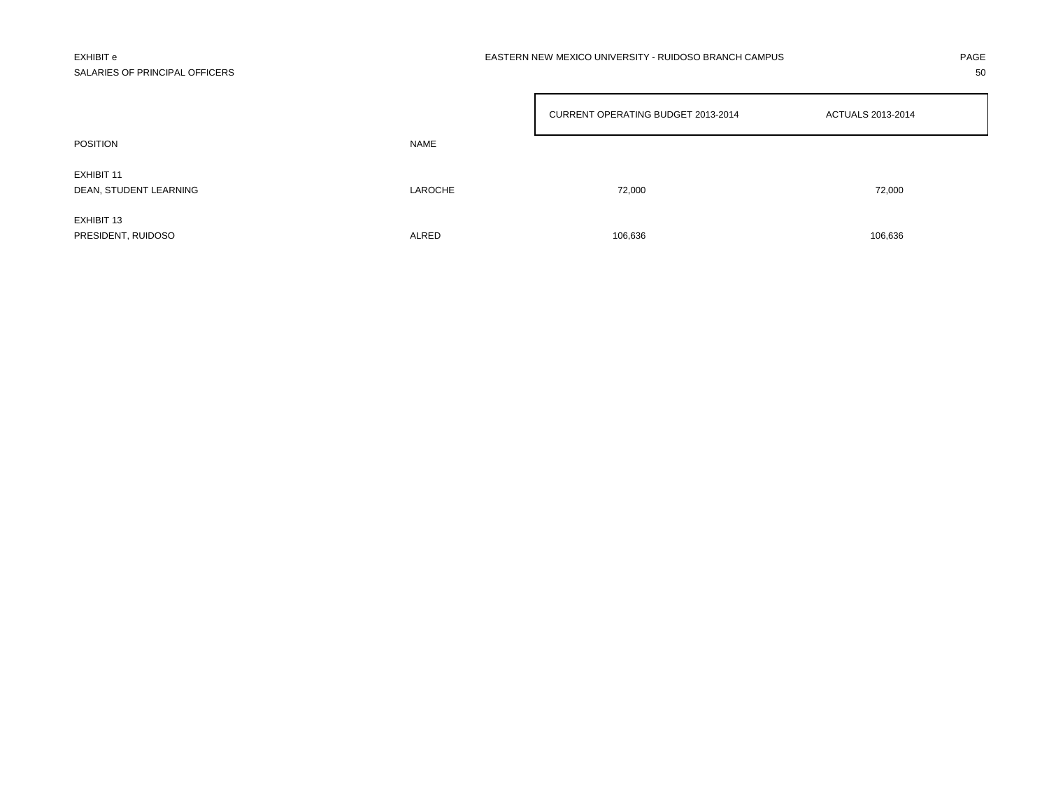# SALARIES OF PRINCIPAL OFFICERS 50

|                                      |         | CURRENT OPERATING BUDGET 2013-2014<br>ACTUALS 2013-2014 |         |
|--------------------------------------|---------|---------------------------------------------------------|---------|
| <b>POSITION</b>                      | NAME    |                                                         |         |
| EXHIBIT 11<br>DEAN, STUDENT LEARNING | LAROCHE | 72,000                                                  | 72,000  |
| EXHIBIT 13<br>PRESIDENT, RUIDOSO     | ALRED   | 106,636                                                 | 106,636 |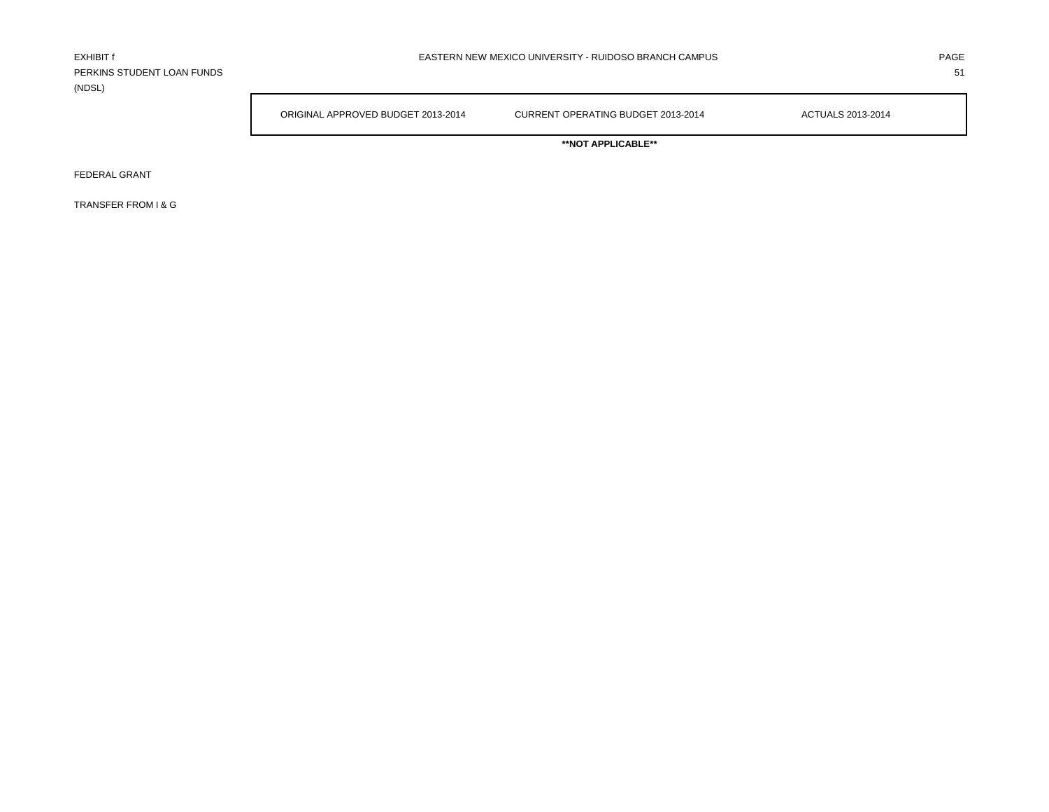PERKINS STUDENT LOAN FUNDS 51 (NDSL)

ORIGINAL APPROVED BUDGET 2013-2014 CURRENT OPERATING BUDGET 2013-2014 ACTUALS 2013-2014

**\*\*NOT APPLICABLE\*\***

FEDERAL GRANT

TRANSFER FROM I & G